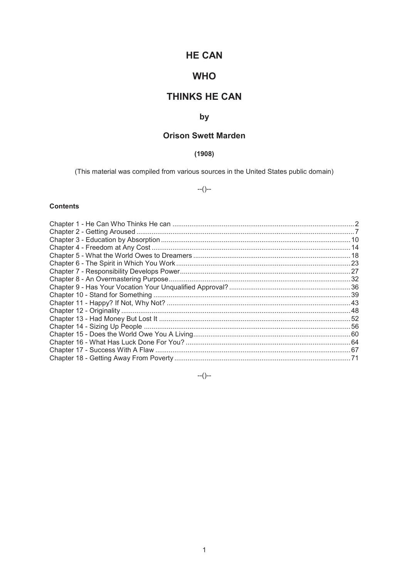# **HE CAN**

# **WHO**

# **THINKS HE CAN**

### by

## **Orison Swett Marden**

### $(1908)$

(This material was compiled from various sources in the United States public domain)

## $-(-)$

#### **Contents**

### $-(-)$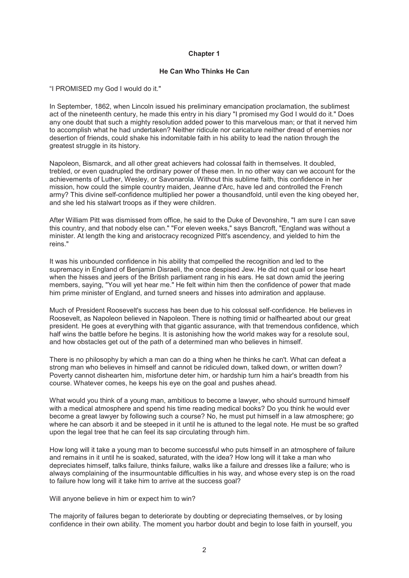#### **He Can Who Thinks He Can**

"I PROMISED my God I would do it."

In September, 1862, when Lincoln issued his preliminary emancipation proclamation, the sublimest act of the nineteenth century, he made this entry in his diary "I promised my God I would do it." Does any one doubt that such a mighty resolution added power to this marvelous man; or that it nerved him to accomplish what he had undertaken? Neither ridicule nor caricature neither dread of enemies nor desertion of friends, could shake his indomitable faith in his ability to lead the nation through the greatest struggle in its history.

Napoleon, Bismarck, and all other great achievers had colossal faith in themselves. It doubled, trebled, or even quadrupled the ordinary power of these men. In no other way can we account for the achievements of Luther, Wesley, or Savonarola. Without this sublime faith, this confidence in her mission, how could the simple country maiden, Jeanne d'Arc, have led and controlled the French army? This divine self-confidence multiplied her power a thousandfold, until even the king obeyed her, and she led his stalwart troops as if they were children.

After William Pitt was dismissed from office, he said to the Duke of Devonshire, "I am sure I can save this country, and that nobody else can." "For eleven weeks," says Bancroft, "England was without a minister. At length the king and aristocracy recognized Pitt's ascendency, and yielded to him the reins."

It was his unbounded confidence in his ability that compelled the recognition and led to the supremacy in England of Benjamin Disraeli, the once despised Jew. He did not quail or lose heart when the hisses and jeers of the British parliament rang in his ears. He sat down amid the jeering members, saying, "You will yet hear me." He felt within him then the confidence of power that made him prime minister of England, and turned sneers and hisses into admiration and applause.

Much of President Roosevelt's success has been due to his colossal self-confidence. He believes in Roosevelt, as Napoleon believed in Napoleon. There is nothing timid or halfhearted about our great president. He goes at everything with that gigantic assurance, with that tremendous confidence, which half wins the battle before he begins. It is astonishing how the world makes way for a resolute soul, and how obstacles get out of the path of a determined man who believes in himself.

There is no philosophy by which a man can do a thing when he thinks he can't. What can defeat a strong man who believes in himself and cannot be ridiculed down, talked down, or written down? Poverty cannot dishearten him, misfortune deter him, or hardship turn him a hair's breadth from his course. Whatever comes, he keeps his eye on the goal and pushes ahead.

What would you think of a young man, ambitious to become a lawyer, who should surround himself with a medical atmosphere and spend his time reading medical books? Do you think he would ever become a great lawyer by following such a course? No, he must put himself in a law atmosphere; go where he can absorb it and be steeped in it until he is attuned to the legal note. He must be so grafted upon the legal tree that he can feel its sap circulating through him.

How long will it take a young man to become successful who puts himself in an atmosphere of failure and remains in it until he is soaked, saturated, with the idea? How long will it take a man who depreciates himself, talks failure, thinks failure, walks like a failure and dresses like a failure; who is always complaining of the insurmountable difficulties in his way, and whose every step is on the road to failure how long will it take him to arrive at the success goal?

Will anyone believe in him or expect him to win?

The majority of failures began to deteriorate by doubting or depreciating themselves, or by losing confidence in their own ability. The moment you harbor doubt and begin to lose faith in yourself, you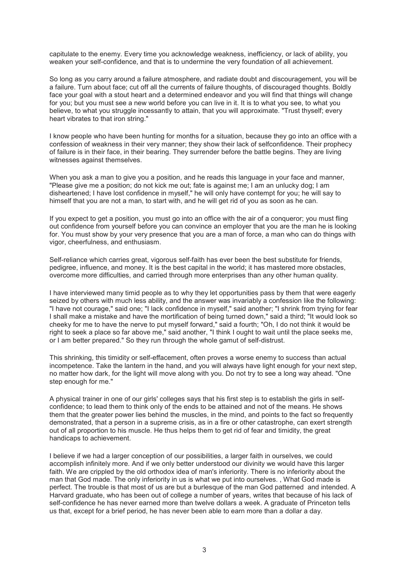capitulate to the enemy. Every time you acknowledge weakness, inefficiency, or lack of ability, you weaken your self-confidence, and that is to undermine the very foundation of all achievement.

So long as you carry around a failure atmosphere, and radiate doubt and discouragement, you will be a failure. Turn about face; cut off all the currents of failure thoughts, of discouraged thoughts. Boldly face your goal with a stout heart and a determined endeavor and you will find that things will change for you; but you must see a new world before you can live in it. It is to what you see, to what you believe, to what you struggle incessantly to attain, that you will approximate. "Trust thyself; every heart vibrates to that iron string."

I know people who have been hunting for months for a situation, because they go into an office with a confession of weakness in their very manner; they show their lack of selfconfidence. Their prophecy of failure is in their face, in their bearing. They surrender before the battle begins. They are living witnesses against themselves.

When you ask a man to give you a position, and he reads this language in your face and manner, "Please give me a position; do not kick me out; fate is against me; I am an unlucky dog; I am disheartened; I have lost confidence in myself," he will only have contempt for you; he will say to himself that you are not a man, to start with, and he will get rid of you as soon as he can.

If you expect to get a position, you must go into an office with the air of a conqueror; you must fling out confidence from yourself before you can convince an employer that you are the man he is looking for. You must show by your very presence that you are a man of force, a man who can do things with vigor, cheerfulness, and enthusiasm.

Self-reliance which carries great, vigorous self-faith has ever been the best substitute for friends, pedigree, influence, and money. It is the best capital in the world; it has mastered more obstacles, overcome more difficulties, and carried through more enterprises than any other human quality.

I have interviewed many timid people as to why they let opportunities pass by them that were eagerly seized by others with much less ability, and the answer was invariably a confession like the following: "I have not courage," said one; "I lack confidence in myself," said another; "I shrink from trying for fear I shall make a mistake and have the mortification of being turned down," said a third; "It would look so cheeky for me to have the nerve to put myself forward," said a fourth; "Oh, I do not think it would be right to seek a place so far above me," said another, "I think I ought to wait until the place seeks me, or I am better prepared." So they run through the whole gamut of self-distrust.

This shrinking, this timidity or self-effacement, often proves a worse enemy to success than actual incompetence. Take the lantern in the hand, and you will always have light enough for your next step, no matter how dark, for the light will move along with you. Do not try to see a long way ahead. "One step enough for me."

A physical trainer in one of our girls' colleges says that his first step is to establish the girls in selfconfidence; to lead them to think only of the ends to be attained and not of the means. He shows them that the greater power lies behind the muscles, in the mind, and points to the fact so frequently demonstrated, that a person in a supreme crisis, as in a fire or other catastrophe, can exert strength out of all proportion to his muscle. He thus helps them to get rid of fear and timidity, the great handicaps to achievement.

I believe if we had a larger conception of our possibilities, a larger faith in ourselves, we could accomplish infinitely more. And if we only better understood our divinity we would have this larger faith. We are crippled by the old orthodox idea of man's inferiority. There is no inferiority about the man that God made. The only inferiority in us is what we put into ourselves. , What God made is perfect. The trouble is that most of us are but a burlesque of the man God patterned and intended. A Harvard graduate, who has been out of college a number of years, writes that because of his lack of self-confidence he has never earned more than twelve dollars a week. A graduate of Princeton tells us that, except for a brief period, he has never been able to earn more than a dollar a day.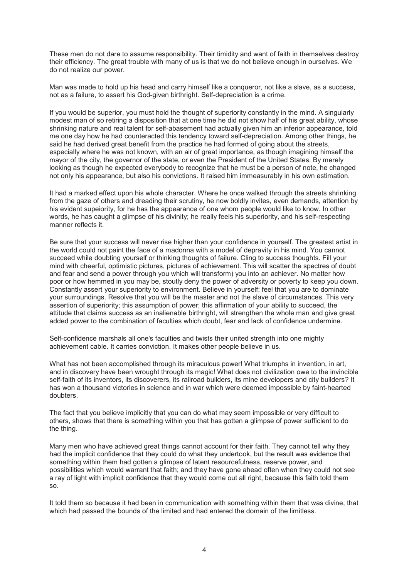These men do not dare to assume responsibility. Their timidity and want of faith in themselves destroy their efficiency. The great trouble with many of us is that we do not believe enough in ourselves. We do not realize our power.

Man was made to hold up his head and carry himself like a conqueror, not like a slave, as a success, not as a failure, to assert his God-given birthright. Self-depreciation is a crime.

If you would be superior, you must hold the thought of superiority constantly in the mind. A singularly modest man of so retiring a disposition that at one time he did not show half of his great ability, whose shrinking nature and real talent for self-abasement had actually given him an inferior appearance, told me one day how he had counteracted this tendency toward self-depreciation. Among other things, he said he had derived great benefit from the practice he had formed of going about the streets, especially where he was not known, with an air of great importance, as though imagining himself the mayor of the city, the governor of the state, or even the President of the United States. By merely looking as though he expected everybody to recognize that he must be a person of note, he changed not only his appearance, but also his convictions. It raised him immeasurably in his own estimation.

It had a marked effect upon his whole character. Where he once walked through the streets shrinking from the gaze of others and dreading their scrutiny, he now boldly invites, even demands, attention by his evident supeiority, for he has the appearance of one whom people would like to know. In other words, he has caught a glimpse of his divinity; he really feels his superiority, and his self-respecting manner reflects it.

Be sure that your success will never rise higher than your confidence in yourself. The greatest artist in the world could not paint the face of a madonna with a model of depravity in his mind. You cannot succeed while doubting yourself or thinking thoughts of failure. Cling to success thoughts. Fill your mind with cheerful, optimistic pictures, pictures of achievement. This will scatter the spectres of doubt and fear and send a power through you which will transform) you into an achiever. No matter how poor or how hemmed in you may be, stoutly deny the power of adversity or poverty to keep you down. Constantly assert your superiority to environment. Believe in yourself; feel that you are to dominate your surroundings. Resolve that you will be the master and not the slave of circumstances. This very assertion of superiority; this assumption of power; this affirmation of your ability to succeed, the attitude that claims success as an inalienable birthright, will strengthen the whole man and give great added power to the combination of faculties which doubt, fear and lack of confidence undermine.

Self-confidence marshals all one's faculties and twists their united strength into one mighty achievement cable. It carries conviction. It makes other people believe in us.

What has not been accomplished through its miraculous power! What triumphs in invention, in art, and in discovery have been wrought through its magic! What does not civilization owe to the invincible self-faith of its inventors, its discoverers, its railroad builders, its mine developers and city builders? It has won a thousand victories in science and in war which were deemed impossible by faint-hearted doubters.

The fact that you believe implicitly that you can do what may seem impossible or very difficult to others, shows that there is something within you that has gotten a glimpse of power sufficient to do the thing.

Many men who have achieved great things cannot account for their faith. They cannot tell why they had the implicit confidence that they could do what they undertook, but the result was evidence that something within them had gotten a glimpse of latent resourcefulness, reserve power, and possibilities which would warrant that faith; and they have gone ahead often when they could not see a ray of light with implicit confidence that they would come out all right, because this faith told them so.

It told them so because it had been in communication with something within them that was divine, that which had passed the bounds of the limited and had entered the domain of the limitless.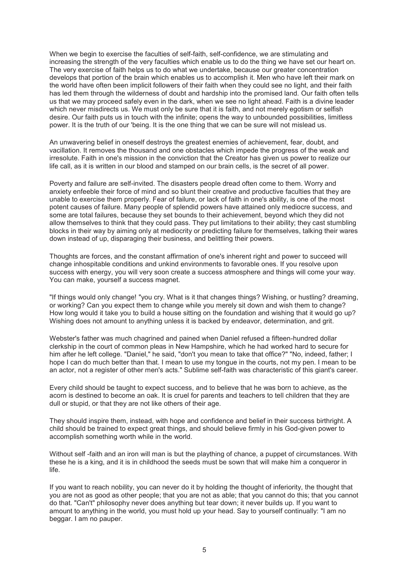When we begin to exercise the faculties of self-faith, self-confidence, we are stimulating and increasing the strength of the very faculties which enable us to do the thing we have set our heart on. The very exercise of faith helps us to do what we undertake, because our greater concentration develops that portion of the brain which enables us to accomplish it. Men who have left their mark on the world have often been implicit followers of their faith when they could see no light, and their faith has led them through the wilderness of doubt and hardship into the promised land. Our faith often tells us that we may proceed safely even in the dark, when we see no light ahead. Faith is a divine leader which never misdirects us. We must only be sure that it is faith, and not merely egotism or selfish desire. Our faith puts us in touch with the infinite; opens the way to unbounded possibilities, limitless power. It is the truth of our 'being. It is the one thing that we can be sure will not mislead us.

An unwavering belief in oneself destroys the greatest enemies of achievement, fear, doubt, and vacillation. It removes the thousand and one obstacles which impede the progress of the weak and irresolute. Faith in one's mission in the conviction that the Creator has given us power to realize our life call, as it is written in our blood and stamped on our brain cells, is the secret of all power.

Poverty and failure are self-invited. The disasters people dread often come to them. Worry and anxiety enfeeble their force of mind and so blunt their creative and productive faculties that they are unable to exercise them properly. Fear of failure, or lack of faith in one's ability, is one of the most potent causes of failure. Many people of splendid powers have attained only mediocre success, and some are total failures, because they set bounds to their achievement, beyond which they did not allow themselves to think that they could pass. They put limitations to their ability; they cast stumbling blocks in their way by aiming only at mediocrity or predicting failure for themselves, talking their wares down instead of up, disparaging their business, and belittling their powers.

Thoughts are forces, and the constant affirmation of one's inherent right and power to succeed will change inhospitable conditions and unkind environments to favorable ones. If you resolve upon success with energy, you will very soon create a success atmosphere and things will come your way. You can make, yourself a success magnet.

"If things would only change! "you cry. What is it that changes things? Wishing, or hustling? dreaming, or working? Can you expect them to change while you merely sit down and wish them to change? How long would it take you to build a house sitting on the foundation and wishing that it would go up? Wishing does not amount to anything unless it is backed by endeavor, determination, and grit.

Webster's father was much chagrined and pained when Daniel refused a fifteen-hundred dollar clerkship in the court of common pleas in New Hampshire, which he had worked hard to secure for him after he left college. "Daniel," he said, "don't you mean to take that office?" "No, indeed, father; I hope I can do much better than that. I mean to use my tongue in the courts, not my pen. I mean to be an actor, not a register of other men's acts." Sublime self-faith was characteristic of this giant's career.

Every child should be taught to expect success, and to believe that he was born to achieve, as the acorn is destined to become an oak. It is cruel for parents and teachers to tell children that they are dull or stupid, or that they are not like others of their age.

They should inspire them, instead, with hope and confidence and belief in their success birthright. A child should be trained to expect great things, and should believe firmly in his God-given power to accomplish something worth while in the world.

Without self -faith and an iron will man is but the plaything of chance, a puppet of circumstances. With these he is a king, and it is in childhood the seeds must be sown that will make him a conqueror in life.

If you want to reach nobility, you can never do it by holding the thought of inferiority, the thought that you are not as good as other people; that you are not as able; that you cannot do this; that you cannot do that. "Can't" philosophy never does anything but tear down; it never builds up. If you want to amount to anything in the world, you must hold up your head. Say to yourself continually: "I am no beggar. I am no pauper.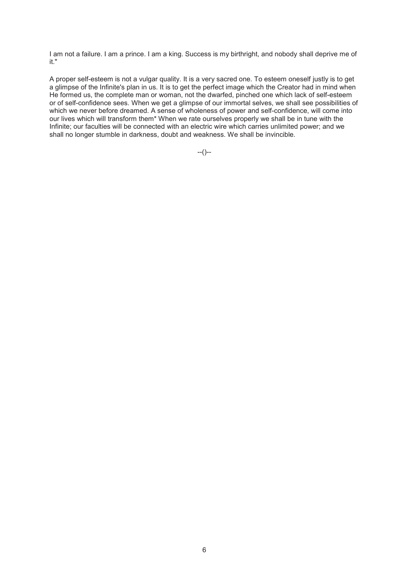I am not a failure. I am a prince. I am a king. Success is my birthright, and nobody shall deprive me of it."

A proper self-esteem is not a vulgar quality. It is a very sacred one. To esteem oneself justly is to get a glimpse of the Infinite's plan in us. It is to get the perfect image which the Creator had in mind when He formed us, the complete man or woman, not the dwarfed, pinched one which lack of self-esteem or of self-confidence sees. When we get a glimpse of our immortal selves, we shall see possibilities of which we never before dreamed. A sense of wholeness of power and self-confidence, will come into our lives which will transform them\* When we rate ourselves properly we shall be in tune with the Infinite; our faculties will be connected with an electric wire which carries unlimited power; and we shall no longer stumble in darkness, doubt and weakness. We shall be invincible.

--()--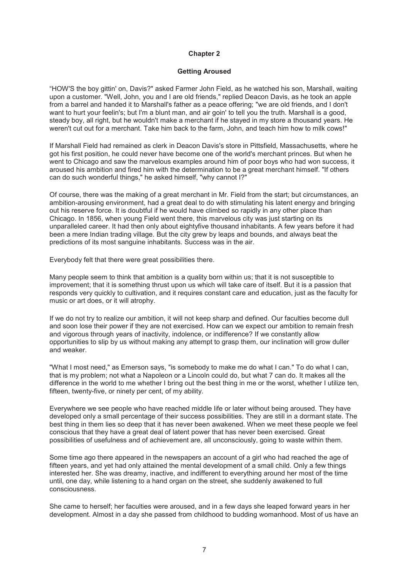#### **Getting Aroused**

"HOW'S the boy gittin' on, Davis?" asked Farmer John Field, as he watched his son, Marshall, waiting upon a customer. "Well, John, you and I are old friends," replied Deacon Davis, as he took an apple from a barrel and handed it to Marshall's father as a peace offering; "we are old friends, and I don't want to hurt your feelin's; but I'm a blunt man, and air goin' to tell you the truth. Marshall is a good, steady boy, all right, but he wouldn't make a merchant if he stayed in my store a thousand years. He weren't cut out for a merchant. Take him back to the farm, John, and teach him how to milk cows!"

If Marshall Field had remained as clerk in Deacon Davis's store in Pittsfield, Massachusetts, where he got his first position, he could never have become one of the world's merchant princes. But when he went to Chicago and saw the marvelous examples around him of poor boys who had won success, it aroused his ambition and fired him with the determination to be a great merchant himself. "If others can do such wonderful things," he asked himself, "why cannot I?"

Of course, there was the making of a great merchant in Mr. Field from the start; but circumstances, an ambition-arousing environment, had a great deal to do with stimulating his latent energy and bringing out his reserve force. It is doubtful if he would have climbed so rapidly in any other place than Chicago. In 1856, when young Field went there, this marvelous city was just starting on its unparalleled career. It had then only about eightyfive thousand inhabitants. A few years before it had been a mere Indian trading village. But the city grew by leaps and bounds, and always beat the predictions of its most sanguine inhabitants. Success was in the air.

Everybody felt that there were great possibilities there.

Many people seem to think that ambition is a quality born within us; that it is not susceptible to improvement; that it is something thrust upon us which will take care of itself. But it is a passion that responds very quickly to cultivation, and it requires constant care and education, just as the faculty for music or art does, or it will atrophy.

If we do not try to realize our ambition, it will not keep sharp and defined. Our faculties become dull and soon lose their power if they are not exercised. How can we expect our ambition to remain fresh and vigorous through years of inactivity, indolence, or indifference? If we constantly allow opportunities to slip by us without making any attempt to grasp them, our inclination will grow duller and weaker.

"What I most need," as Emerson says, "is somebody to make me do what I can." To do what I can, that is my problem; not what a Napoleon or a Lincoln could do, but what 7 can do. It makes all the difference in the world to me whether I bring out the best thing in me or the worst, whether I utilize ten, fifteen, twenty-five, or ninety per cent, of my ability.

Everywhere we see people who have reached middle life or later without being aroused. They have developed only a small percentage of their success possibilities. They are still in a dormant state. The best thing in them lies so deep that it has never been awakened. When we meet these people we feel conscious that they have a great deal of latent power that has never been exercised. Great possibilities of usefulness and of achievement are, all unconsciously, going to waste within them.

Some time ago there appeared in the newspapers an account of a girl who had reached the age of fifteen years, and yet had only attained the mental development of a small child. Only a few things interested her. She was dreamy, inactive, and indifferent to everything around her most of the time until, one day, while listening to a hand organ on the street, she suddenly awakened to full consciousness.

She came to herself; her faculties were aroused, and in a few days she leaped forward years in her development. Almost in a day she passed from childhood to budding womanhood. Most of us have an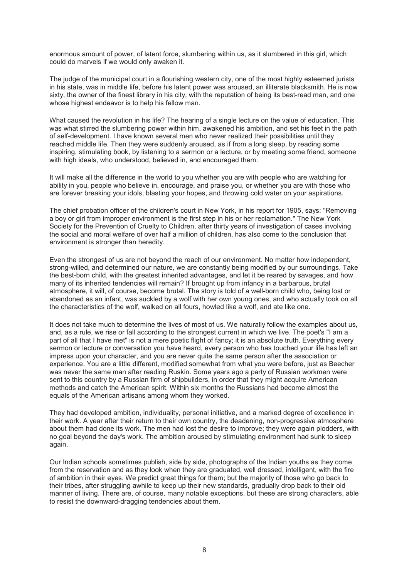enormous amount of power, of latent force, slumbering within us, as it slumbered in this girl, which could do marvels if we would only awaken it.

The judge of the municipal court in a flourishing western city, one of the most highly esteemed jurists in his state, was in middle life, before his latent power was aroused, an illiterate blacksmith. He is now sixty, the owner of the finest library in his city, with the reputation of being its best-read man, and one whose highest endeavor is to help his fellow man.

What caused the revolution in his life? The hearing of a single lecture on the value of education. This was what stirred the slumbering power within him, awakened his ambition, and set his feet in the path of self-development. I have known several men who never realized their possibilities until they reached middle life. Then they were suddenly aroused, as if from a long sleep, by reading some inspiring, stimulating book, by listening to a sermon or a lecture, or by meeting some friend, someone with high ideals, who understood, believed in, and encouraged them.

It will make all the difference in the world to you whether you are with people who are watching for ability in you, people who believe in, encourage, and praise you, or whether you are with those who are forever breaking your idols, blasting your hopes, and throwing cold water on your aspirations.

The chief probation officer of the children's court in New York, in his report for 1905, says: "Removing a boy or girl from improper environment is the first step in his or her reclamation." The New York Society for the Prevention of Cruelty to Children, after thirty years of investigation of cases involving the social and moral welfare of over half a million of children, has also come to the conclusion that environment is stronger than heredity.

Even the strongest of us are not beyond the reach of our environment. No matter how independent, strong-willed, and determined our nature, we are constantly being modified by our surroundings. Take the best-born child, with the greatest inherited advantages, and let it be reared by savages, and how many of its inherited tendencies will remain? If brought up from infancy in a barbarous, brutal atmosphere, it will, of course, become brutal. The story is told of a well-born child who, being lost or abandoned as an infant, was suckled by a wolf with her own young ones, and who actually took on all the characteristics of the wolf, walked on all fours, howled like a wolf, and ate like one.

It does not take much to determine the lives of most of us. We naturally follow the examples about us, and, as a rule, we rise or fall according to the strongest current in which we live. The poet's "I am a part of all that I have met" is not a mere poetic flight of fancy; it is an absolute truth. Everything every sermon or lecture or conversation you have heard, every person who has touched your life has left an impress upon your character, and you are never quite the same person after the association or experience. You are a little different, modified somewhat from what you were before, just as Beecher was never the same man after reading Ruskin. Some years ago a party of Russian workmen were sent to this country by a Russian firm of shipbuilders, in order that they might acquire American methods and catch the American spirit. Within six months the Russians had become almost the equals of the American artisans among whom they worked.

They had developed ambition, individuality, personal initiative, and a marked degree of excellence in their work. A year after their return to their own country, the deadening, non-progressive atmosphere about them had done its work. The men had lost the desire to improve; they were again plodders, with no goal beyond the day's work. The ambition aroused by stimulating environment had sunk to sleep again.

Our Indian schools sometimes publish, side by side, photographs of the Indian youths as they come from the reservation and as they look when they are graduated, well dressed, intelligent, with the fire of ambition in their eyes. We predict great things for them; but the majority of those who go back to their tribes, after struggling awhile to keep up their new standards, gradually drop back to their old manner of living. There are, of course, many notable exceptions, but these are strong characters, able to resist the downward-dragging tendencies about them.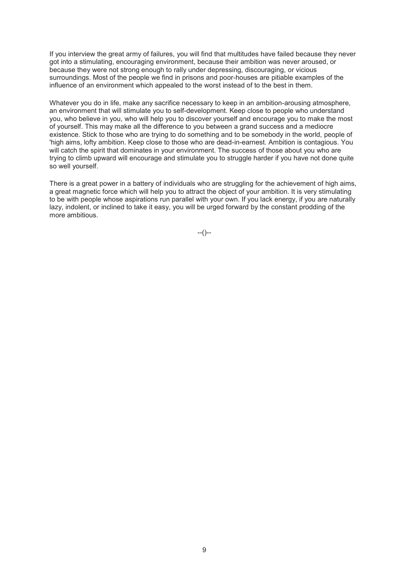If you interview the great army of failures, you will find that multitudes have failed because they never got into a stimulating, encouraging environment, because their ambition was never aroused, or because they were not strong enough to rally under depressing, discouraging, or vicious surroundings. Most of the people we find in prisons and poor-houses are pitiable examples of the influence of an environment which appealed to the worst instead of to the best in them.

Whatever you do in life, make any sacrifice necessary to keep in an ambition-arousing atmosphere, an environment that will stimulate you to self-development. Keep close to people who understand you, who believe in you, who will help you to discover yourself and encourage you to make the most of yourself. This may make all the difference to you between a grand success and a mediocre existence. Stick to those who are trying to do something and to be somebody in the world, people of 'high aims, lofty ambition. Keep close to those who are dead-in-earnest. Ambition is contagious. You will catch the spirit that dominates in your environment. The success of those about you who are trying to climb upward will encourage and stimulate you to struggle harder if you have not done quite so well yourself.

There is a great power in a battery of individuals who are struggling for the achievement of high aims, a great magnetic force which will help you to attract the object of your ambition. It is very stimulating to be with people whose aspirations run parallel with your own. If you lack energy, if you are naturally lazy, indolent, or inclined to take it easy, you will be urged forward by the constant prodding of the more ambitious.

 $-(-)$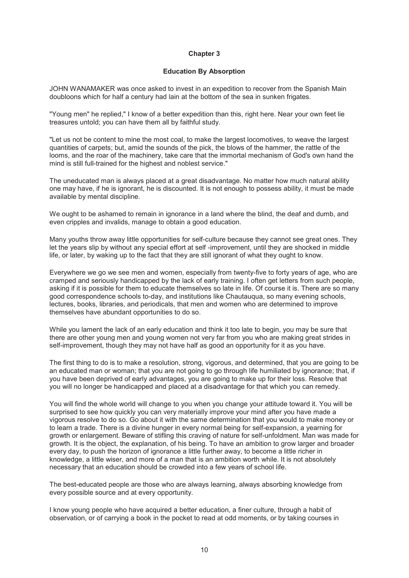#### **Education By Absorption**

JOHN WANAMAKER was once asked to invest in an expedition to recover from the Spanish Main doubloons which for half a century had lain at the bottom of the sea in sunken frigates.

"Young men" he replied," I know of a better expedition than this, right here. Near your own feet lie treasures untold; you can have them all by faithful study.

"Let us not be content to mine the most coal, to make the largest locomotives, to weave the largest quantities of carpets; but, amid the sounds of the pick, the blows of the hammer, the rattle of the looms, and the roar of the machinery, take care that the immortal mechanism of God's own hand the mind is still full-trained for the highest and noblest service."

The uneducated man is always placed at a great disadvantage. No matter how much natural ability one may have, if he is ignorant, he is discounted. It is not enough to possess ability, it must be made available by mental discipline.

We ought to be ashamed to remain in ignorance in a land where the blind, the deaf and dumb, and even cripples and invalids, manage to obtain a good education.

Many youths throw away little opportunities for self-culture because they cannot see great ones. They let the years slip by without any special effort at self -improvement, until they are shocked in middle life, or later, by waking up to the fact that they are still ignorant of what they ought to know.

Everywhere we go we see men and women, especially from twenty-five to forty years of age, who are cramped and seriously handicapped by the lack of early training. I often get letters from such people, asking if it is possible for them to educate themselves so late in life. Of course it is. There are so many good correspondence schools to-day, and institutions like Chautauqua, so many evening schools, lectures, books, libraries, and periodicals, that men and women who are determined to improve themselves have abundant opportunities to do so.

While you lament the lack of an early education and think it too late to begin, you may be sure that there are other young men and young women not very far from you who are making great strides in self-improvement, though they may not have half as good an opportunity for it as you have.

The first thing to do is to make a resolution, strong, vigorous, and determined, that you are going to be an educated man or woman; that you are not going to go through life humiliated by ignorance; that, if you have been deprived of early advantages, you are going to make up for their loss. Resolve that you will no longer be handicapped and placed at a disadvantage for that which you can remedy.

You will find the whole world will change to you when you change your attitude toward it. You will be surprised to see how quickly you can very materially improve your mind after you have made a vigorous resolve to do so. Go about it with the same determination that you would to make money or to learn a trade. There is a divine hunger in every normal being for self-expansion, a yearning for growth or enlargement. Beware of stifling this craving of nature for self-unfoldment. Man was made for growth. It is the object, the explanation, of his being. To have an ambition to grow larger and broader every day, to push the horizon of ignorance a little further away, to become a little richer in knowledge, a little wiser, and more of a man that is an ambition worth while. It is not absolutely necessary that an education should be crowded into a few years of school life.

The best-educated people are those who are always learning, always absorbing knowledge from every possible source and at every opportunity.

I know young people who have acquired a better education, a finer culture, through a habit of observation, or of carrying a book in the pocket to read at odd moments, or by taking courses in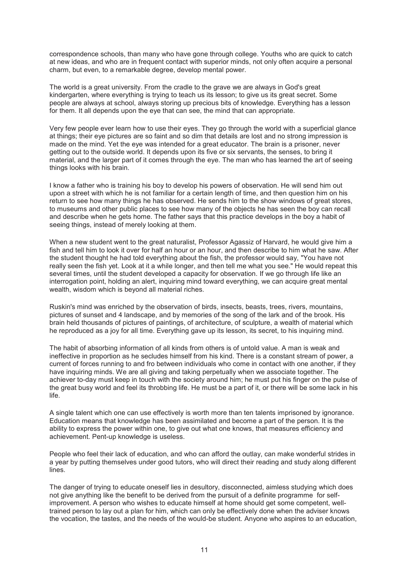correspondence schools, than many who have gone through college. Youths who are quick to catch at new ideas, and who are in frequent contact with superior minds, not only often acquire a personal charm, but even, to a remarkable degree, develop mental power.

The world is a great university. From the cradle to the grave we are always in God's great kindergarten, where everything is trying to teach us its lesson; to give us its great secret. Some people are always at school, always storing up precious bits of knowledge. Everything has a lesson for them. It all depends upon the eye that can see, the mind that can appropriate.

Very few people ever learn how to use their eyes. They go through the world with a superficial glance at things; their eye pictures are so faint and so dim that details are lost and no strong impression is made on the mind. Yet the eye was intended for a great educator. The brain is a prisoner, never getting out to the outside world. It depends upon its five or six servants, the senses, to bring it material, and the larger part of it comes through the eye. The man who has learned the art of seeing things looks with his brain.

I know a father who is training his boy to develop his powers of observation. He will send him out upon a street with which he is not familiar for a certain length of time, and then question him on his return to see how many things he has observed. He sends him to the show windows of great stores, to museums and other public places to see how many of the objects he has seen the boy can recall and describe when he gets home. The father says that this practice develops in the boy a habit of seeing things, instead of merely looking at them.

When a new student went to the great naturalist, Professor Agassiz of Harvard, he would give him a fish and tell him to look it over for half an hour or an hour, and then describe to him what he saw. After the student thought he had told everything about the fish, the professor would say, "You have not really seen the fish yet. Look at it a while longer, and then tell me what you see." He would repeat this several times, until the student developed a capacity for observation. If we go through life like an interrogation point, holding an alert, inquiring mind toward everything, we can acquire great mental wealth, wisdom which is beyond all material riches.

Ruskin's mind was enriched by the observation of birds, insects, beasts, trees, rivers, mountains, pictures of sunset and 4 landscape, and by memories of the song of the lark and of the brook. His brain held thousands of pictures of paintings, of architecture, of sculpture, a wealth of material which he reproduced as a joy for all time. Everything gave up its lesson, its secret, to his inquiring mind.

The habit of absorbing information of all kinds from others is of untold value. A man is weak and ineffective in proportion as he secludes himself from his kind. There is a constant stream of power, a current of forces running to and fro between individuals who come in contact with one another, if they have inquiring minds. We are all giving and taking perpetually when we associate together. The achiever to-day must keep in touch with the society around him; he must put his finger on the pulse of the great busy world and feel its throbbing life. He must be a part of it, or there will be some lack in his life.

A single talent which one can use effectively is worth more than ten talents imprisoned by ignorance. Education means that knowledge has been assimilated and become a part of the person. It is the ability to express the power within one, to give out what one knows, that measures efficiency and achievement. Pent-up knowledge is useless.

People who feel their lack of education, and who can afford the outlay, can make wonderful strides in a year by putting themselves under good tutors, who will direct their reading and study along different lines.

The danger of trying to educate oneself lies in desultory, disconnected, aimless studying which does not give anything like the benefit to be derived from the pursuit of a definite programme for selfimprovement. A person who wishes to educate himself at home should get some competent, welltrained person to lay out a plan for him, which can only be effectively done when the adviser knows the vocation, the tastes, and the needs of the would-be student. Anyone who aspires to an education,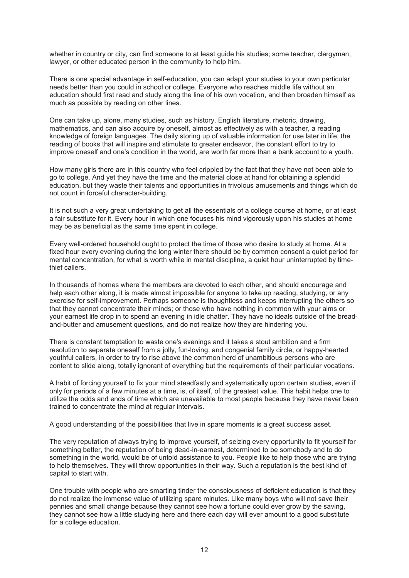whether in country or city, can find someone to at least guide his studies; some teacher, clergyman, lawyer, or other educated person in the community to help him.

There is one special advantage in self-education, you can adapt your studies to your own particular needs better than you could in school or college. Everyone who reaches middle life without an education should first read and study along the line of his own vocation, and then broaden himself as much as possible by reading on other lines.

One can take up, alone, many studies, such as history, English literature, rhetoric, drawing, mathematics, and can also acquire by oneself, almost as effectively as with a teacher, a reading knowledge of foreign languages. The daily storing up of valuable information for use later in life, the reading of books that will inspire and stimulate to greater endeavor, the constant effort to try to improve oneself and one's condition in the world, are worth far more than a bank account to a youth.

How many girls there are in this country who feel crippled by the fact that they have not been able to go to college. And yet they have the time and the material close at hand for obtaining a splendid education, but they waste their talents and opportunities in frivolous amusements and things which do not count in forceful character-building.

It is not such a very great undertaking to get all the essentials of a college course at home, or at least a fair substitute for it. Every hour in which one focuses his mind vigorously upon his studies at home may be as beneficial as the same time spent in college.

Every well-ordered household ought to protect the time of those who desire to study at home. At a fixed hour every evening during the long winter there should be by common consent a quiet period for mental concentration, for what is worth while in mental discipline, a quiet hour uninterrupted by timethief callers.

In thousands of homes where the members are devoted to each other, and should encourage and help each other along, it is made almost impossible for anyone to take up reading, studying, or any exercise for self-improvement. Perhaps someone is thoughtless and keeps interrupting the others so that they cannot concentrate their minds; or those who have nothing in common with your aims or your earnest life drop in to spend an evening in idle chatter. They have no ideals outside of the breadand-butter and amusement questions, and do not realize how they are hindering you.

There is constant temptation to waste one's evenings and it takes a stout ambition and a firm resolution to separate oneself from a jolly, fun-loving, and congenial family circle, or happy-hearted youthful callers, in order to try to rise above the common herd of unambitious persons who are content to slide along, totally ignorant of everything but the requirements of their particular vocations.

A habit of forcing yourself to fix your mind steadfastly and systematically upon certain studies, even if only for periods of a few minutes at a time, is, of itself, of the greatest value. This habit helps one to utilize the odds and ends of time which are unavailable to most people because they have never been trained to concentrate the mind at regular intervals.

A good understanding of the possibilities that live in spare moments is a great success asset.

The very reputation of always trying to improve yourself, of seizing every opportunity to fit yourself for something better, the reputation of being dead-in-earnest, determined to be somebody and to do something in the world, would be of untold assistance to you. People like to help those who are trying to help themselves. They will throw opportunities in their way. Such a reputation is the best kind of capital to start with.

One trouble with people who are smarting tinder the consciousness of deficient education is that they do not realize the immense value of utilizing spare minutes. Like many boys who will not save their pennies and small change because they cannot see how a fortune could ever grow by the saving, they cannot see how a little studying here and there each day will ever amount to a good substitute for a college education.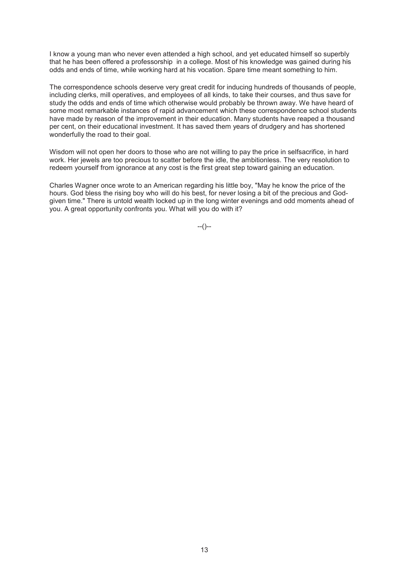I know a young man who never even attended a high school, and yet educated himself so superbly that he has been offered a professorship in a college. Most of his knowledge was gained during his odds and ends of time, while working hard at his vocation. Spare time meant something to him.

The correspondence schools deserve very great credit for inducing hundreds of thousands of people, including clerks, mill operatives, and employees of all kinds, to take their courses, and thus save for study the odds and ends of time which otherwise would probably be thrown away. We have heard of some most remarkable instances of rapid advancement which these correspondence school students have made by reason of the improvement in their education. Many students have reaped a thousand per cent, on their educational investment. It has saved them years of drudgery and has shortened wonderfully the road to their goal.

Wisdom will not open her doors to those who are not willing to pay the price in selfsacrifice, in hard work. Her jewels are too precious to scatter before the idle, the ambitionless. The very resolution to redeem yourself from ignorance at any cost is the first great step toward gaining an education.

Charles Wagner once wrote to an American regarding his little boy, "May he know the price of the hours. God bless the rising boy who will do his best, for never losing a bit of the precious and Godgiven time." There is untold wealth locked up in the long winter evenings and odd moments ahead of you. A great opportunity confronts you. What will you do with it?

 $-(-)$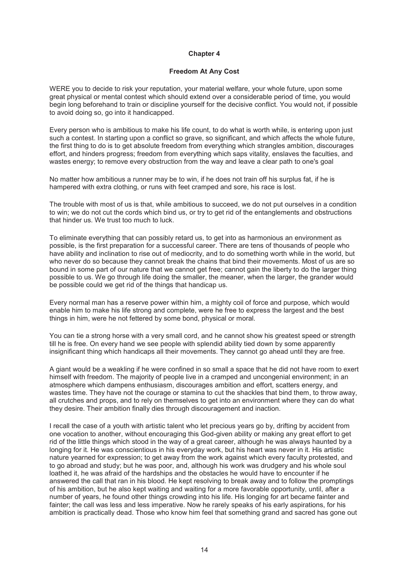#### **Freedom At Any Cost**

WERE you to decide to risk your reputation, your material welfare, your whole future, upon some great physical or mental contest which should extend over a considerable period of time, you would begin long beforehand to train or discipline yourself for the decisive conflict. You would not, if possible to avoid doing so, go into it handicapped.

Every person who is ambitious to make his life count, to do what is worth while, is entering upon just such a contest. In starting upon a conflict so grave, so significant, and which affects the whole future, the first thing to do is to get absolute freedom from everything which strangles ambition, discourages effort, and hinders progress; freedom from everything which saps vitality, enslaves the faculties, and wastes energy; to remove every obstruction from the way and leave a clear path to one's goal

No matter how ambitious a runner may be to win, if he does not train off his surplus fat, if he is hampered with extra clothing, or runs with feet cramped and sore, his race is lost.

The trouble with most of us is that, while ambitious to succeed, we do not put ourselves in a condition to win; we do not cut the cords which bind us, or try to get rid of the entanglements and obstructions that hinder us. We trust too much to luck.

To eliminate everything that can possibly retard us, to get into as harmonious an environment as possible, is the first preparation for a successful career. There are tens of thousands of people who have ability and inclination to rise out of mediocrity, and to do something worth while in the world, but who never do so because they cannot break the chains that bind their movements. Most of us are so bound in some part of our nature that we cannot get free; cannot gain the liberty to do the larger thing possible to us. We go through life doing the smaller, the meaner, when the larger, the grander would be possible could we get rid of the things that handicap us.

Every normal man has a reserve power within him, a mighty coil of force and purpose, which would enable him to make his life strong and complete, were he free to express the largest and the best things in him, were he not fettered by some bond, physical or moral.

You can tie a strong horse with a very small cord, and he cannot show his greatest speed or strength till he is free. On every hand we see people with splendid ability tied down by some apparently insignificant thing which handicaps all their movements. They cannot go ahead until they are free.

A giant would be a weakling if he were confined in so small a space that he did not have room to exert himself with freedom. The majority of people live in a cramped and uncongenial environment; in an atmosphere which dampens enthusiasm, discourages ambition and effort, scatters energy, and wastes time. They have not the courage or stamina to cut the shackles that bind them, to throw away, all crutches and props, and to rely on themselves to get into an environment where they can do what they desire. Their ambition finally dies through discouragement and inaction.

I recall the case of a youth with artistic talent who let precious years go by, drifting by accident from one vocation to another, without encouraging this God-given ability or making any great effort to get rid of the little things which stood in the way of a great career, although he was always haunted by a longing for it. He was conscientious in his everyday work, but his heart was never in it. His artistic nature yearned for expression; to get away from the work against which every faculty protested, and to go abroad and study; but he was poor, and, although his work was drudgery and his whole soul loathed it, he was afraid of the hardships and the obstacles he would have to encounter if he answered the call that ran in his blood. He kept resolving to break away and to follow the promptings of his ambition, but he also kept waiting and waiting for a more favorable opportunity, until, after a number of years, he found other things crowding into his life. His longing for art became fainter and fainter; the call was less and less imperative. Now he rarely speaks of his early aspirations, for his ambition is practically dead. Those who know him feel that something grand and sacred has gone out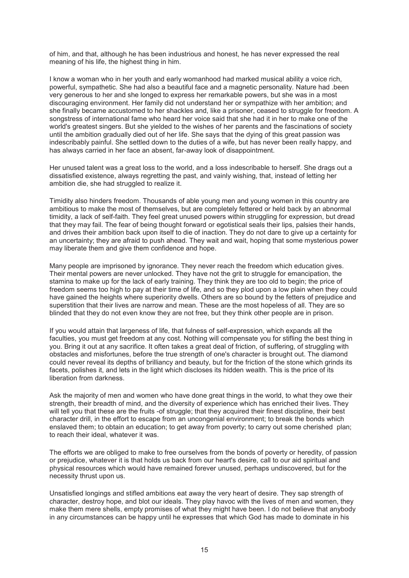of him, and that, although he has been industrious and honest, he has never expressed the real meaning of his life, the highest thing in him.

I know a woman who in her youth and early womanhood had marked musical ability a voice rich, powerful, sympathetic. She had also a beautiful face and a magnetic personality. Nature had .been very generous to her and she longed to express her remarkable powers, but she was in a most discouraging environment. Her family did not understand her or sympathize with her ambition; and she finally became accustomed to her shackles and, like a prisoner, ceased to struggle for freedom. A songstress of international fame who heard her voice said that she had it in her to make one of the world's greatest singers. But she yielded to the wishes of her parents and the fascinations of society until the ambition gradually died out of her life. She says that the dying of this great passion was indescribably painful. She settled down to the duties of a wife, but has never been really happy, and has always carried in her face an absent, far-away look of disappointment.

Her unused talent was a great loss to the world, and a loss indescribable to herself. She drags out a dissatisfied existence, always regretting the past, and vainly wishing, that, instead of letting her ambition die, she had struggled to realize it.

Timidity also hinders freedom. Thousands of able young men and young women in this country are ambitious to make the most of themselves, but are completely fettered or held back by an abnormal timidity, a lack of self-faith. They feel great unused powers within struggling for expression, but dread that they may fail. The fear of being thought forward or egotistical seals their lips, palsies their hands, and drives their ambition back upon itself to die of inaction. They do not dare to give up a certainty for an uncertainty; they are afraid to push ahead. They wait and wait, hoping that some mysterious power may liberate them and give them confidence and hope.

Many people are imprisoned by ignorance. They never reach the freedom which education gives. Their mental powers are never unlocked. They have not the grit to struggle for emancipation, the stamina to make up for the lack of early training. They think they are too old to begin; the price of freedom seems too high to pay at their time of life, and so they plod upon a low plain when they could have gained the heights where superiority dwells. Others are so bound by the fetters of prejudice and superstition that their lives are narrow and mean. These are the most hopeless of all. They are so blinded that they do not even know they are not free, but they think other people are in prison.

If you would attain that largeness of life, that fulness of self-expression, which expands all the faculties, you must get freedom at any cost. Nothing will compensate you for stifling the best thing in you. Bring it out at any sacrifice. It often takes a great deal of friction, of suffering, of struggling with obstacles and misfortunes, before the true strength of one's character is brought out. The diamond could never reveal its depths of brilliancy and beauty, but for the friction of the stone which grinds its facets, polishes it, and lets in the light which discloses its hidden wealth. This is the price of its liberation from darkness.

Ask the majority of men and women who have done great things in the world, to what they owe their strength, their breadth of mind, and the diversity of experience which has enriched their lives. They will tell you that these are the fruits -of struggle; that they acquired their finest discipline, their best character drill, in the effort to escape from an uncongenial environment; to break the bonds which enslaved them; to obtain an education; to get away from poverty; to carry out some cherished plan; to reach their ideal, whatever it was.

The efforts we are obliged to make to free ourselves from the bonds of poverty or heredity, of passion or prejudice, whatever it is that holds us back from our heart's desire, call to our aid spiritual and physical resources which would have remained forever unused, perhaps undiscovered, but for the necessity thrust upon us.

Unsatisfied longings and stifled ambitions eat away the very heart of desire. They sap strength of character, destroy hope, and blot our ideals. They play havoc with the lives of men and women, they make them mere shells, empty promises of what they might have been. I do not believe that anybody in any circumstances can be happy until he expresses that which God has made to dominate in his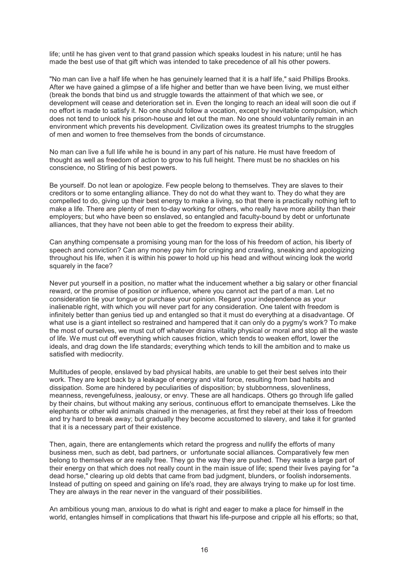life; until he has given vent to that grand passion which speaks loudest in his nature; until he has made the best use of that gift which was intended to take precedence of all his other powers.

"No man can live a half life when he has genuinely learned that it is a half life," said Phillips Brooks. After we have gained a glimpse of a life higher and better than we have been living, we must either (break the bonds that bind us and struggle towards the attainment of that which we see, or development will cease and deterioration set in. Even the longing to reach an ideal will soon die out if no effort is made to satisfy it. No one should follow a vocation, except by inevitable compulsion, which does not tend to unlock his prison-house and let out the man. No one should voluntarily remain in an environment which prevents his development. Civilization owes its greatest triumphs to the struggles of men and women to free themselves from the bonds of circumstance.

No man can live a full life while he is bound in any part of his nature. He must have freedom of thought as well as freedom of action to grow to his full height. There must be no shackles on his conscience, no Stirling of his best powers.

Be yourself. Do not lean or apologize. Few people belong to themselves. They are slaves to their creditors or to some entangling alliance. They do not do what they want to. They do what they are compelled to do, giving up their best energy to make a living, so that there is practically nothing left to make a life. There are plenty of men to-day working for others, who really have more ability than their employers; but who have been so enslaved, so entangled and faculty-bound by debt or unfortunate alliances, that they have not been able to get the freedom to express their ability.

Can anything compensate a promising young man for the loss of his freedom of action, his liberty of speech and conviction? Can any money pay him for cringing and crawling, sneaking and apologizing throughout his life, when it is within his power to hold up his head and without wincing look the world squarely in the face?

Never put yourself in a position, no matter what the inducement whether a big salary or other financial reward, or the promise of position or influence, where you cannot act the part of a man. Let no consideration tie your tongue or purchase your opinion. Regard your independence as your inalienable right, with which you will never part for any consideration. One talent with freedom is infinitely better than genius tied up and entangled so that it must do everything at a disadvantage. Of what use is a giant intellect so restrained and hampered that it can only do a pygmy's work? To make the most of ourselves, we must cut off whatever drains vitality physical or moral and stop all the waste of life. We must cut off everything which causes friction, which tends to weaken effort, lower the ideals, and drag down the life standards; everything which tends to kill the ambition and to make us satisfied with mediocrity.

Multitudes of people, enslaved by bad physical habits, are unable to get their best selves into their work. They are kept back by a leakage of energy and vital force, resulting from bad habits and dissipation. Some are hindered by peculiarities of disposition; by stubbornness, slovenliness, meanness, revengefulness, jealousy, or envy. These are all handicaps. Others go through life galled by their chains, but without making any serious, continuous effort to emancipate themselves. Like the elephants or other wild animals chained in the menageries, at first they rebel at their loss of freedom and try hard to break away; but gradually they become accustomed to slavery, and take it for granted that it is a necessary part of their existence.

Then, again, there are entanglements which retard the progress and nullify the efforts of many business men, such as debt, bad partners, or unfortunate social alliances. Comparatively few men belong to themselves or are really free. They go the way they are pushed. They waste a large part of their energy on that which does not really count in the main issue of life; spend their lives paying for "a dead horse," clearing up old debts that came from bad judgment, blunders, or foolish indorsements. Instead of putting on speed and gaining on life's road, they are always trying to make up for lost time. They are always in the rear never in the vanguard of their possibilities.

An ambitious young man, anxious to do what is right and eager to make a place for himself in the world, entangles himself in complications that thwart his life-purpose and cripple all his efforts; so that,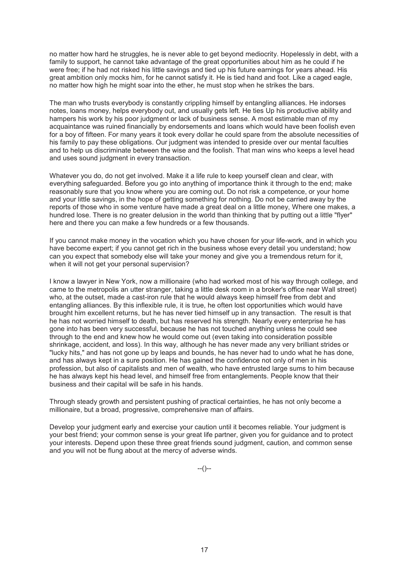no matter how hard he struggles, he is never able to get beyond mediocrity. Hopelessly in debt, with a family to support, he cannot take advantage of the great opportunities about him as he could if he were free; if he had not risked his little savings and tied up his future earnings for years ahead. His great ambition only mocks him, for he cannot satisfy it. He is tied hand and foot. Like a caged eagle, no matter how high he might soar into the ether, he must stop when he strikes the bars.

The man who trusts everybody is constantly crippling himself by entangling alliances. He indorses notes, loans money, helps everybody out, and usually gets left. He ties Up his productive ability and hampers his work by his poor judgment or lack of business sense. A most estimable man of my acquaintance was ruined financially by endorsements and loans which would have been foolish even for a boy of fifteen. For many years it took every dollar he could spare from the absolute necessities of his family to pay these obligations. Our judgment was intended to preside over our mental faculties and to help us discriminate between the wise and the foolish. That man wins who keeps a level head and uses sound judgment in every transaction.

Whatever you do, do not get involved. Make it a life rule to keep yourself clean and clear, with everything safeguarded. Before you go into anything of importance think it through to the end; make reasonably sure that you know where you are coming out. Do not risk a competence, or your home and your little savings, in the hope of getting something for nothing. Do not be carried away by the reports of those who in some venture have made a great deal on a little money, Where one makes, a hundred lose. There is no greater delusion in the world than thinking that by putting out a little "flyer" here and there you can make a few hundreds or a few thousands.

If you cannot make money in the vocation which you have chosen for your life-work, and in which you have become expert; if you cannot get rich in the business whose every detail you understand; how can you expect that somebody else will take your money and give you a tremendous return for it, when it will not get your personal supervision?

I know a lawyer in New York, now a millionaire (who had worked most of his way through college, and came to the metropolis an utter stranger, taking a little desk room in a broker's office near Wall street) who, at the outset, made a cast-iron rule that he would always keep himself free from debt and entangling alliances. By this inflexible rule, it is true, he often lost opportunities which would have brought him excellent returns, but he has never tied himself up in any transaction. The result is that he has not worried himself to death, but has reserved his strength. Nearly every enterprise he has gone into has been very successful, because he has not touched anything unless he could see through to the end and knew how he would come out (even taking into consideration possible shrinkage, accident, and loss). In this way, although he has never made any very brilliant strides or "lucky hits," and has not gone up by leaps and bounds, he has never had to undo what he has done, and has always kept in a sure position. He has gained the confidence not only of men in his profession, but also of capitalists and men of wealth, who have entrusted large sums to him because he has always kept his head level, and himself free from entanglements. People know that their business and their capital will be safe in his hands.

Through steady growth and persistent pushing of practical certainties, he has not only become a millionaire, but a broad, progressive, comprehensive man of affairs.

Develop your judgment early and exercise your caution until it becomes reliable. Your judgment is your best friend; your common sense is your great life partner, given you for guidance and to protect your interests. Depend upon these three great friends sound judgment, caution, and common sense and you will not be flung about at the mercy of adverse winds.

 $-(-)$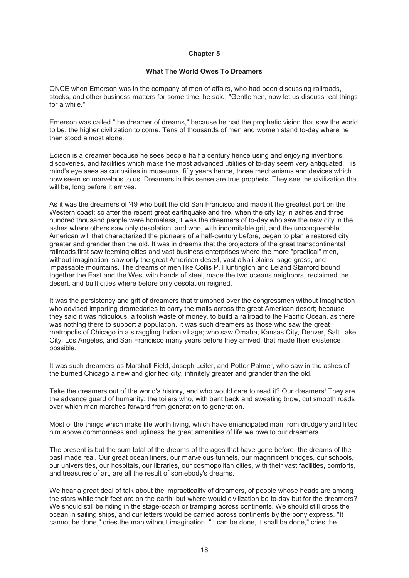#### **What The World Owes To Dreamers**

ONCE when Emerson was in the company of men of affairs, who had been discussing railroads, stocks, and other business matters for some time, he said, "Gentlemen, now let us discuss real things for a while."

Emerson was called "the dreamer of dreams," because he had the prophetic vision that saw the world to be, the higher civilization to come. Tens of thousands of men and women stand to-day where he then stood almost alone.

Edison is a dreamer because he sees people half a century hence using and enjoying inventions, discoveries, and facilities which make the most advanced utilities of to-day seem very antiquated. His mind's eye sees as curiosities in museums, fifty years hence, those mechanisms and devices which now seem so marvelous to us. Dreamers in this sense are true prophets. They see the civilization that will be, long before it arrives.

As it was the dreamers of '49 who built the old San Francisco and made it the greatest port on the Western coast; so after the recent great earthquake and fire, when the city lay in ashes and three hundred thousand people were homeless, it was the dreamers of to-day who saw the new city in the ashes where others saw only desolation, and who, with indomitable grit, and the unconquerable American will that characterized the pioneers of a half-century before, began to plan a restored city greater and grander than the old. It was in dreams that the projectors of the great transcontinental railroads first saw teeming cities and vast business enterprises where the more "practical" men, without imagination, saw only the great American desert, vast alkali plains, sage grass, and impassable mountains. The dreams of men like Collis P. Huntington and Leland Stanford bound together the East and the West with bands of steel, made the two oceans neighbors, reclaimed the desert, and built cities where before only desolation reigned.

It was the persistency and grit of dreamers that triumphed over the congressmen without imagination who advised importing dromedaries to carry the mails across the great American desert; because they said it was ridiculous, a foolish waste of money, to build a railroad to the Pacific Ocean, as there was nothing there to support a population. It was such dreamers as those who saw the great metropolis of Chicago in a straggling Indian village; who saw Omaha, Kansas City, Denver, Salt Lake City, Los Angeles, and San Francisco many years before they arrived, that made their existence possible.

It was such dreamers as Marshall Field, Joseph Leiter, and Potter Palmer, who saw in the ashes of the burned Chicago a new and glorified city, infinitely greater and grander than the old.

Take the dreamers out of the world's history, and who would care to read it? Our dreamers! They are the advance guard of humanity; the toilers who, with bent back and sweating brow, cut smooth roads over which man marches forward from generation to generation.

Most of the things which make life worth living, which have emancipated man from drudgery and lifted him above commonness and ugliness the great amenities of life we owe to our dreamers.

The present is but the sum total of the dreams of the ages that have gone before, the dreams of the past made real. Our great ocean liners, our marvelous tunnels, our magnificent bridges, our schools, our universities, our hospitals, our libraries, our cosmopolitan cities, with their vast facilities, comforts, and treasures of art, are all the result of somebody's dreams.

We hear a great deal of talk about the impracticality of dreamers, of people whose heads are among the stars while their feet are on the earth; but where would civilization be to-day but for the dreamers? We should still be riding in the stage-coach or tramping across continents. We should still cross the ocean in sailing ships, and our letters would be carried across continents by the pony express. "It cannot be done," cries the man without imagination. "It can be done, it shall be done," cries the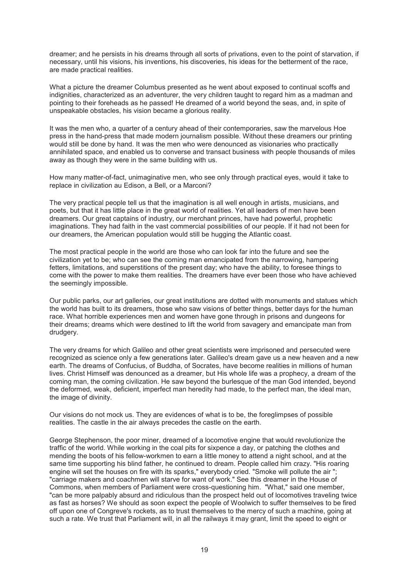dreamer; and he persists in his dreams through all sorts of privations, even to the point of starvation, if necessary, until his visions, his inventions, his discoveries, his ideas for the betterment of the race, are made practical realities.

What a picture the dreamer Columbus presented as he went about exposed to continual scoffs and indignities, characterized as an adventurer, the very children taught to regard him as a madman and pointing to their foreheads as he passed! He dreamed of a world beyond the seas, and, in spite of unspeakable obstacles, his vision became a glorious reality.

It was the men who, a quarter of a century ahead of their contemporaries, saw the marvelous Hoe press in the hand-press that made modern journalism possible. Without these dreamers our printing would still be done by hand. It was the men who were denounced as visionaries who practically annihilated space, and enabled us to converse and transact business with people thousands of miles away as though they were in the same building with us.

How many matter-of-fact, unimaginative men, who see only through practical eyes, would it take to replace in civilization au Edison, a Bell, or a Marconi?

The very practical people tell us that the imagination is all well enough in artists, musicians, and poets, but that it has little place in the great world of realities. Yet all leaders of men have been dreamers. Our great captains of industry, our merchant princes, have had powerful, prophetic imaginations. They had faith in the vast commercial possibilities of our people. If it had not been for our dreamers, the American population would still be hugging the Atlantic coast.

The most practical people in the world are those who can look far into the future and see the civilization yet to be; who can see the coming man emancipated from the narrowing, hampering fetters, limitations, and superstitions of the present day; who have the ability, to foresee things to come with the power to make them realities. The dreamers have ever been those who have achieved the seemingly impossible.

Our public parks, our art galleries, our great institutions are dotted with monuments and statues which the world has built to its dreamers, those who saw visions of better things, better days for the human race. What horrible experiences men and women have gone through in prisons and dungeons for their dreams; dreams which were destined to lift the world from savagery and emancipate man from drudgery.

The very dreams for which Galileo and other great scientists were imprisoned and persecuted were recognized as science only a few generations later. Galileo's dream gave us a new heaven and a new earth. The dreams of Confucius, of Buddha, of Socrates, have become realities in millions of human lives. Christ Himself was denounced as a dreamer, but His whole life was a prophecy, a dream of the coming man, the coming civilization. He saw beyond the burlesque of the man God intended, beyond the deformed, weak, deficient, imperfect man heredity had made, to the perfect man, the ideal man, the image of divinity.

Our visions do not mock us. They are evidences of what is to be, the foreglimpses of possible realities. The castle in the air always precedes the castle on the earth.

George Stephenson, the poor miner, dreamed of a locomotive engine that would revolutionize the traffic of the world. While working in the coal pits for sixpence a day, or patching the clothes and mending the boots of his fellow-workmen to earn a little money to attend a night school, and at the same time supporting his blind father, he continued to dream. People called him crazy. "His roaring engine will set the houses on fire with its sparks," everybody cried. "Smoke will pollute the air "; "carriage makers and coachmen will starve for want of work." See this dreamer in the House of Commons, when members of Parliament were cross-questioning him. "What," said one member, "can be more palpably absurd and ridiculous than the prospect held out of locomotives traveling twice as fast as horses? We should as soon expect the people of Woolwich to suffer themselves to be fired off upon one of Congreve's rockets, as to trust themselves to the mercy of such a machine, going at such a rate. We trust that Parliament will, in all the railways it may grant, limit the speed to eight or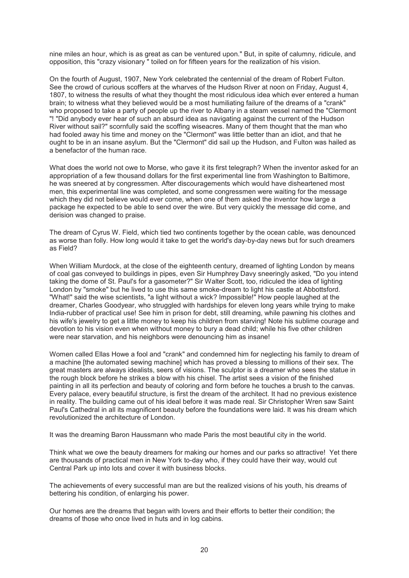nine miles an hour, which is as great as can be ventured upon." But, in spite of calumny, ridicule, and opposition, this "crazy visionary " toiled on for fifteen years for the realization of his vision.

On the fourth of August, 1907, New York celebrated the centennial of the dream of Robert Fulton. See the crowd of curious scoffers at the wharves of the Hudson River at noon on Friday, August 4, 1807, to witness the results of what they thought the most ridiculous idea which ever entered a human brain; to witness what they believed would be a most humiliating failure of the dreams of a "crank" who proposed to take a party of people up the river to Albany in a steam vessel named the "Clermont" "! "Did anybody ever hear of such an absurd idea as navigating against the current of the Hudson River without sail?" scornfully said the scoffing wiseacres. Many of them thought that the man who had fooled away his time and money on the "Clermont" was little better than an idiot, and that he ought to be in an insane asylum. But the "Clermont" did sail up the Hudson, and Fulton was hailed as a benefactor of the human race.

What does the world not owe to Morse, who gave it its first telegraph? When the inventor asked for an appropriation of a few thousand dollars for the first experimental line from Washington to Baltimore, he was sneered at by congressmen. After discouragements which would have disheartened most men, this experimental line was completed, and some congressmen were waiting for the message which they did not believe would ever come, when one of them asked the inventor how large a package he expected to be able to send over the wire. But very quickly the message did come, and derision was changed to praise.

The dream of Cyrus W. Field, which tied two continents together by the ocean cable, was denounced as worse than folly. How long would it take to get the world's day-by-day news but for such dreamers as Field?

When William Murdock, at the close of the eighteenth century, dreamed of lighting London by means of coal gas conveyed to buildings in pipes, even Sir Humphrey Davy sneeringly asked, "Do you intend taking the dome of St. Paul's for a gasometer?" Sir Walter Scott, too, ridiculed the idea of lighting London by "smoke" but he lived to use this same smoke-dream to light his castle at Abbottsford. "What!" said the wise scientists, "a light without a wick? Impossible!" How people laughed at the dreamer, Charles Goodyear, who struggled with hardships for eleven long years while trying to make India-rubber of practical use! See him in prison for debt, still dreaming, while pawning his clothes and his wife's jewelry to get a little money to keep his children from starving! Note his sublime courage and devotion to his vision even when without money to bury a dead child; while his five other children were near starvation, and his neighbors were denouncing him as insane!

Women called Ellas Howe a fool and "crank" and condemned him for neglecting his family to dream of a machine [the automated sewing machine] which has proved a blessing to millions of their sex. The great masters are always idealists, seers of visions. The sculptor is a dreamer who sees the statue in the rough block before he strikes a blow with his chisel. The artist sees a vision of the finished painting in all its perfection and beauty of coloring and form before he touches a brush to the canvas. Every palace, every beautiful structure, is first the dream of the architect. It had no previous existence in reality. The building came out of his ideal before it was made real. Sir Christopher Wren saw Saint Paul's Cathedral in all its magnificent beauty before the foundations were laid. It was his dream which revolutionized the architecture of London.

It was the dreaming Baron Haussmann who made Paris the most beautiful city in the world.

Think what we owe the beauty dreamers for making our homes and our parks so attractive! Yet there are thousands of practical men in New York to-day who, if they could have their way, would cut Central Park up into lots and cover it with business blocks.

The achievements of every successful man are but the realized visions of his youth, his dreams of bettering his condition, of enlarging his power.

Our homes are the dreams that began with lovers and their efforts to better their condition; the dreams of those who once lived in huts and in log cabins.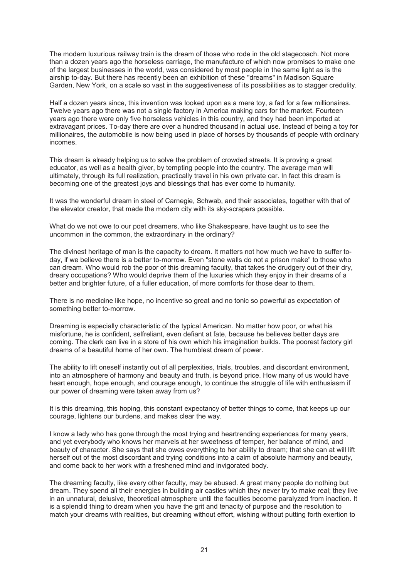The modern luxurious railway train is the dream of those who rode in the old stagecoach. Not more than a dozen years ago the horseless carriage, the manufacture of which now promises to make one of the largest businesses in the world, was considered by most people in the same light as is the airship to-day. But there has recently been an exhibition of these "dreams" in Madison Square Garden, New York, on a scale so vast in the suggestiveness of its possibilities as to stagger credulity.

Half a dozen years since, this invention was looked upon as a mere toy, a fad for a few millionaires. Twelve years ago there was not a single factory in America making cars for the market. Fourteen years ago there were only five horseless vehicles in this country, and they had been imported at extravagant prices. To-day there are over a hundred thousand in actual use. Instead of being a toy for millionaires, the automobile is now being used in place of horses by thousands of people with ordinary incomes.

This dream is already helping us to solve the problem of crowded streets. It is proving a great educator, as well as a health giver, by tempting people into the country. The average man will ultimately, through its full realization, practically travel in his own private car. In fact this dream is becoming one of the greatest joys and blessings that has ever come to humanity.

It was the wonderful dream in steel of Carnegie, Schwab, and their associates, together with that of the elevator creator, that made the modern city with its sky-scrapers possible.

What do we not owe to our poet dreamers, who like Shakespeare, have taught us to see the uncommon in the common, the extraordinary in the ordinary?

The divinest heritage of man is the capacity to dream. It matters not how much we have to suffer today, if we believe there is a better to-morrow. Even "stone walls do not a prison make" to those who can dream. Who would rob the poor of this dreaming faculty, that takes the drudgery out of their dry, dreary occupations? Who would deprive them of the luxuries which they enjoy in their dreams of a better and brighter future, of a fuller education, of more comforts for those dear to them.

There is no medicine like hope, no incentive so great and no tonic so powerful as expectation of something better to-morrow.

Dreaming is especially characteristic of the typical American. No matter how poor, or what his misfortune, he is confident, selfreliant, even defiant at fate, because he believes better days are coming. The clerk can live in a store of his own which his imagination builds. The poorest factory girl dreams of a beautiful home of her own. The humblest dream of power.

The ability to lift oneself instantly out of all perplexities, trials, troubles, and discordant environment, into an atmosphere of harmony and beauty and truth, is beyond price. How many of us would have heart enough, hope enough, and courage enough, to continue the struggle of life with enthusiasm if our power of dreaming were taken away from us?

It is this dreaming, this hoping, this constant expectancy of better things to come, that keeps up our courage, lightens our burdens, and makes clear the way.

I know a lady who has gone through the most trying and heartrending experiences for many years, and yet everybody who knows her marvels at her sweetness of temper, her balance of mind, and beauty of character. She says that she owes everything to her ability to dream; that she can at will lift herself out of the most discordant and trying conditions into a calm of absolute harmony and beauty, and come back to her work with a freshened mind and invigorated body.

The dreaming faculty, like every other faculty, may be abused. A great many people do nothing but dream. They spend all their energies in building air castles which they never try to make real; they live in an unnatural, delusive, theoretical atmosphere until the faculties become paralyzed from inaction. It is a splendid thing to dream when you have the grit and tenacity of purpose and the resolution to match your dreams with realities, but dreaming without effort, wishing without putting forth exertion to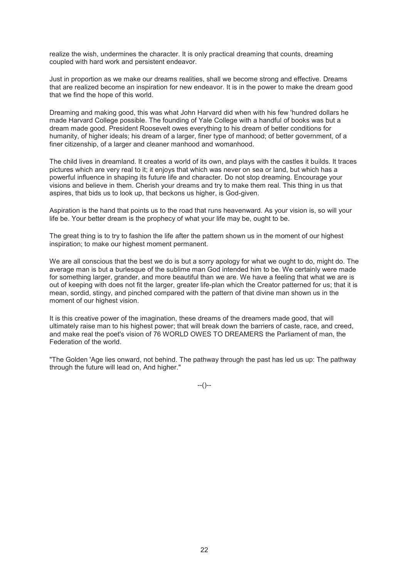realize the wish, undermines the character. It is only practical dreaming that counts, dreaming coupled with hard work and persistent endeavor.

Just in proportion as we make our dreams realities, shall we become strong and effective. Dreams that are realized become an inspiration for new endeavor. It is in the power to make the dream good that we find the hope of this world.

Dreaming and making good, this was what John Harvard did when with his few 'hundred dollars he made Harvard College possible. The founding of Yale College with a handful of books was but a dream made good. President Roosevelt owes everything to his dream of better conditions for humanity, of higher ideals; his dream of a larger, finer type of manhood; of better government, of a finer citizenship, of a larger and cleaner manhood and womanhood.

The child lives in dreamland. It creates a world of its own, and plays with the castles it builds. It traces pictures which are very real to it; it enjoys that which was never on sea or land, but which has a powerful influence in shaping its future life and character. Do not stop dreaming. Encourage your visions and believe in them. Cherish your dreams and try to make them real. This thing in us that aspires, that bids us to look up, that beckons us higher, is God-given.

Aspiration is the hand that points us to the road that runs heavenward. As your vision is, so will your life be. Your better dream is the prophecy of what your life may be, ought to be.

The great thing is to try to fashion the life after the pattern shown us in the moment of our highest inspiration; to make our highest moment permanent.

We are all conscious that the best we do is but a sorry apology for what we ought to do, might do. The average man is but a burlesque of the sublime man God intended him to be. We certainly were made for something larger, grander, and more beautiful than we are. We have a feeling that what we are is out of keeping with does not fit the larger, greater life-plan which the Creator patterned for us; that it is mean, sordid, stingy, and pinched compared with the pattern of that divine man shown us in the moment of our highest vision.

It is this creative power of the imagination, these dreams of the dreamers made good, that will ultimately raise man to his highest power; that will break down the barriers of caste, race, and creed, and make real the poet's vision of 76 WORLD OWES TO DREAMERS the Parliament of man, the Federation of the world.

"The Golden 'Age lies onward, not behind. The pathway through the past has led us up: The pathway through the future will lead on, And higher."

--()--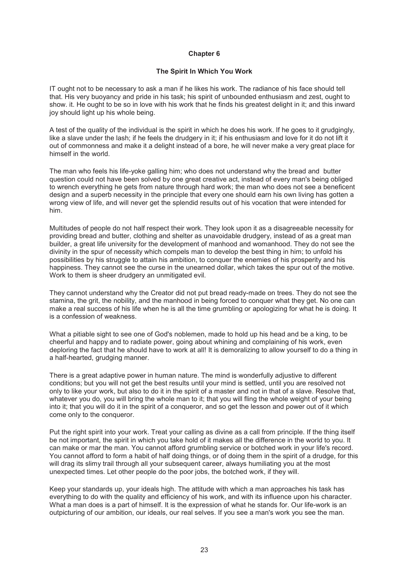#### **The Spirit In Which You Work**

IT ought not to be necessary to ask a man if he likes his work. The radiance of his face should tell that. His very buoyancy and pride in his task; his spirit of unbounded enthusiasm and zest, ought to show. it. He ought to be so in love with his work that he finds his greatest delight in it; and this inward joy should light up his whole being.

A test of the quality of the individual is the spirit in which he does his work. If he goes to it grudgingly, like a slave under the lash; if he feels the drudgery in it; if his enthusiasm and love for it do not lift it out of commonness and make it a delight instead of a bore, he will never make a very great place for himself in the world.

The man who feels his life-yoke galling him; who does not understand why the bread and butter question could not have been solved by one great creative act, instead of every man's being obliged to wrench everything he gets from nature through hard work; the man who does not see a beneficent design and a superb necessity in the principle that every one should earn his own living has gotten a wrong view of life, and will never get the splendid results out of his vocation that were intended for him.

Multitudes of people do not half respect their work. They look upon it as a disagreeable necessity for providing bread and butter, clothing and shelter as unavoidable drudgery, instead of as a great man builder, a great life university for the development of manhood and womanhood. They do not see the divinity in the spur of necessity which compels man to develop the best thing in him; to unfold his possibilities by his struggle to attain his ambition, to conquer the enemies of his prosperity and his happiness. They cannot see the curse in the unearned dollar, which takes the spur out of the motive. Work to them is sheer drudgery an unmitigated evil.

They cannot understand why the Creator did not put bread ready-made on trees. They do not see the stamina, the grit, the nobility, and the manhood in being forced to conquer what they get. No one can make a real success of his life when he is all the time grumbling or apologizing for what he is doing. It is a confession of weakness.

What a pitiable sight to see one of God's noblemen, made to hold up his head and be a king, to be cheerful and happy and to radiate power, going about whining and complaining of his work, even deploring the fact that he should have to work at all! It is demoralizing to allow yourself to do a thing in a half-hearted, grudging manner.

There is a great adaptive power in human nature. The mind is wonderfully adjustive to different conditions; but you will not get the best results until your mind is settled, until you are resolved not only to like your work, but also to do it in the spirit of a master and not in that of a slave. Resolve that, whatever you do, you will bring the whole man to it; that you will fling the whole weight of your being into it; that you will do it in the spirit of a conqueror, and so get the lesson and power out of it which come only to the conqueror.

Put the right spirit into your work. Treat your calling as divine as a call from principle. If the thing itself be not important, the spirit in which you take hold of it makes all the difference in the world to you. It can make or mar the man. You cannot afford grumbling service or botched work in your life's record. You cannot afford to form a habit of half doing things, or of doing them in the spirit of a drudge, for this will drag its slimy trail through all your subsequent career, always humiliating you at the most unexpected times. Let other people do the poor jobs, the botched work, if they will.

Keep your standards up, your ideals high. The attitude with which a man approaches his task has everything to do with the quality and efficiency of his work, and with its influence upon his character. What a man does is a part of himself. It is the expression of what he stands for. Our life-work is an outpicturing of our ambition, our ideals, our real selves. If you see a man's work you see the man.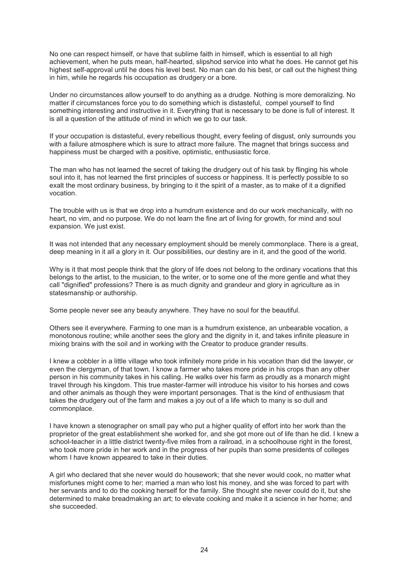No one can respect himself, or have that sublime faith in himself, which is essential to all high achievement, when he puts mean, half-hearted, slipshod service into what he does. He cannot get his highest self-approval until he does his level best. No man can do his best, or call out the highest thing in him, while he regards his occupation as drudgery or a bore.

Under no circumstances allow yourself to do anything as a drudge. Nothing is more demoralizing. No matter if circumstances force you to do something which is distasteful, compel yourself to find something interesting and instructive in it. Everything that is necessary to be done is full of interest. It is all a question of the attitude of mind in which we go to our task.

If your occupation is distasteful, every rebellious thought, every feeling of disgust, only surrounds you with a failure atmosphere which is sure to attract more failure. The magnet that brings success and happiness must be charged with a positive, optimistic, enthusiastic force.

The man who has not learned the secret of taking the drudgery out of his task by flinging his whole soul into it, has not learned the first principles of success or happiness. It is perfectly possible to so exalt the most ordinary business, by bringing to it the spirit of a master, as to make of it a dignified vocation.

The trouble with us is that we drop into a humdrum existence and do our work mechanically, with no heart, no vim, and no purpose. We do not learn the fine art of living for growth, for mind and soul expansion. We just exist.

It was not intended that any necessary employment should be merely commonplace. There is a great, deep meaning in it all a glory in it. Our possibilities, our destiny are in it, and the good of the world.

Why is it that most people think that the glory of life does not belong to the ordinary vocations that this belongs to the artist, to the musician, to the writer, or to some one of the more gentle and what they call "dignified" professions? There is as much dignity and grandeur and glory in agriculture as in statesmanship or authorship.

Some people never see any beauty anywhere. They have no soul for the beautiful.

Others see it everywhere. Farming to one man is a humdrum existence, an unbearable vocation, a monotonous routine; while another sees the glory and the dignity in it, and takes infinite pleasure in mixing brains with the soil and in working with the Creator to produce grander results.

I knew a cobbler in a little village who took infinitely more pride in his vocation than did the lawyer, or even the clergyman, of that town. I know a farmer who takes more pride in his crops than any other person in his community takes in his calling. He walks over his farm as proudly as a monarch might travel through his kingdom. This true master-farmer will introduce his visitor to his horses and cows and other animals as though they were important personages. That is the kind of enthusiasm that takes the drudgery out of the farm and makes a joy out of a life which to many is so dull and commonplace.

I have known a stenographer on small pay who put a higher quality of effort into her work than the proprietor of the great establishment she worked for, and she got more out of life than he did. I knew a school-teacher in a little district twenty-five miles from a railroad, in a schoolhouse right in the forest, who took more pride in her work and in the progress of her pupils than some presidents of colleges whom I have known appeared to take in their duties.

A girl who declared that she never would do housework; that she never would cook, no matter what misfortunes might come to her; married a man who lost his money, and she was forced to part with her servants and to do the cooking herself for the family. She thought she never could do it, but she determined to make breadmaking an art; to elevate cooking and make it a science in her home; and she succeeded.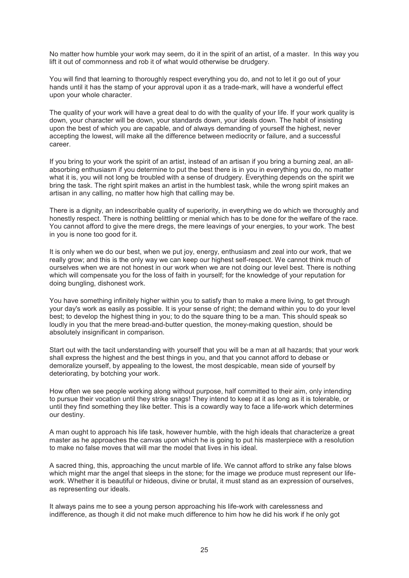No matter how humble your work may seem, do it in the spirit of an artist, of a master. In this way you lift it out of commonness and rob it of what would otherwise be drudgery.

You will find that learning to thoroughly respect everything you do, and not to let it go out of your hands until it has the stamp of your approval upon it as a trade-mark, will have a wonderful effect upon your whole character.

The quality of your work will have a great deal to do with the quality of your life. If your work quality is down, your character will be down, your standards down, your ideals down. The habit of insisting upon the best of which you are capable, and of always demanding of yourself the highest, never accepting the lowest, will make all the difference between mediocrity or failure, and a successful career.

If you bring to your work the spirit of an artist, instead of an artisan if you bring a burning zeal, an allabsorbing enthusiasm if you determine to put the best there is in you in everything you do, no matter what it is, you will not long be troubled with a sense of drudgery. Everything depends on the spirit we bring the task. The right spirit makes an artist in the humblest task, while the wrong spirit makes an artisan in any calling, no matter how high that calling may be.

There is a dignity, an indescribable quality of superiority, in everything we do which we thoroughly and honestly respect. There is nothing belittling or menial which has to be done for the welfare of the race. You cannot afford to give the mere dregs, the mere leavings of your energies, to your work. The best in you is none too good for it.

It is only when we do our best, when we put joy, energy, enthusiasm and zeal into our work, that we really grow; and this is the only way we can keep our highest self-respect. We cannot think much of ourselves when we are not honest in our work when we are not doing our level best. There is nothing which will compensate you for the loss of faith in yourself; for the knowledge of your reputation for doing bungling, dishonest work.

You have something infinitely higher within you to satisfy than to make a mere living, to get through your day's work as easily as possible. It is your sense of right; the demand within you to do your level best; to develop the highest thing in you; to do the square thing to be a man. This should speak so loudly in you that the mere bread-and-butter question, the money-making question, should be absolutely insignificant in comparison.

Start out with the tacit understanding with yourself that you will be a man at all hazards; that your work shall express the highest and the best things in you, and that you cannot afford to debase or demoralize yourself, by appealing to the lowest, the most despicable, mean side of yourself by deteriorating, by botching your work.

How often we see people working along without purpose, half committed to their aim, only intending to pursue their vocation until they strike snags! They intend to keep at it as long as it is tolerable, or until they find something they like better. This is a cowardly way to face a life-work which determines our destiny.

A man ought to approach his life task, however humble, with the high ideals that characterize a great master as he approaches the canvas upon which he is going to put his masterpiece with a resolution to make no false moves that will mar the model that lives in his ideal.

A sacred thing, this, approaching the uncut marble of life. We cannot afford to strike any false blows which might mar the angel that sleeps in the stone; for the image we produce must represent our lifework. Whether it is beautiful or hideous, divine or brutal, it must stand as an expression of ourselves, as representing our ideals.

It always pains me to see a young person approaching his life-work with carelessness and indifference, as though it did not make much difference to him how he did his work if he only got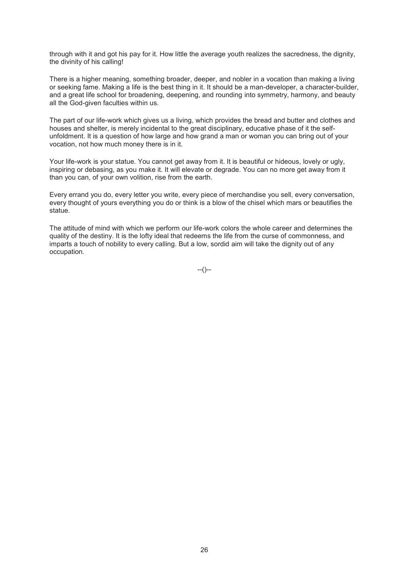through with it and got his pay for it. How little the average youth realizes the sacredness, the dignity, the divinity of his calling!

There is a higher meaning, something broader, deeper, and nobler in a vocation than making a living or seeking fame. Making a life is the best thing in it. It should be a man-developer, a character-builder, and a great life school for broadening, deepening, and rounding into symmetry, harmony, and beauty all the God-given faculties within us.

The part of our life-work which gives us a living, which provides the bread and butter and clothes and houses and shelter, is merely incidental to the great disciplinary, educative phase of it the selfunfoldment. It is a question of how large and how grand a man or woman you can bring out of your vocation, not how much money there is in it.

Your life-work is your statue. You cannot get away from it. It is beautiful or hideous, lovely or ugly, inspiring or debasing, as you make it. It will elevate or degrade. You can no more get away from it than you can, of your own volition, rise from the earth.

Every errand you do, every letter you write, every piece of merchandise you sell, every conversation, every thought of yours everything you do or think is a blow of the chisel which mars or beautifies the statue.

The attitude of mind with which we perform our life-work colors the whole career and determines the quality of the destiny. It is the lofty ideal that redeems the life from the curse of commonness, and imparts a touch of nobility to every calling. But a low, sordid aim will take the dignity out of any occupation.

 $-(-)$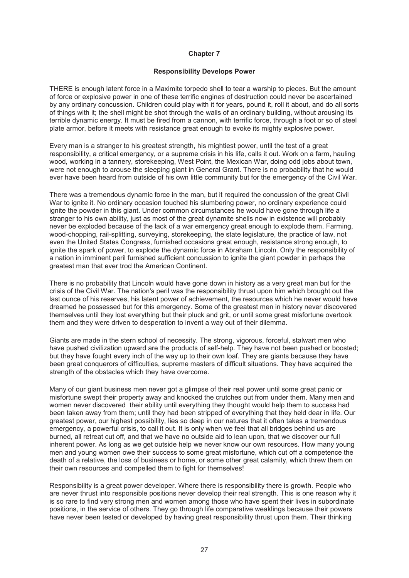#### **Responsibility Develops Power**

THERE is enough latent force in a Maximite torpedo shell to tear a warship to pieces. But the amount of force or explosive power in one of these terrific engines of destruction could never be ascertained by any ordinary concussion. Children could play with it for years, pound it, roll it about, and do all sorts of things with it; the shell might be shot through the walls of an ordinary building, without arousing its terrible dynamic energy. It must be fired from a cannon, with terrific force, through a foot or so of steel plate armor, before it meets with resistance great enough to evoke its mighty explosive power.

Every man is a stranger to his greatest strength, his mightiest power, until the test of a great responsibility, a critical emergency, or a supreme crisis in his life, calls it out. Work on a farm, hauling wood, working in a tannery, storekeeping, West Point, the Mexican War, doing odd jobs about town, were not enough to arouse the sleeping giant in General Grant. There is no probability that he would ever have been heard from outside of his own little community but for the emergency of the Civil War.

There was a tremendous dynamic force in the man, but it required the concussion of the great Civil War to ignite it. No ordinary occasion touched his slumbering power, no ordinary experience could ignite the powder in this giant. Under common circumstances he would have gone through life a stranger to his own ability, just as most of the great dynamite shells now in existence will probably never be exploded because of the lack of a war emergency great enough to explode them. Farming, wood-chopping, rail-splitting, surveying, storekeeping, the state legislature, the practice of law, not even the United States Congress, furnished occasions great enough, resistance strong enough, to ignite the spark of power, to explode the dynamic force in Abraham Lincoln. Only the responsibility of a nation in imminent peril furnished sufficient concussion to ignite the giant powder in perhaps the greatest man that ever trod the American Continent.

There is no probability that Lincoln would have gone down in history as a very great man but for the crisis of the Civil War. The nation's peril was the responsibility thrust upon him which brought out the last ounce of his reserves, his latent power of achievement, the resources which he never would have dreamed he possessed but for this emergency. Some of the greatest men in history never discovered themselves until they lost everything but their pluck and grit, or until some great misfortune overtook them and they were driven to desperation to invent a way out of their dilemma.

Giants are made in the stern school of necessity. The strong, vigorous, forceful, stalwart men who have pushed civilization upward are the products of self-help. They have not been pushed or boosted; but they have fought every inch of the way up to their own loaf. They are giants because they have been great conquerors of difficulties, supreme masters of difficult situations. They have acquired the strength of the obstacles which they have overcome.

Many of our giant business men never got a glimpse of their real power until some great panic or misfortune swept their property away and knocked the crutches out from under them. Many men and women never discovered their ability until everything they thought would help them to success had been taken away from them; until they had been stripped of everything that they held dear in life. Our greatest power, our highest possibility, lies so deep in our natures that it often takes a tremendous emergency, a powerful crisis, to call it out. It is only when we feel that all bridges behind us are burned, all retreat cut off, and that we have no outside aid to lean upon, that we discover our full inherent power. As long as we get outside help we never know our own resources. How many young men and young women owe their success to some great misfortune, which cut off a competence the death of a relative, the loss of business or home, or some other great calamity, which threw them on their own resources and compelled them to fight for themselves!

Responsibility is a great power developer. Where there is responsibility there is growth. People who are never thrust into responsible positions never develop their real strength. This is one reason why it is so rare to find very strong men and women among those who have spent their lives in subordinate positions, in the service of others. They go through life comparative weaklings because their powers have never been tested or developed by having great responsibility thrust upon them. Their thinking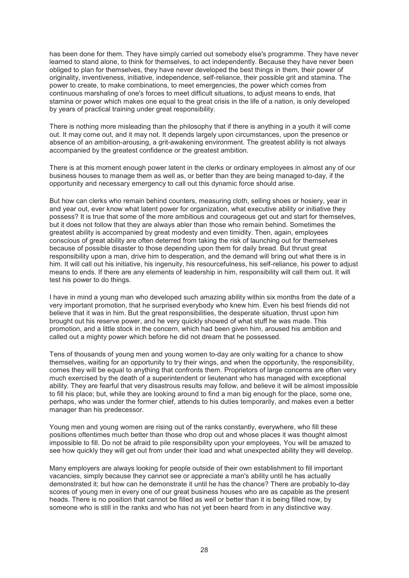has been done for them. They have simply carried out somebody else's programme. They have never learned to stand alone, to think for themselves, to act independently. Because they have never been obliged to plan for themselves, they have never developed the best things in them, their power of originality, inventiveness, initiative, independence, self-reliance, their possible grit and stamina. The power to create, to make combinations, to meet emergencies, the power which comes from continuous marshaling of one's forces to meet difficult situations, to adjust means to ends, that stamina or power which makes one equal to the great crisis in the life of a nation, is only developed by years of practical training under great responsibility.

There is nothing more misleading than the philosophy that if there is anything in a youth it will come out. It may come out, and it may not. It depends largely upon circumstances, upon the presence or absence of an ambition-arousing, a grit-awakening environment. The greatest ability is not always accompanied by the greatest confidence or the greatest ambition.

There is at this moment enough power latent in the clerks or ordinary employees in almost any of our business houses to manage them as well as, or better than they are being managed to-day, if the opportunity and necessary emergency to call out this dynamic force should arise.

But how can clerks who remain behind counters, measuring cloth, selling shoes or hosiery, year in and year out, ever know what latent power for organization, what executive ability or initiative they possess? It is true that some of the more ambitious and courageous get out and start for themselves, but it does not follow that they are always abler than those who remain behind. Sometimes the greatest ability is accompanied by great modesty and even timidity. Then, again, employees conscious of great ability are often deterred from taking the risk of launching out for themselves because of possible disaster to those depending upon them for daily bread. But thrust great responsibility upon a man, drive him to desperation, and the demand will bring out what there is in him. It will call out his initiative, his ingenuity, his resourcefulness, his self-reliance, his power to adjust means to ends. If there are any elements of leadership in him, responsibility will call them out. It will test his power to do things.

I have in mind a young man who developed such amazing ability within six months from the date of a very important promotion, that he surprised everybody who knew him. Even his best friends did not believe that it was in him. But the great responsibilities, the desperate situation, thrust upon him brought out his reserve power, and he very quickly showed of what stuff he was made. This promotion, and a little stock in the concern, which had been given him, aroused his ambition and called out a mighty power which before he did not dream that he possessed.

Tens of thousands of young men and young women to-day are only waiting for a chance to show themselves, waiting for an opportunity to try their wings, and when the opportunity, the responsibility, comes they will be equal to anything that confronts them. Proprietors of large concerns are often very much exercised by the death of a superintendent or lieutenant who has managed with exceptional ability. They are fearful that very disastrous results may follow, and believe it will be almost impossible to fill his place; but, while they are looking around to find a man big enough for the place, some one, perhaps, who was under the former chief, attends to his duties temporarily, and makes even a better manager than his predecessor.

Young men and young women are rising out of the ranks constantly, everywhere, who fill these positions oftentimes much better than those who drop out and whose places it was thought almost impossible to fill. Do not be afraid to pile responsibility upon your employees, You will be amazed to see how quickly they will get out from under their load and what unexpected ability they will develop.

Many employers are always looking for people outside of their own establishment to fill important vacancies, simply because they cannot see or appreciate a man's ability until he has actually demonstrated it; but how can he demonstrate it until he has the chance? There are probably to-day scores of young men in every one of our great business houses who are as capable as the present heads. There is no position that cannot be filled as well or better than it is being filled now, by someone who is still in the ranks and who has not yet been heard from in any distinctive way.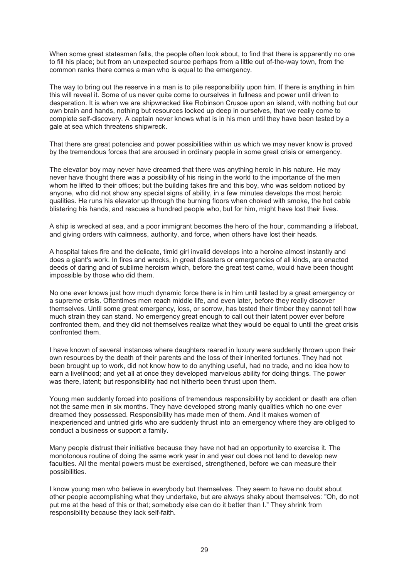When some great statesman falls, the people often look about, to find that there is apparently no one to fill his place; but from an unexpected source perhaps from a little out of-the-way town, from the common ranks there comes a man who is equal to the emergency.

The way to bring out the reserve in a man is to pile responsibility upon him. If there is anything in him this will reveal it. Some of us never quite come to ourselves in fullness and power until driven to desperation. It is when we are shipwrecked like Robinson Crusoe upon an island, with nothing but our own brain and hands, nothing but resources locked up deep in ourselves, that we really come to complete self-discovery. A captain never knows what is in his men until they have been tested by a gale at sea which threatens shipwreck.

That there are great potencies and power possibilities within us which we may never know is proved by the tremendous forces that are aroused in ordinary people in some great crisis or emergency.

The elevator boy may never have dreamed that there was anything heroic in his nature. He may never have thought there was a possibility of his rising in the world to the importance of the men whom he lifted to their offices; but the building takes fire and this boy, who was seldom noticed by anyone, who did not show any special signs of ability, in a few minutes develops the most heroic qualities. He runs his elevator up through the burning floors when choked with smoke, the hot cable blistering his hands, and rescues a hundred people who, but for him, might have lost their lives.

A ship is wrecked at sea, and a poor immigrant becomes the hero of the hour, commanding a lifeboat, and giving orders with calmness, authority, and force, when others have lost their heads.

A hospital takes fire and the delicate, timid girl invalid develops into a heroine almost instantly and does a giant's work. In fires and wrecks, in great disasters or emergencies of all kinds, are enacted deeds of daring and of sublime heroism which, before the great test came, would have been thought impossible by those who did them.

No one ever knows just how much dynamic force there is in him until tested by a great emergency or a supreme crisis. Oftentimes men reach middle life, and even later, before they really discover themselves. Until some great emergency, loss, or sorrow, has tested their timber they cannot tell how much strain they can stand. No emergency great enough to call out their latent power ever before confronted them, and they did not themselves realize what they would be equal to until the great crisis confronted them.

I have known of several instances where daughters reared in luxury were suddenly thrown upon their own resources by the death of their parents and the loss of their inherited fortunes. They had not been brought up to work, did not know how to do anything useful, had no trade, and no idea how to earn a livelihood; and yet all at once they developed marvelous ability for doing things. The power was there, latent; but responsibility had not hitherto been thrust upon them.

Young men suddenly forced into positions of tremendous responsibility by accident or death are often not the same men in six months. They have developed strong manly qualities which no one ever dreamed they possessed. Responsibility has made men of them. And it makes women of inexperienced and untried girls who are suddenly thrust into an emergency where they are obliged to conduct a business or support a family.

Many people distrust their initiative because they have not had an opportunity to exercise it. The monotonous routine of doing the same work year in and year out does not tend to develop new faculties. All the mental powers must be exercised, strengthened, before we can measure their possibilities.

I know young men who believe in everybody but themselves. They seem to have no doubt about other people accomplishing what they undertake, but are always shaky about themselves: "Oh, do not put me at the head of this or that; somebody else can do it better than I." They shrink from responsibility because they lack self-faith.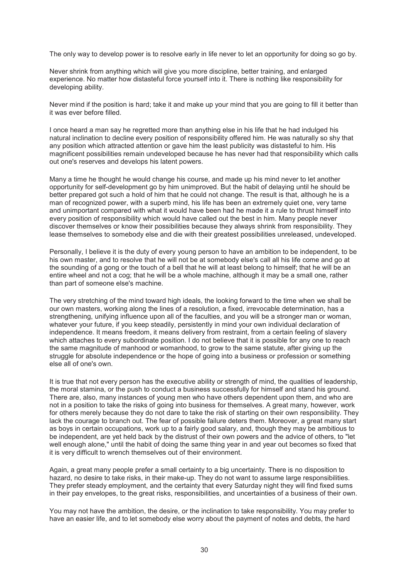The only way to develop power is to resolve early in life never to let an opportunity for doing so go by.

Never shrink from anything which will give you more discipline, better training, and enlarged experience. No matter how distasteful force yourself into it. There is nothing like responsibility for developing ability.

Never mind if the position is hard; take it and make up your mind that you are going to fill it better than it was ever before filled.

I once heard a man say he regretted more than anything else in his life that he had indulged his natural inclination to decline every position of responsibility offered him. He was naturally so shy that any position which attracted attention or gave him the least publicity was distasteful to him. His magnificent possibilities remain undeveloped because he has never had that responsibility which calls out one's reserves and develops his latent powers.

Many a time he thought he would change his course, and made up his mind never to let another opportunity for self-development go by him unimproved. But the habit of delaying until he should be better prepared got such a hold of him that he could not change. The result is that, although he is a man of recognized power, with a superb mind, his life has been an extremely quiet one, very tame and unimportant compared with what it would have been had he made it a rule to thrust himself into every position of responsibility which would have called out the best in him. Many people never discover themselves or know their possibilities because they always shrink from responsibility. They lease themselves to somebody else and die with their greatest possibilities unreleased, undeveloped.

Personally, I believe it is the duty of every young person to have an ambition to be independent, to be his own master, and to resolve that he will not be at somebody else's call all his life come and go at the sounding of a gong or the touch of a bell that he will at least belong to himself; that he will be an entire wheel and not a cog; that he will be a whole machine, although it may be a small one, rather than part of someone else's machine.

The very stretching of the mind toward high ideals, the looking forward to the time when we shall be our own masters, working along the lines of a resolution, a fixed, irrevocable determination, has a strengthening, unifying influence upon all of the faculties, and you will be a stronger man or woman, whatever your future, if you keep steadily, persistently in mind your own individual declaration of independence. It means freedom, it means delivery from restraint, from a certain feeling of slavery which attaches to every subordinate position. I do not believe that it is possible for any one to reach the same magnitude of manhood or womanhood, to grow to the same statute, after giving up the struggle for absolute independence or the hope of going into a business or profession or something else all of one's own.

It is true that not every person has the executive ability or strength of mind, the qualities of leadership, the moral stamina, or the push to conduct a business successfully for himself and stand his ground. There are, also, many instances of young men who have others dependent upon them, and who are not in a position to take the risks of going into business for themselves. A great many, however, work for others merely because they do not dare to take the risk of starting on their own responsibility. They lack the courage to branch out. The fear of possible failure deters them. Moreover, a great many start as boys in certain occupations, work up to a fairly good salary, and, though they may be ambitious to be independent, are yet held back by the distrust of their own powers and the advice of others, to "let well enough alone," until the habit of doing the same thing year in and year out becomes so fixed that it is very difficult to wrench themselves out of their environment.

Again, a great many people prefer a small certainty to a big uncertainty. There is no disposition to hazard, no desire to take risks, in their make-up. They do not want to assume large responsibilities. They prefer steady employment, and the certainty that every Saturday night they will find fixed sums in their pay envelopes, to the great risks, responsibilities, and uncertainties of a business of their own.

You may not have the ambition, the desire, or the inclination to take responsibility. You may prefer to have an easier life, and to let somebody else worry about the payment of notes and debts, the hard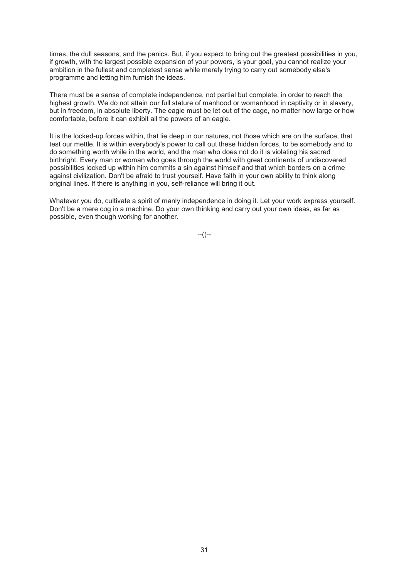times, the dull seasons, and the panics. But, if you expect to bring out the greatest possibilities in you, if growth, with the largest possible expansion of your powers, is your goal, you cannot realize your ambition in the fullest and completest sense while merely trying to carry out somebody else's programme and letting him furnish the ideas.

There must be a sense of complete independence, not partial but complete, in order to reach the highest growth. We do not attain our full stature of manhood or womanhood in captivity or in slavery, but in freedom, in absolute liberty. The eagle must be let out of the cage, no matter how large or how comfortable, before it can exhibit all the powers of an eagle.

It is the locked-up forces within, that lie deep in our natures, not those which are on the surface, that test our mettle. It is within everybody's power to call out these hidden forces, to be somebody and to do something worth while in the world, and the man who does not do it is violating his sacred birthright. Every man or woman who goes through the world with great continents of undiscovered possibilities locked up within him commits a sin against himself and that which borders on a crime against civilization. Don't be afraid to trust yourself. Have faith in your own ability to think along original lines. If there is anything in you, self-reliance will bring it out.

Whatever you do, cultivate a spirit of manly independence in doing it. Let your work express yourself. Don't be a mere cog in a machine. Do your own thinking and carry out your own ideas, as far as possible, even though working for another.

--()--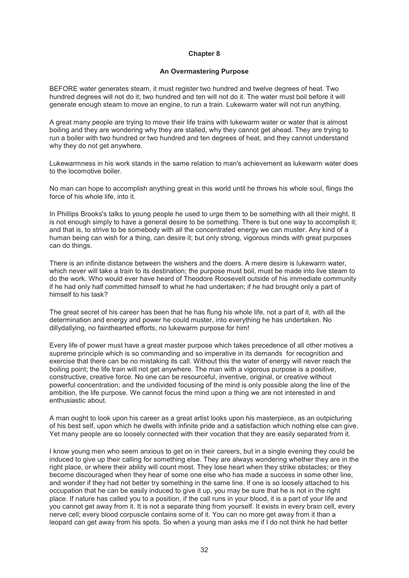#### **An Overmastering Purpose**

BEFORE water generates steam, it must register two hundred and twelve degrees of heat. Two hundred degrees will not do it; two hundred and ten will not do it. The water must boil before it will generate enough steam to move an engine, to run a train. Lukewarm water will not run anything.

A great many people are trying to move their life trains with lukewarm water or water that is almost boiling and they are wondering why they are stalled, why they cannot get ahead. They are trying to run a boiler with two hundred or two hundred and ten degrees of heat, and they cannot understand why they do not get anywhere.

Lukewarmness in his work stands in the same relation to man's achievement as lukewarm water does to the locomotive boiler.

No man can hope to accomplish anything great in this world until he throws his whole soul, flings the force of his whole life, into it.

In Phillips Brooks's talks to young people he used to urge them to be something with all their might. It is not enough simply to have a general desire to be something. There is but one way to accomplish it; and that is, to strive to be somebody with all the concentrated energy we can muster. Any kind of a human being can wish for a thing, can desire it; but only strong, vigorous minds with great purposes can do things.

There is an infinite distance between the wishers and the doers. A mere desire is lukewarm water, which never will take a train to its destination; the purpose must boil, must be made into live steam to do the work. Who would ever have heard of Theodore Roosevelt outside of his immediate community if he had only half committed himself to what he had undertaken; if he had brought only a part of himself to his task?

The great secret of his career has been that he has flung his whole life, not a part of it, with all the determination and energy and power he could muster, into everything he has undertaken. No dillydallying, no fainthearted efforts, no lukewarm purpose for him!

Every life of power must have a great master purpose which takes precedence of all other motives a supreme principle which is so commanding and so imperative in its demands for recognition and exercise that there can be no mistaking its call. Without this the water of energy will never reach the boiling point; the life train will not get anywhere. The man with a vigorous purpose is a positive, constructive, creative force. No one can be resourceful, inventive, original, or creative without powerful concentration; and the undivided focusing of the mind is only possible along the line of the ambition, the life purpose. We cannot focus the mind upon a thing we are not interested in and enthusiastic about.

A man ought to look upon his career as a great artist looks upon his masterpiece, as an outpicturing of his best self, upon which he dwells with infinite pride and a satisfaction which nothing else can give. Yet many people are so loosely connected with their vocation that they are easily separated from it.

I know young men who seem anxious to get on in their careers, but in a single evening they could be induced to give up their calling for something else. They are always wondering whether they are in the right place, or where their ability will count most. They lose heart when they strike obstacles; or they become discouraged when they hear of some one else who has made a success in some other line, and wonder if they had not better try something in the same line. If one is so loosely attached to his occupation that he can be easily induced to give it up, you may be sure that he is not in the right place. If nature has called you to a position, if the call runs in your blood, it is a part of your life and you cannot get away from it. It is not a separate thing from yourself. It exists in every brain cell, every nerve cell; every blood corpuscle contains some of it. You can no more get away from it than a leopard can get away from his spots. So when a young man asks me if I do not think he had better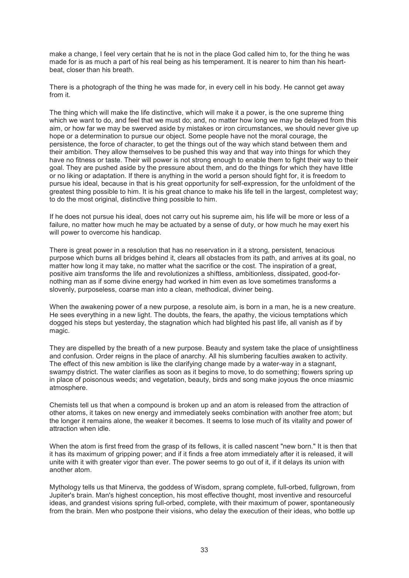make a change, I feel very certain that he is not in the place God called him to, for the thing he was made for is as much a part of his real being as his temperament. It is nearer to him than his heartbeat, closer than his breath.

There is a photograph of the thing he was made for, in every cell in his body. He cannot get away from it.

The thing which will make the life distinctive, which will make it a power, is the one supreme thing which we want to do, and feel that we must do; and, no matter how long we may be delayed from this aim, or how far we may be swerved aside by mistakes or iron circumstances, we should never give up hope or a determination to pursue our object. Some people have not the moral courage, the persistence, the force of character, to get the things out of the way which stand between them and their ambition. They allow themselves to be pushed this way and that way into things for which they have no fitness or taste. Their will power is not strong enough to enable them to fight their way to their goal. They are pushed aside by the pressure about them, and do the things for which they have little or no liking or adaptation. If there is anything in the world a person should fight for, it is freedom to pursue his ideal, because in that is his great opportunity for self-expression, for the unfoldment of the greatest thing possible to him. It is his great chance to make his life tell in the largest, completest way; to do the most original, distinctive thing possible to him.

If he does not pursue his ideal, does not carry out his supreme aim, his life will be more or less of a failure, no matter how much he may be actuated by a sense of duty, or how much he may exert his will power to overcome his handicap.

There is great power in a resolution that has no reservation in it a strong, persistent, tenacious purpose which burns all bridges behind it, clears all obstacles from its path, and arrives at its goal, no matter how long it may take, no matter what the sacrifice or the cost. The inspiration of a great, positive aim transforms the life and revolutionizes a shiftless, ambitionless, dissipated, good-fornothing man as if some divine energy had worked in him even as love sometimes transforms a slovenly, purposeless, coarse man into a clean, methodical, diviner being.

When the awakening power of a new purpose, a resolute aim, is born in a man, he is a new creature. He sees everything in a new light. The doubts, the fears, the apathy, the vicious temptations which dogged his steps but yesterday, the stagnation which had blighted his past life, all vanish as if by magic.

They are dispelled by the breath of a new purpose. Beauty and system take the place of unsightliness and confusion. Order reigns in the place of anarchy. All his slumbering faculties awaken to activity. The effect of this new ambition is like the clarifying change made by a water-way in a stagnant, swampy district. The water clarifies as soon as it begins to move, to do something; flowers spring up in place of poisonous weeds; and vegetation, beauty, birds and song make joyous the once miasmic atmosphere.

Chemists tell us that when a compound is broken up and an atom is released from the attraction of other atoms, it takes on new energy and immediately seeks combination with another free atom; but the longer it remains alone, the weaker it becomes. It seems to lose much of its vitality and power of attraction when idle.

When the atom is first freed from the grasp of its fellows, it is called nascent "new born." It is then that it has its maximum of gripping power; and if it finds a free atom immediately after it is released, it will unite with it with greater vigor than ever. The power seems to go out of it, if it delays its union with another atom.

Mythology tells us that Minerva, the goddess of Wisdom, sprang complete, full-orbed, fullgrown, from Jupiter's brain. Man's highest conception, his most effective thought, most inventive and resourceful ideas, and grandest visions spring full-orbed, complete, with their maximum of power, spontaneously from the brain. Men who postpone their visions, who delay the execution of their ideas, who bottle up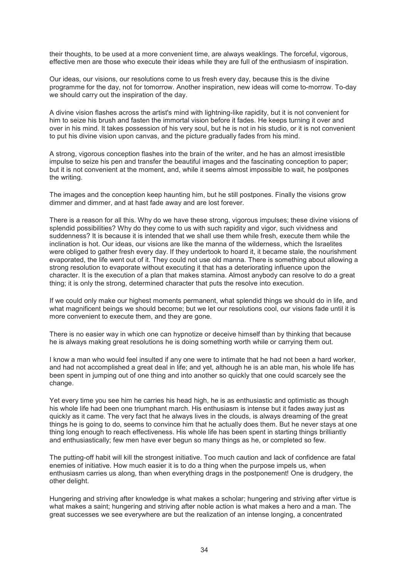their thoughts, to be used at a more convenient time, are always weaklings. The forceful, vigorous, effective men are those who execute their ideas while they are full of the enthusiasm of inspiration.

Our ideas, our visions, our resolutions come to us fresh every day, because this is the divine programme for the day, not for tomorrow. Another inspiration, new ideas will come to-morrow. To-day we should carry out the inspiration of the day.

A divine vision flashes across the artist's mind with lightning-like rapidity, but it is not convenient for him to seize his brush and fasten the immortal vision before it fades. He keeps turning it over and over in his mind. It takes possession of his very soul, but he is not in his studio, or it is not convenient to put his divine vision upon canvas, and the picture gradually fades from his mind.

A strong, vigorous conception flashes into the brain of the writer, and he has an almost irresistible impulse to seize his pen and transfer the beautiful images and the fascinating conception to paper; but it is not convenient at the moment, and, while it seems almost impossible to wait, he postpones the writing.

The images and the conception keep haunting him, but he still postpones. Finally the visions grow dimmer and dimmer, and at hast fade away and are lost forever.

There is a reason for all this. Why do we have these strong, vigorous impulses; these divine visions of splendid possibilities? Why do they come to us with such rapidity and vigor, such vividness and suddenness? It is because it is intended that we shall use them while fresh, execute them while the inclination is hot. Our ideas, our visions are like the manna of the wilderness, which the Israelites were obliged to gather fresh every day. If they undertook to hoard it, it became stale, the nourishment evaporated, the life went out of it. They could not use old manna. There is something about allowing a strong resolution to evaporate without executing it that has a deteriorating influence upon the character. It is the execution of a plan that makes stamina. Almost anybody can resolve to do a great thing; it is only the strong, determined character that puts the resolve into execution.

If we could only make our highest moments permanent, what splendid things we should do in life, and what magnificent beings we should become; but we let our resolutions cool, our visions fade until it is more convenient to execute them, and they are gone.

There is no easier way in which one can hypnotize or deceive himself than by thinking that because he is always making great resolutions he is doing something worth while or carrying them out.

I know a man who would feel insulted if any one were to intimate that he had not been a hard worker, and had not accomplished a great deal in life; and yet, although he is an able man, his whole life has been spent in jumping out of one thing and into another so quickly that one could scarcely see the change.

Yet every time you see him he carries his head high, he is as enthusiastic and optimistic as though his whole life had been one triumphant march. His enthusiasm is intense but it fades away just as quickly as it came. The very fact that he always lives in the clouds, is always dreaming of the great things he is going to do, seems to convince him that he actually does them. But he never stays at one thing long enough to reach effectiveness. His whole life has been spent in starting things brilliantly and enthusiastically; few men have ever begun so many things as he, or completed so few.

The putting-off habit will kill the strongest initiative. Too much caution and lack of confidence are fatal enemies of initiative. How much easier it is to do a thing when the purpose impels us, when enthusiasm carries us along, than when everything drags in the postponement! One is drudgery, the other delight.

Hungering and striving after knowledge is what makes a scholar; hungering and striving after virtue is what makes a saint; hungering and striving after noble action is what makes a hero and a man. The great successes we see everywhere are but the realization of an intense longing, a concentrated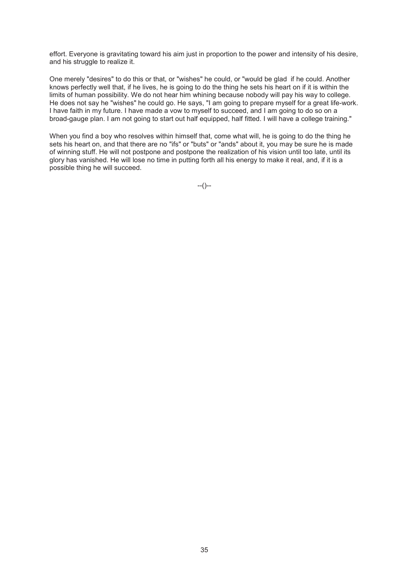effort. Everyone is gravitating toward his aim just in proportion to the power and intensity of his desire, and his struggle to realize it.

One merely "desires" to do this or that, or "wishes" he could, or "would be glad if he could. Another knows perfectly well that, if he lives, he is going to do the thing he sets his heart on if it is within the limits of human possibility. We do not hear him whining because nobody will pay his way to college. He does not say he "wishes" he could go. He says, "I am going to prepare myself for a great life-work. I have faith in my future. I have made a vow to myself to succeed, and I am going to do so on a broad-gauge plan. I am not going to start out half equipped, half fitted. I will have a college training."

When you find a boy who resolves within himself that, come what will, he is going to do the thing he sets his heart on, and that there are no "ifs" or "buts" or "ands" about it, you may be sure he is made of winning stuff. He will not postpone and postpone the realization of his vision until too late, until its glory has vanished. He will lose no time in putting forth all his energy to make it real, and, if it is a possible thing he will succeed.

--()--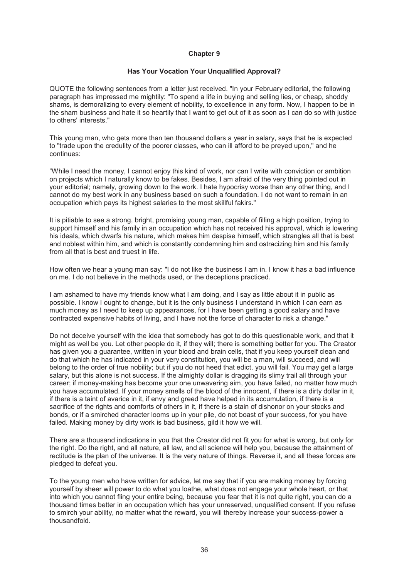#### **Has Your Vocation Your Unqualified Approval?**

QUOTE the following sentences from a letter just received. "In your February editorial, the following paragraph has impressed me mightily: "To spend a life in buying and selling lies, or cheap, shoddy shams, is demoralizing to every element of nobility, to excellence in any form. Now, I happen to be in the sham business and hate it so heartily that I want to get out of it as soon as I can do so with justice to others' interests."

This young man, who gets more than ten thousand dollars a year in salary, says that he is expected to "trade upon the credulity of the poorer classes, who can ill afford to be preyed upon," and he continues:

"While I need the money, I cannot enjoy this kind of work, nor can I write with conviction or ambition on projects which I naturally know to be fakes. Besides, I am afraid of the very thing pointed out in your editorial; namely, growing down to the work. I hate hypocrisy worse than any other thing, and I cannot do my best work in any business based on such a foundation. I do not want to remain in an occupation which pays its highest salaries to the most skillful fakirs."

It is pitiable to see a strong, bright, promising young man, capable of filling a high position, trying to support himself and his family in an occupation which has not received his approval, which is lowering his ideals, which dwarfs his nature, which makes him despise himself, which strangles all that is best and noblest within him, and which is constantly condemning him and ostracizing him and his family from all that is best and truest in life.

How often we hear a young man say: "I do not like the business I am in. I know it has a bad influence on me. I do not believe in the methods used, or the deceptions practiced.

I am ashamed to have my friends know what I am doing, and I say as little about it in public as possible. I know I ought to change, but it is the only business I understand in which I can earn as much money as I need to keep up appearances, for I have been getting a good salary and have contracted expensive habits of living, and I have not the force of character to risk a change."

Do not deceive yourself with the idea that somebody has got to do this questionable work, and that it might as well be you. Let other people do it, if they will; there is something better for you. The Creator has given you a guarantee, written in your blood and brain cells, that if you keep yourself clean and do that which he has indicated in your very constitution, you will be a man, will succeed, and will belong to the order of true nobility; but if you do not heed that edict, you will fail. You may get a large salary, but this alone is not success. If the almighty dollar is dragging its slimy trail all through your career; if money-making has become your one unwavering aim, you have failed, no matter how much you have accumulated. If your money smells of the blood of the innocent, if there is a dirty dollar in it, if there is a taint of avarice in it, if envy and greed have helped in its accumulation, if there is a sacrifice of the rights and comforts of others in it, if there is a stain of dishonor on your stocks and bonds, or if a smirched character looms up in your pile, do not boast of your success, for you have failed. Making money by dirty work is bad business, gild it how we will.

There are a thousand indications in you that the Creator did not fit you for what is wrong, but only for the right. Do the right, and all nature, all law, and all science will help you, because the attainment of rectitude is the plan of the universe. It is the very nature of things. Reverse it, and all these forces are pledged to defeat you.

To the young men who have written for advice, let me say that if you are making money by forcing yourself by sheer will power to do what you loathe, what does not engage your whole heart, or that into which you cannot fling your entire being, because you fear that it is not quite right, you can do a thousand times better in an occupation which has your unreserved, unqualified consent. If you refuse to smirch your ability, no matter what the reward, you will thereby increase your success-power a thousandfold.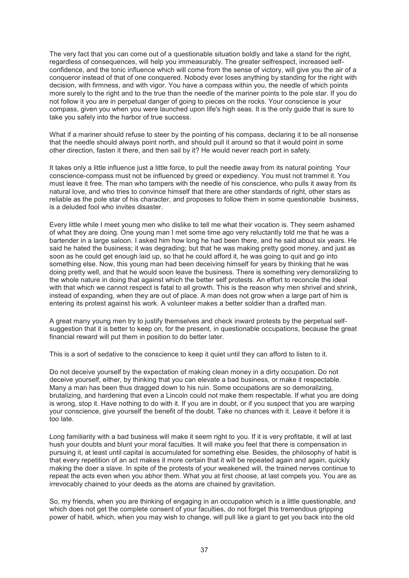The very fact that you can come out of a questionable situation boldly and take a stand for the right, regardless of consequences, will help you immeasurably. The greater selfrespect, increased selfconfidence, and the tonic influence which will come from the sense of victory, will give you the air of a conqueror instead of that of one conquered. Nobody ever loses anything by standing for the right with decision, with firmness, and with vigor. You have a compass within you, the needle of which points more surely to the right and to the true than the needle of the mariner points to the pole star. If you do not follow it you are in perpetual danger of going to pieces on the rocks. Your conscience is your compass, given you when you were launched upon life's high seas. It is the only guide that is sure to take you safely into the harbor of true success.

What if a mariner should refuse to steer by the pointing of his compass, declaring it to be all nonsense that the needle should always point north, and should pull it around so that it would point in some other direction, fasten it there, and then sail by it? He would never reach port in safety.

It takes only a little influence just a little force, to pull the needle away from its natural pointing. Your conscience-compass must not be influenced by greed or expediency. You must not trammel it. You must leave it free. The man who tampers with the needle of his conscience, who pulls it away from its natural love, and who tries to convince himself that there are other standards of right, other stars as reliable as the pole star of his character, and proposes to follow them in some questionable business, is a deluded fool who invites disaster.

Every little while I meet young men who dislike to tell me what their vocation is. They seem ashamed of what they are doing. One young man I met some time ago very reluctantly told me that he was a bartender in a large saloon. I asked him how long he had been there, and he said about six years. He said he hated the business; it was degrading; but that he was making pretty good money, and just as soon as he could get enough laid up, so that he could afford it, he was going to quit and go into something else. Now, this young man had been deceiving himself for years by thinking that he was doing pretty well, and that he would soon leave the business. There is something very demoralizing to the whole nature in doing that against which the better self protests. An effort to reconcile the ideal with that which we cannot respect is fatal to all growth. This is the reason why men shrivel and shrink, instead of expanding, when they are out of place. A man does not grow when a large part of him is entering its protest against his work. A volunteer makes a better soldier than a drafted man.

A great many young men try to justify themselves and check inward protests by the perpetual selfsuggestion that it is better to keep on, for the present, in questionable occupations, because the great financial reward will put them in position to do better later.

This is a sort of sedative to the conscience to keep it quiet until they can afford to listen to it.

Do not deceive yourself by the expectation of making clean money in a dirty occupation. Do not deceive yourself, either, by thinking that you can elevate a bad business, or make it respectable. Many a man has been thus dragged down to his ruin. Some occupations are so demoralizing, brutalizing, and hardening that even a Lincoln could not make them respectable. If what you are doing is wrong, stop it. Have nothing to do with it. If you are in doubt, or if you suspect that you are warping your conscience, give yourself the benefit of the doubt. Take no chances with it. Leave it before it is too late.

Long familiarity with a bad business will make it seem right to you. If it is very profitable, it will at last hush your doubts and blunt your moral faculties. It will make you feel that there is compensation in pursuing it, at least until capital is accumulated for something else. Besides, the philosophy of habit is that every repetition of an act makes it more certain that it will be repeated again and again, quickly making the doer a slave. In spite of the protests of your weakened will, the trained nerves continue to repeat the acts even when you abhor them. What you at first choose, at last compels you. You are as irrevocably chained to your deeds as the atoms are chained by gravitation.

So, my friends, when you are thinking of engaging in an occupation which is a little questionable, and which does not get the complete consent of your faculties, do not forget this tremendous gripping power of habit, which, when you may wish to change, will pull like a giant to get you back into the old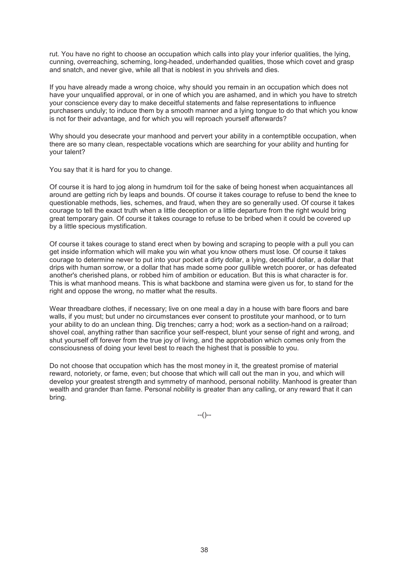rut. You have no right to choose an occupation which calls into play your inferior qualities, the lying, cunning, overreaching, scheming, long-headed, underhanded qualities, those which covet and grasp and snatch, and never give, while all that is noblest in you shrivels and dies.

If you have already made a wrong choice, why should you remain in an occupation which does not have your unqualified approval, or in one of which you are ashamed, and in which you have to stretch your conscience every day to make deceitful statements and false representations to influence purchasers unduly; to induce them by a smooth manner and a lying tongue to do that which you know is not for their advantage, and for which you will reproach yourself afterwards?

Why should you desecrate your manhood and pervert your ability in a contemptible occupation, when there are so many clean, respectable vocations which are searching for your ability and hunting for your talent?

You say that it is hard for you to change.

Of course it is hard to jog along in humdrum toil for the sake of being honest when acquaintances all around are getting rich by leaps and bounds. Of course it takes courage to refuse to bend the knee to questionable methods, lies, schemes, and fraud, when they are so generally used. Of course it takes courage to tell the exact truth when a little deception or a little departure from the right would bring great temporary gain. Of course it takes courage to refuse to be bribed when it could be covered up by a little specious mystification.

Of course it takes courage to stand erect when by bowing and scraping to people with a pull you can get inside information which will make you win what you know others must lose. Of course it takes courage to determine never to put into your pocket a dirty dollar, a lying, deceitful dollar, a dollar that drips with human sorrow, or a dollar that has made some poor gullible wretch poorer, or has defeated another's cherished plans, or robbed him of ambition or education. But this is what character is for. This is what manhood means. This is what backbone and stamina were given us for, to stand for the right and oppose the wrong, no matter what the results.

Wear threadbare clothes, if necessary; live on one meal a day in a house with bare floors and bare walls, if you must; but under no circumstances ever consent to prostitute your manhood, or to turn your ability to do an unclean thing. Dig trenches; carry a hod; work as a section-hand on a railroad; shovel coal, anything rather than sacrifice your self-respect, blunt your sense of right and wrong, and shut yourself off forever from the true joy of living, and the approbation which comes only from the consciousness of doing your level best to reach the highest that is possible to you.

Do not choose that occupation which has the most money in it, the greatest promise of material reward, notoriety, or fame, even; but choose that which will call out the man in you, and which will develop your greatest strength and symmetry of manhood, personal nobility. Manhood is greater than wealth and grander than fame. Personal nobility is greater than any calling, or any reward that it can bring.

 $-(-)$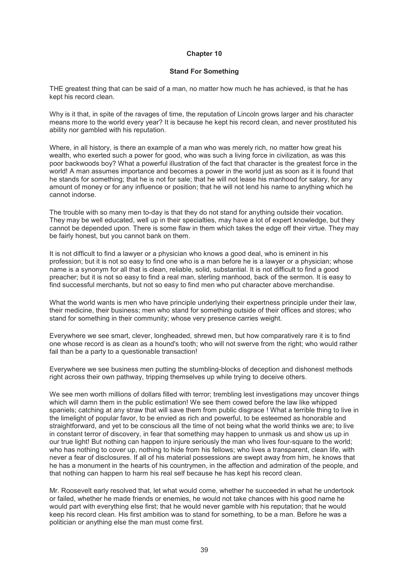### **Stand For Something**

THE greatest thing that can be said of a man, no matter how much he has achieved, is that he has kept his record clean.

Why is it that, in spite of the ravages of time, the reputation of Lincoln grows larger and his character means more to the world every year? It is because he kept his record clean, and never prostituted his ability nor gambled with his reputation.

Where, in all history, is there an example of a man who was merely rich, no matter how great his wealth, who exerted such a power for good, who was such a living force in civilization, as was this poor backwoods boy? What a powerful illustration of the fact that character is the greatest force in the world! A man assumes importance and becomes a power in the world just as soon as it is found that he stands for something; that he is not for sale; that he will not lease his manhood for salary, for any amount of money or for any influence or position; that he will not lend his name to anything which he cannot indorse.

The trouble with so many men to-day is that they do not stand for anything outside their vocation. They may be well educated, well up in their specialties, may have a lot of expert knowledge, but they cannot be depended upon. There is some flaw in them which takes the edge off their virtue. They may be fairly honest, but you cannot bank on them.

It is not difficult to find a lawyer or a physician who knows a good deal, who is eminent in his profession; but it is not so easy to find one who is a man before he is a lawyer or a physician; whose name is a synonym for all that is clean, reliable, solid, substantial. It is not difficult to find a good preacher; but it is not so easy to find a real man, sterling manhood, back of the sermon. It is easy to find successful merchants, but not so easy to find men who put character above merchandise.

What the world wants is men who have principle underlying their expertness principle under their law, their medicine, their business; men who stand for something outside of their offices and stores; who stand for something in their community; whose very presence carries weight.

Everywhere we see smart, clever, longheaded, shrewd men, but how comparatively rare it is to find one whose record is as clean as a hound's tooth; who will not swerve from the right; who would rather fail than be a party to a questionable transaction!

Everywhere we see business men putting the stumbling-blocks of deception and dishonest methods right across their own pathway, tripping themselves up while trying to deceive others.

We see men worth millions of dollars filled with terror; trembling lest investigations may uncover things which will damn them in the public estimation! We see them cowed before the law like whipped spaniels; catching at any straw that will save them from public disgrace ! What a terrible thing to live in the limelight of popular favor, to be envied as rich and powerful, to be esteemed as honorable and straightforward, and yet to be conscious all the time of not being what the world thinks we are; to live in constant terror of discovery, in fear that something may happen to unmask us and show us up in our true light! But nothing can happen to injure seriously the man who lives four-square to the world; who has nothing to cover up, nothing to hide from his fellows; who lives a transparent, clean life, with never a fear of disclosures. If all of his material possessions are swept away from him, he knows that he has a monument in the hearts of his countrymen, in the affection and admiration of the people, and that nothing can happen to harm his real self because he has kept his record clean.

Mr. Roosevelt early resolved that, let what would come, whether he succeeded in what he undertook or failed, whether he made friends or enemies, he would not take chances with his good name he would part with everything else first; that he would never gamble with his reputation; that he would keep his record clean. His first ambition was to stand for something, to be a man. Before he was a politician or anything else the man must come first.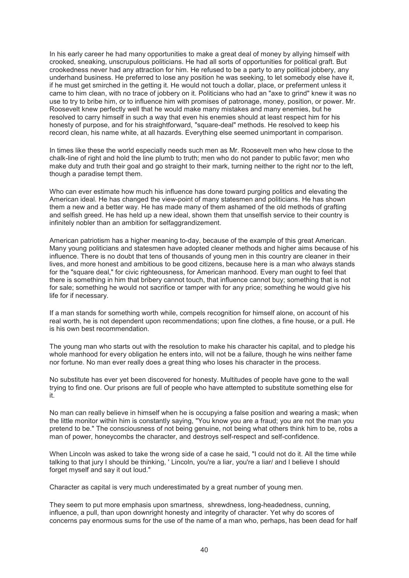In his early career he had many opportunities to make a great deal of money by allying himself with crooked, sneaking, unscrupulous politicians. He had all sorts of opportunities for political graft. But crookedness never had any attraction for him. He refused to be a party to any political jobbery, any underhand business. He preferred to lose any position he was seeking, to let somebody else have it, if he must get smirched in the getting it. He would not touch a dollar, place, or preferment unless it came to him clean, with no trace of jobbery on it. Politicians who had an "axe to grind" knew it was no use to try to bribe him, or to influence him with promises of patronage, money, position, or power. Mr. Roosevelt knew perfectly well that he would make many mistakes and many enemies, but he resolved to carry himself in such a way that even his enemies should at least respect him for his honesty of purpose, and for his straightforward, "square-deal" methods. He resolved to keep his record clean, his name white, at all hazards. Everything else seemed unimportant in comparison.

In times like these the world especially needs such men as Mr. Roosevelt men who hew close to the chalk-line of right and hold the line plumb to truth; men who do not pander to public favor; men who make duty and truth their goal and go straight to their mark, turning neither to the right nor to the left, though a paradise tempt them.

Who can ever estimate how much his influence has done toward purging politics and elevating the American ideal. He has changed the view-point of many statesmen and politicians. He has shown them a new and a better way. He has made many of them ashamed of the old methods of grafting and selfish greed. He has held up a new ideal, shown them that unselfish service to their country is infinitely nobler than an ambition for selfaggrandizement.

American patriotism has a higher meaning to-day, because of the example of this great American. Many young politicians and statesmen have adopted cleaner methods and higher aims because of his influence. There is no doubt that tens of thousands of young men in this country are cleaner in their lives, and more honest and ambitious to be good citizens, because here is a man who always stands for the "square deal," for civic righteousness, for American manhood. Every man ought to feel that there is something in him that bribery cannot touch, that influence cannot buy; something that is not for sale; something he would not sacrifice or tamper with for any price; something he would give his life for if necessary.

If a man stands for something worth while, compels recognition for himself alone, on account of his real worth, he is not dependent upon recommendations; upon fine clothes, a fine house, or a pull. He is his own best recommendation.

The young man who starts out with the resolution to make his character his capital, and to pledge his whole manhood for every obligation he enters into, will not be a failure, though he wins neither fame nor fortune. No man ever really does a great thing who loses his character in the process.

No substitute has ever yet been discovered for honesty. Multitudes of people have gone to the wall trying to find one. Our prisons are full of people who have attempted to substitute something else for it.

No man can really believe in himself when he is occupying a false position and wearing a mask; when the little monitor within him is constantly saying, "You know you are a fraud; you are not the man you pretend to be." The consciousness of not being genuine, not being what others think him to be, robs a man of power, honeycombs the character, and destroys self-respect and self-confidence.

When Lincoln was asked to take the wrong side of a case he said, "I could not do it. All the time while talking to that jury I should be thinking, ' Lincoln, you're a liar, you're a liar/ and I believe I should forget myself and say it out loud."

Character as capital is very much underestimated by a great number of young men.

They seem to put more emphasis upon smartness, shrewdness, long-headedness, cunning, influence, a pull, than upon downright honesty and integrity of character. Yet why do scores of concerns pay enormous sums for the use of the name of a man who, perhaps, has been dead for half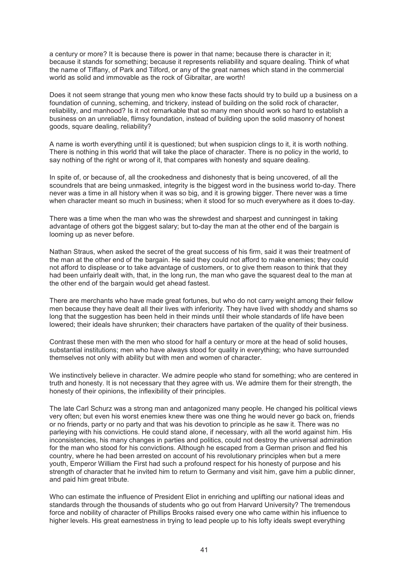a century or more? It is because there is power in that name; because there is character in it; because it stands for something; because it represents reliability and square dealing. Think of what the name of Tiffany, of Park and Tilford, or any of the great names which stand in the commercial world as solid and immovable as the rock of Gibraltar, are worth!

Does it not seem strange that young men who know these facts should try to build up a business on a foundation of cunning, scheming, and trickery, instead of building on the solid rock of character, reliability, and manhood? Is it not remarkable that so many men should work so hard to establish a business on an unreliable, flimsy foundation, instead of building upon the solid masonry of honest goods, square dealing, reliability?

A name is worth everything until it is questioned; but when suspicion clings to it, it is worth nothing. There is nothing in this world that will take the place of character. There is no policy in the world, to say nothing of the right or wrong of it, that compares with honesty and square dealing.

In spite of, or because of, all the crookedness and dishonesty that is being uncovered, of all the scoundrels that are being unmasked, integrity is the biggest word in the business world to-day. There never was a time in all history when it was so big, and it is growing bigger. There never was a time when character meant so much in business; when it stood for so much everywhere as it does to-day.

There was a time when the man who was the shrewdest and sharpest and cunningest in taking advantage of others got the biggest salary; but to-day the man at the other end of the bargain is looming up as never before.

Nathan Straus, when asked the secret of the great success of his firm, said it was their treatment of the man at the other end of the bargain. He said they could not afford to make enemies; they could not afford to displease or to take advantage of customers, or to give them reason to think that they had been unfairly dealt with, that, in the long run, the man who gave the squarest deal to the man at the other end of the bargain would get ahead fastest.

There are merchants who have made great fortunes, but who do not carry weight among their fellow men because they have dealt all their lives with inferiority. They have lived with shoddy and shams so long that the suggestion has been held in their minds until their whole standards of life have been lowered; their ideals have shrunken; their characters have partaken of the quality of their business.

Contrast these men with the men who stood for half a century or more at the head of solid houses, substantial institutions; men who have always stood for quality in everything; who have surrounded themselves not only with ability but with men and women of character.

We instinctively believe in character. We admire people who stand for something; who are centered in truth and honesty. It is not necessary that they agree with us. We admire them for their strength, the honesty of their opinions, the inflexibility of their principles.

The late Carl Schurz was a strong man and antagonized many people. He changed his political views very often; but even his worst enemies knew there was one thing he would never go back on, friends or no friends, party or no party and that was his devotion to principle as he saw it. There was no parleying with his convictions. He could stand alone, if necessary, with all the world against him. His inconsistencies, his many changes in parties and politics, could not destroy the universal admiration for the man who stood for his convictions. Although he escaped from a German prison and fled his country, where he had been arrested on account of his revolutionary principles when but a mere youth, Emperor William the First had such a profound respect for his honesty of purpose and his strength of character that he invited him to return to Germany and visit him, gave him a public dinner, and paid him great tribute.

Who can estimate the influence of President Eliot in enriching and uplifting our national ideas and standards through the thousands of students who go out from Harvard University? The tremendous force and nobility of character of Phillips Brooks raised every one who came within his influence to higher levels. His great earnestness in trying to lead people up to his lofty ideals swept everything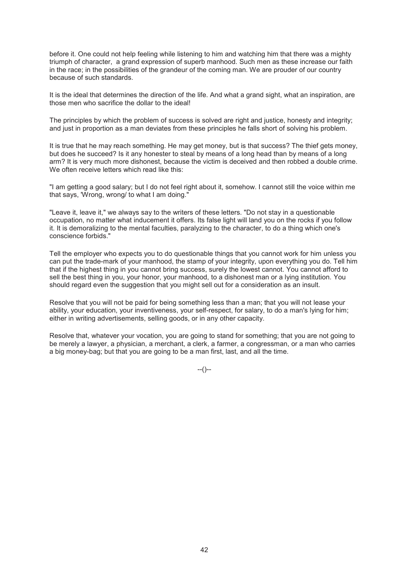before it. One could not help feeling while listening to him and watching him that there was a mighty triumph of character, a grand expression of superb manhood. Such men as these increase our faith in the race; in the possibilities of the grandeur of the coming man. We are prouder of our country because of such standards.

It is the ideal that determines the direction of the life. And what a grand sight, what an inspiration, are those men who sacrifice the dollar to the ideal!

The principles by which the problem of success is solved are right and justice, honesty and integrity; and just in proportion as a man deviates from these principles he falls short of solving his problem.

It is true that he may reach something. He may get money, but is that success? The thief gets money, but does he succeed? Is it any honester to steal by means of a long head than by means of a long arm? It is very much more dishonest, because the victim is deceived and then robbed a double crime. We often receive letters which read like this:

"I am getting a good salary; but I do not feel right about it, somehow. I cannot still the voice within me that says, 'Wrong, wrong/ to what I am doing."

"Leave it, leave it," we always say to the writers of these letters. "Do not stay in a questionable occupation, no matter what inducement it offers. Its false light will land you on the rocks if you follow it. It is demoralizing to the mental faculties, paralyzing to the character, to do a thing which one's conscience forbids."

Tell the employer who expects you to do questionable things that you cannot work for him unless you can put the trade-mark of your manhood, the stamp of your integrity, upon everything you do. Tell him that if the highest thing in you cannot bring success, surely the lowest cannot. You cannot afford to sell the best thing in you, your honor, your manhood, to a dishonest man or a lying institution. You should regard even the suggestion that you might sell out for a consideration as an insult.

Resolve that you will not be paid for being something less than a man; that you will not lease your ability, your education, your inventiveness, your self-respect, for salary, to do a man's lying for him; either in writing advertisements, selling goods, or in any other capacity.

Resolve that, whatever your vocation, you are going to stand for something; that you are not going to be merely a lawyer, a physician, a merchant, a clerk, a farmer, a congressman, or a man who carries a big money-bag; but that you are going to be a man first, last, and all the time.

--()--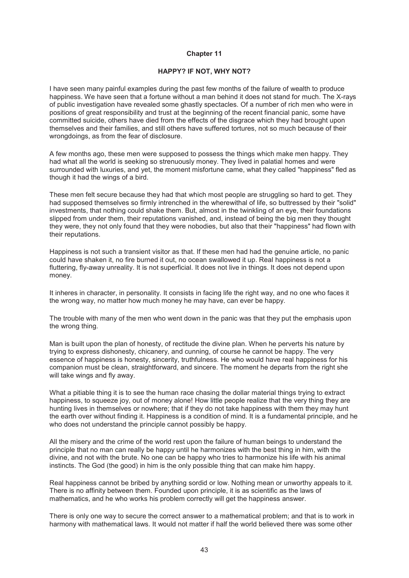### **HAPPY? IF NOT, WHY NOT?**

I have seen many painful examples during the past few months of the failure of wealth to produce happiness. We have seen that a fortune without a man behind it does not stand for much. The X-rays of public investigation have revealed some ghastly spectacles. Of a number of rich men who were in positions of great responsibility and trust at the beginning of the recent financial panic, some have committed suicide, others have died from the effects of the disgrace which they had brought upon themselves and their families, and still others have suffered tortures, not so much because of their wrongdoings, as from the fear of disclosure.

A few months ago, these men were supposed to possess the things which make men happy. They had what all the world is seeking so strenuously money. They lived in palatial homes and were surrounded with luxuries, and yet, the moment misfortune came, what they called "happiness" fled as though it had the wings of a bird.

These men felt secure because they had that which most people are struggling so hard to get. They had supposed themselves so firmly intrenched in the wherewithal of life, so buttressed by their "solid" investments, that nothing could shake them. But, almost in the twinkling of an eye, their foundations slipped from under them, their reputations vanished, and, instead of being the big men they thought they were, they not only found that they were nobodies, but also that their "happiness" had flown with their reputations.

Happiness is not such a transient visitor as that. If these men had had the genuine article, no panic could have shaken it, no fire burned it out, no ocean swallowed it up. Real happiness is not a fluttering, fly-away unreality. It is not superficial. It does not live in things. It does not depend upon money.

It inheres in character, in personality. It consists in facing life the right way, and no one who faces it the wrong way, no matter how much money he may have, can ever be happy.

The trouble with many of the men who went down in the panic was that they put the emphasis upon the wrong thing.

Man is built upon the plan of honesty, of rectitude the divine plan. When he perverts his nature by trying to express dishonesty, chicanery, and cunning, of course he cannot be happy. The very essence of happiness is honesty, sincerity, truthfulness. He who would have real happiness for his companion must be clean, straightforward, and sincere. The moment he departs from the right she will take wings and fly away.

What a pitiable thing it is to see the human race chasing the dollar material things trying to extract happiness, to squeeze joy, out of money alone! How little people realize that the very thing they are hunting lives in themselves or nowhere; that if they do not take happiness with them they may hunt the earth over without finding it. Happiness is a condition of mind. It is a fundamental principle, and he who does not understand the principle cannot possibly be happy.

All the misery and the crime of the world rest upon the failure of human beings to understand the principle that no man can really be happy until he harmonizes with the best thing in him, with the divine, and not with the brute. No one can be happy who tries to harmonize his life with his animal instincts. The God (the good) in him is the only possible thing that can make him happy.

Real happiness cannot be bribed by anything sordid or low. Nothing mean or unworthy appeals to it. There is no affinity between them. Founded upon principle, it is as scientific as the laws of mathematics, and he who works his problem correctly will get the happiness answer.

There is only one way to secure the correct answer to a mathematical problem; and that is to work in harmony with mathematical laws. It would not matter if half the world believed there was some other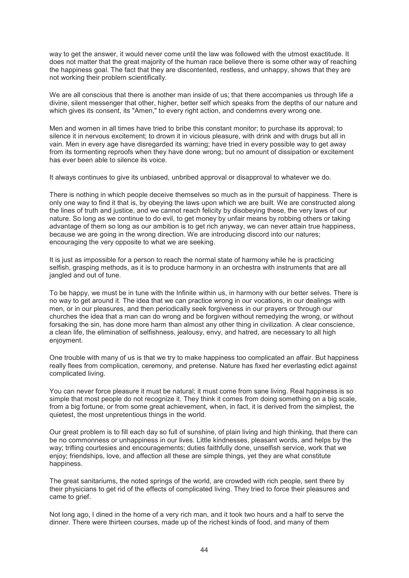way to get the answer, it would never come until the law was followed with the utmost exactitude. It does not matter that the great majority of the human race believe there is some other way of reaching the happiness goal. The fact that they are discontented, restless, and unhappy, shows that they are not working their problem scientifically.

We are all conscious that there is another man inside of us; that there accompanies us through life a divine, silent messenger that other, higher, better self which speaks from the depths of our nature and which gives its consent, its "Amen," to every right action, and condemns every wrong one.

Men and women in all times have tried to bribe this constant monitor; to purchase its approval; to silence it in nervous excitement; to drown it in vicious pleasure, with drink and with drugs but all in vain. Men in every age have disregarded its warning; have tried in every possible way to get away from its tormenting reproofs when they have done wrong; but no amount of dissipation or excitement has ever been able to silence its voice.

It always continues to give its unbiased, unbribed approval or disapproval to whatever we do.

There is nothing in which people deceive themselves so much as in the pursuit of happiness. There is only one way to find it that is, by obeying the laws upon which we are built. We are constructed along the lines of truth and justice, and we cannot reach felicity by disobeying these, the very laws of our nature. So long as we continue to do evil, to get money by unfair means by robbing others or taking advantage of them so long as our ambition is to get rich anyway, we can never attain true happiness, because we are going in the wrong direction. We are introducing discord into our natures; encouraging the very opposite to what we are seeking.

It is just as impossible for a person to reach the normal state of harmony while he is practicing selfish, grasping methods, as it is to produce harmony in an orchestra with instruments that are all jangled and out of tune.

To be happy, we must be in tune with the Infinite within us, in harmony with our better selves. There is no way to get around it. The idea that we can practice wrong in our vocations, in our dealings with men, or in our pleasures, and then periodically seek forgiveness in our prayers or through our churches the idea that a man can do wrong and be forgiven without remedying the wrong, or without forsaking the sin, has done more harm than almost any other thing in civilization. A clear conscience, a clean life, the elimination of selfishness, jealousy, envy, and hatred, are necessary to all high enjoyment.

One trouble with many of us is that we try to make happiness too complicated an affair. But happiness really flees from complication, ceremony, and pretense. Nature has fixed her everlasting edict against complicated living.

You can never force pleasure it must be natural; it must come from sane living. Real happiness is so simple that most people do not recognize it. They think it comes from doing something on a big scale, from a big fortune, or from some great achievement, when, in fact, it is derived from the simplest, the quietest, the most unpretentious things in the world.

Our great problem is to fill each day so full of sunshine, of plain living and high thinking, that there can be no commonness or unhappiness in our lives. Little kindnesses, pleasant words, and helps by the way; trifling courtesies and encouragements; duties faithfully done, unselfish service, work that we enjoy; friendships, love, and affection all these are simple things, yet they are what constitute happiness.

The great sanitariums, the noted springs of the world, are crowded with rich people, sent there by their physicians to get rid of the effects of complicated living. They tried to force their pleasures and came to grief.

Not long ago, I dined in the home of a very rich man, and it took two hours and a half to serve the dinner. There were thirteen courses, made up of the richest kinds of food, and many of them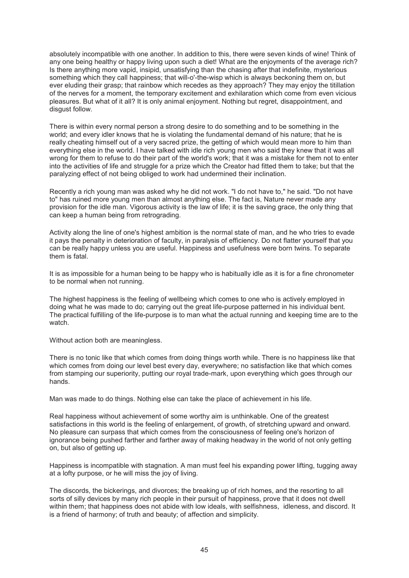absolutely incompatible with one another. In addition to this, there were seven kinds of wine! Think of any one being healthy or happy living upon such a diet! What are the enjoyments of the average rich? Is there anything more vapid, insipid, unsatisfying than the chasing after that indefinite, mysterious something which they call happiness; that will-o'-the-wisp which is always beckoning them on, but ever eluding their grasp; that rainbow which recedes as they approach? They may enjoy the titillation of the nerves for a moment, the temporary excitement and exhilaration which come from even vicious pleasures. But what of it all? It is only animal enjoyment. Nothing but regret, disappointment, and disgust follow.

There is within every normal person a strong desire to do something and to be something in the world; and every idler knows that he is violating the fundamental demand of his nature; that he is really cheating himself out of a very sacred prize, the getting of which would mean more to him than everything else in the world. I have talked with idle rich young men who said they knew that it was all wrong for them to refuse to do their part of the world's work; that it was a mistake for them not to enter into the activities of life and struggle for a prize which the Creator had fitted them to take; but that the paralyzing effect of not being obliged to work had undermined their inclination.

Recently a rich young man was asked why he did not work. "I do not have to," he said. "Do not have to" has ruined more young men than almost anything else. The fact is, Nature never made any provision for the idle man. Vigorous activity is the law of life; it is the saving grace, the only thing that can keep a human being from retrograding.

Activity along the line of one's highest ambition is the normal state of man, and he who tries to evade it pays the penalty in deterioration of faculty, in paralysis of efficiency. Do not flatter yourself that you can be really happy unless you are useful. Happiness and usefulness were born twins. To separate them is fatal.

It is as impossible for a human being to be happy who is habitually idle as it is for a fine chronometer to be normal when not running.

The highest happiness is the feeling of wellbeing which comes to one who is actively employed in doing what he was made to do; carrying out the great life-purpose patterned in his individual bent. The practical fulfilling of the life-purpose is to man what the actual running and keeping time are to the watch.

Without action both are meaningless.

There is no tonic like that which comes from doing things worth while. There is no happiness like that which comes from doing our level best every day, everywhere; no satisfaction like that which comes from stamping our superiority, putting our royal trade-mark, upon everything which goes through our hands.

Man was made to do things. Nothing else can take the place of achievement in his life.

Real happiness without achievement of some worthy aim is unthinkable. One of the greatest satisfactions in this world is the feeling of enlargement, of growth, of stretching upward and onward. No pleasure can surpass that which comes from the consciousness of feeling one's horizon of ignorance being pushed farther and farther away of making headway in the world of not only getting on, but also of getting up.

Happiness is incompatible with stagnation. A man must feel his expanding power lifting, tugging away at a lofty purpose, or he will miss the joy of living.

The discords, the bickerings, and divorces; the breaking up of rich homes, and the resorting to all sorts of silly devices by many rich people in their pursuit of happiness, prove that it does not dwell within them; that happiness does not abide with low ideals, with selfishness, idleness, and discord. It is a friend of harmony; of truth and beauty; of affection and simplicity.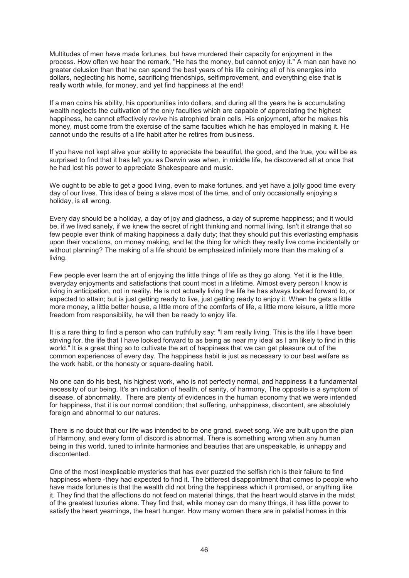Multitudes of men have made fortunes, but have murdered their capacity for enjoyment in the process. How often we hear the remark, "He has the money, but cannot enjoy it." A man can have no greater delusion than that he can spend the best years of his life coining all of his energies into dollars, neglecting his home, sacrificing friendships, selfimprovement, and everything else that is really worth while, for money, and yet find happiness at the end!

If a man coins his ability, his opportunities into dollars, and during all the years he is accumulating wealth neglects the cultivation of the only faculties which are capable of appreciating the highest happiness, he cannot effectively revive his atrophied brain cells. His enjoyment, after he makes his money, must come from the exercise of the same faculties which he has employed in making it. He cannot undo the results of a life habit after he retires from business.

If you have not kept alive your ability to appreciate the beautiful, the good, and the true, you will be as surprised to find that it has left you as Darwin was when, in middle life, he discovered all at once that he had lost his power to appreciate Shakespeare and music.

We ought to be able to get a good living, even to make fortunes, and yet have a jolly good time every day of our lives. This idea of being a slave most of the time, and of only occasionally enjoying a holiday, is all wrong.

Every day should be a holiday, a day of joy and gladness, a day of supreme happiness; and it would be, if we lived sanely, if we knew the secret of right thinking and normal living. Isn't it strange that so few people ever think of making happiness a daily duty; that they should put this everlasting emphasis upon their vocations, on money making, and let the thing for which they really live come incidentally or without planning? The making of a life should be emphasized infinitely more than the making of a living.

Few people ever learn the art of enjoying the little things of life as they go along. Yet it is the little, everyday enjoyments and satisfactions that count most in a lifetime. Almost every person I know is living in anticipation, not in reality. He is not actually living the life he has always looked forward to, or expected to attain; but is just getting ready to live, just getting ready to enjoy it. When he gets a little more money, a little better house, a little more of the comforts of life, a little more leisure, a little more freedom from responsibility, he will then be ready to enjoy life.

It is a rare thing to find a person who can truthfully say: "I am really living. This is the life I have been striving for, the life that I have looked forward to as being as near my ideal as I am likely to find in this world." It is a great thing so to cultivate the art of happiness that we can get pleasure out of the common experiences of every day. The happiness habit is just as necessary to our best welfare as the work habit, or the honesty or square-dealing habit.

No one can do his best, his highest work, who is not perfectly normal, and happiness it a fundamental necessity of our being. It's an indication of health, of sanity, of harmony, The opposite is a symptom of disease, of abnormality. There are plenty of evidences in the human economy that we were intended for happiness, that it is our normal condition; that suffering, unhappiness, discontent, are absolutely foreign and abnormal to our natures.

There is no doubt that our life was intended to be one grand, sweet song. We are built upon the plan of Harmony, and every form of discord is abnormal. There is something wrong when any human being in this world, tuned to infinite harmonies and beauties that are unspeakable, is unhappy and discontented.

One of the most inexplicable mysteries that has ever puzzled the selfish rich is their failure to find happiness where -they had expected to find it. The bitterest disappointment that comes to people who have made fortunes is that the wealth did not bring the happiness which it promised, or anything like it. They find that the affections do not feed on material things, that the heart would starve in the midst of the greatest luxuries alone. They find that, while money can do many things, it has little power to satisfy the heart yearnings, the heart hunger. How many women there are in palatial homes in this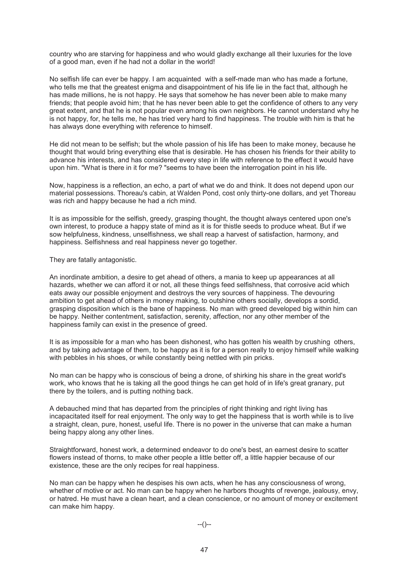country who are starving for happiness and who would gladly exchange all their luxuries for the love of a good man, even if he had not a dollar in the world!

No selfish life can ever be happy. I am acquainted with a self-made man who has made a fortune, who tells me that the greatest enigma and disappointment of his life lie in the fact that, although he has made millions, he is not happy. He says that somehow he has never been able to make many friends; that people avoid him; that he has never been able to get the confidence of others to any very great extent, and that he is not popular even among his own neighbors. He cannot understand why he is not happy, for, he tells me, he has tried very hard to find happiness. The trouble with him is that he has always done everything with reference to himself.

He did not mean to be selfish; but the whole passion of his life has been to make money, because he thought that would bring everything else that is desirable. He has chosen his friends for their ability to advance his interests, and has considered every step in life with reference to the effect it would have upon him. "What is there in it for me? "seems to have been the interrogation point in his life.

Now, happiness is a reflection, an echo, a part of what we do and think. It does not depend upon our material possessions. Thoreau's cabin, at Walden Pond, cost only thirty-one dollars, and yet Thoreau was rich and happy because he had a rich mind.

It is as impossible for the selfish, greedy, grasping thought, the thought always centered upon one's own interest, to produce a happy state of mind as it is for thistle seeds to produce wheat. But if we sow helpfulness, kindness, unselfishness, we shall reap a harvest of satisfaction, harmony, and happiness. Selfishness and real happiness never go together.

They are fatally antagonistic.

An inordinate ambition, a desire to get ahead of others, a mania to keep up appearances at all hazards, whether we can afford it or not, all these things feed selfishness, that corrosive acid which eats away our possible enjoyment and destroys the very sources of happiness. The devouring ambition to get ahead of others in money making, to outshine others socially, develops a sordid, grasping disposition which is the bane of happiness. No man with greed developed big within him can be happy. Neither contentment, satisfaction, serenity, affection, nor any other member of the happiness family can exist in the presence of greed.

It is as impossible for a man who has been dishonest, who has gotten his wealth by crushing others, and by taking advantage of them, to be happy as it is for a person really to enjoy himself while walking with pebbles in his shoes, or while constantly being nettled with pin pricks.

No man can be happy who is conscious of being a drone, of shirking his share in the great world's work, who knows that he is taking all the good things he can get hold of in life's great granary, put there by the toilers, and is putting nothing back.

A debauched mind that has departed from the principles of right thinking and right living has incapacitated itself for real enjoyment. The only way to get the happiness that is worth while is to live a straight, clean, pure, honest, useful life. There is no power in the universe that can make a human being happy along any other lines.

Straightforward, honest work, a determined endeavor to do one's best, an earnest desire to scatter flowers instead of thorns, to make other people a little better off, a little happier because of our existence, these are the only recipes for real happiness.

No man can be happy when he despises his own acts, when he has any consciousness of wrong, whether of motive or act. No man can be happy when he harbors thoughts of revenge, jealousy, envy, or hatred. He must have a clean heart, and a clean conscience, or no amount of money or excitement can make him happy.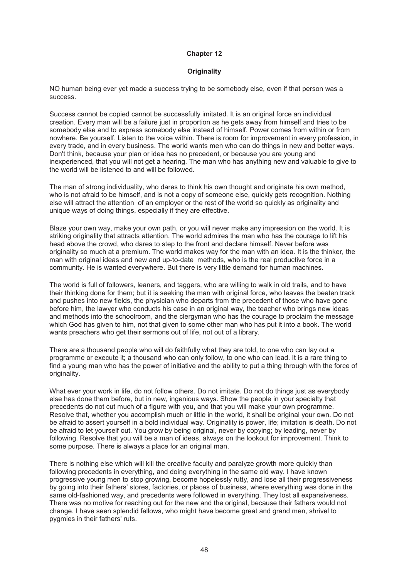# **Originality**

NO human being ever yet made a success trying to be somebody else, even if that person was a success.

Success cannot be copied cannot be successfully imitated. It is an original force an individual creation. Every man will be a failure just in proportion as he gets away from himself and tries to be somebody else and to express somebody else instead of himself. Power comes from within or from nowhere. Be yourself. Listen to the voice within. There is room for improvement in every profession, in every trade, and in every business. The world wants men who can do things in new and better ways. Don't think, because your plan or idea has no precedent, or because you are young and inexperienced, that you will not get a hearing. The man who has anything new and valuable to give to the world will be listened to and will be followed.

The man of strong individuality, who dares to think his own thought and originate his own method, who is not afraid to be himself, and is not a copy of someone else, quickly gets recognition. Nothing else will attract the attention of an employer or the rest of the world so quickly as originality and unique ways of doing things, especially if they are effective.

Blaze your own way, make your own path, or you will never make any impression on the world. It is striking originality that attracts attention. The world admires the man who has the courage to lift his head above the crowd, who dares to step to the front and declare himself. Never before was originality so much at a premium. The world makes way for the man with an idea. It is the thinker, the man with original ideas and new and up-to-date methods, who is the real productive force in a community. He is wanted everywhere. But there is very little demand for human machines.

The world is full of followers, leaners, and taggers, who are willing to walk in old trails, and to have their thinking done for them; but it is seeking the man with original force, who leaves the beaten track and pushes into new fields, the physician who departs from the precedent of those who have gone before him, the lawyer who conducts his case in an original way, the teacher who brings new ideas and methods into the schoolroom, and the clergyman who has the courage to proclaim the message which God has given to him, not that given to some other man who has put it into a book. The world wants preachers who get their sermons out of life, not out of a library.

There are a thousand people who will do faithfully what they are told, to one who can lay out a programme or execute it; a thousand who can only follow, to one who can lead. It is a rare thing to find a young man who has the power of initiative and the ability to put a thing through with the force of originality.

What ever your work in life, do not follow others. Do not imitate. Do not do things just as everybody else has done them before, but in new, ingenious ways. Show the people in your specialty that precedents do not cut much of a figure with you, and that you will make your own programme. Resolve that, whether you accomplish much or little in the world, it shall be original your own. Do not be afraid to assert yourself in a bold individual way. Originality is power, life; imitation is death. Do not be afraid to let yourself out. You grow by being original, never by copying; by leading, never by following. Resolve that you will be a man of ideas, always on the lookout for improvement. Think to some purpose. There is always a place for an original man.

There is nothing else which will kill the creative faculty and paralyze growth more quickly than following precedents in everything, and doing everything in the same old way. I have known progressive young men to stop growing, become hopelessly rutty, and lose all their progressiveness by going into their fathers' stores, factories, or places of business, where everything was done in the same old-fashioned way, and precedents were followed in everything. They lost all expansiveness. There was no motive for reaching out for the new and the original, because their fathers would not change. I have seen splendid fellows, who might have become great and grand men, shrivel to pygmies in their fathers' ruts.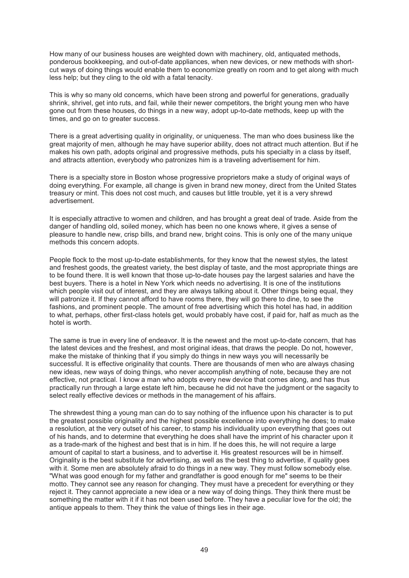How many of our business houses are weighted down with machinery, old, antiquated methods, ponderous bookkeeping, and out-of-date appliances, when new devices, or new methods with shortcut ways of doing things would enable them to economize greatly on room and to get along with much less help; but they cling to the old with a fatal tenacity.

This is why so many old concerns, which have been strong and powerful for generations, gradually shrink, shrivel, get into ruts, and fail, while their newer competitors, the bright young men who have gone out from these houses, do things in a new way, adopt up-to-date methods, keep up with the times, and go on to greater success.

There is a great advertising quality in originality, or uniqueness. The man who does business like the great majority of men, although he may have superior ability, does not attract much attention. But if he makes his own path, adopts original and progressive methods, puts his specialty in a class by itself, and attracts attention, everybody who patronizes him is a traveling advertisement for him.

There is a specialty store in Boston whose progressive proprietors make a study of original ways of doing everything. For example, all change is given in brand new money, direct from the United States treasury or mint. This does not cost much, and causes but little trouble, yet it is a very shrewd advertisement.

It is especially attractive to women and children, and has brought a great deal of trade. Aside from the danger of handling old, soiled money, which has been no one knows where, it gives a sense of pleasure to handle new, crisp bills, and brand new, bright coins. This is only one of the many unique methods this concern adopts.

People flock to the most up-to-date establishments, for they know that the newest styles, the latest and freshest goods, the greatest variety, the best display of taste, and the most appropriate things are to be found there. It is well known that those up-to-date houses pay the largest salaries and have the best buyers. There is a hotel in New York which needs no advertising. It is one of the institutions which people visit out of interest, and they are always talking about it. Other things being equal, they will patronize it. If they cannot afford to have rooms there, they will go there to dine, to see the fashions, and prominent people. The amount of free advertising which this hotel has had, in addition to what, perhaps, other first-class hotels get, would probably have cost, if paid for, half as much as the hotel is worth.

The same is true in every line of endeavor. It is the newest and the most up-to-date concern, that has the latest devices and the freshest, and most original ideas, that draws the people. Do not, however, make the mistake of thinking that if you simply do things in new ways you will necessarily be successful. It is effective originality that counts. There are thousands of men who are always chasing new ideas, new ways of doing things, who never accomplish anything of note, because they are not effective, not practical. I know a man who adopts every new device that comes along, and has thus practically run through a large estate left him, because he did not have the judgment or the sagacity to select really effective devices or methods in the management of his affairs.

The shrewdest thing a young man can do to say nothing of the influence upon his character is to put the greatest possible originality and the highest possible excellence into everything he does; to make a resolution, at the very outset of his career, to stamp his individuality upon everything that goes out of his hands, and to determine that everything he does shall have the imprint of his character upon it as a trade-mark of the highest and best that is in him. If he does this, he will not require a large amount of capital to start a business, and to advertise it. His greatest resources will be in himself. Originality is the best substitute for advertising, as well as the best thing to advertise, if quality goes with it. Some men are absolutely afraid to do things in a new way. They must follow somebody else. "What was good enough for my father and grandfather is good enough for me" seems to be their motto. They cannot see any reason for changing. They must have a precedent for everything or they reject it. They cannot appreciate a new idea or a new way of doing things. They think there must be something the matter with it if it has not been used before. They have a peculiar love for the old; the antique appeals to them. They think the value of things lies in their age.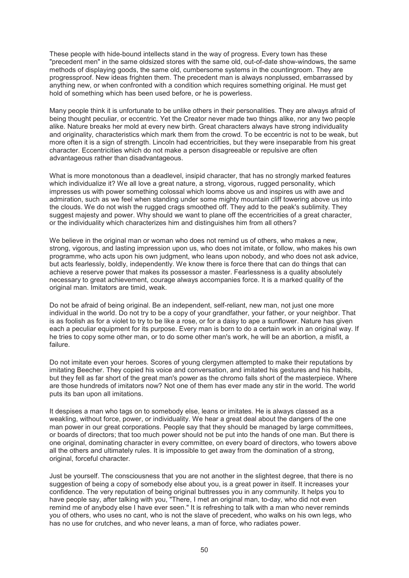These people with hide-bound intellects stand in the way of progress. Every town has these "precedent men" in the same oldsized stores with the same old, out-of-date show-windows, the same methods of displaying goods, the same old, cumbersome systems in the countingroom. They are progressproof. New ideas frighten them. The precedent man is always nonplussed, embarrassed by anything new, or when confronted with a condition which requires something original. He must get hold of something which has been used before, or he is powerless.

Many people think it is unfortunate to be unlike others in their personalities. They are always afraid of being thought peculiar, or eccentric. Yet the Creator never made two things alike, nor any two people alike. Nature breaks her mold at every new birth. Great characters always have strong individuality and originality, characteristics which mark them from the crowd. To be eccentric is not to be weak, but more often it is a sign of strength. Lincoln had eccentricities, but they were inseparable from his great character. Eccentricities which do not make a person disagreeable or repulsive are often advantageous rather than disadvantageous.

What is more monotonous than a deadlevel, insipid character, that has no strongly marked features which individualize it? We all love a great nature, a strong, vigorous, rugged personality, which impresses us with power something colossal which looms above us and inspires us with awe and admiration, such as we feel when standing under some mighty mountain cliff towering above us into the clouds. We do not wish the rugged crags smoothed off. They add to the peak's sublimity. They suggest majesty and power. Why should we want to plane off the eccentricities of a great character, or the individuality which characterizes him and distinguishes him from all others?

We believe in the original man or woman who does not remind us of others, who makes a new, strong, vigorous, and lasting impression upon us, who does not imitate, or follow, who makes his own programme, who acts upon his own judgment, who leans upon nobody, and who does not ask advice, but acts fearlessly, boldly, independently. We know there is force there that can do things that can achieve a reserve power that makes its possessor a master. Fearlessness is a quality absolutely necessary to great achievement, courage always accompanies force. It is a marked quality of the original man. Imitators are timid, weak.

Do not be afraid of being original. Be an independent, self-reliant, new man, not just one more individual in the world. Do not try to be a copy of your grandfather, your father, or your neighbor. That is as foolish as for a violet to try to be like a rose, or for a daisy to ape a sunflower. Nature has given each a peculiar equipment for its purpose. Every man is born to do a certain work in an original way. If he tries to copy some other man, or to do some other man's work, he will be an abortion, a misfit, a failure.

Do not imitate even your heroes. Scores of young clergymen attempted to make their reputations by imitating Beecher. They copied his voice and conversation, and imitated his gestures and his habits, but they fell as far short of the great man's power as the chromo falls short of the masterpiece. Where are those hundreds of imitators now? Not one of them has ever made any stir in the world. The world puts its ban upon all imitations.

It despises a man who tags on to somebody else, leans or imitates. He is always classed as a weakling, without force, power, or individuality. We hear a great deal about the dangers of the one man power in our great corporations. People say that they should be managed by large committees, or boards of directors; that too much power should not be put into the hands of one man. But there is one original, dominating character in every committee, on every board of directors, who towers above all the others and ultimately rules. It is impossible to get away from the domination of a strong, original, forceful character.

Just be yourself. The consciousness that you are not another in the slightest degree, that there is no suggestion of being a copy of somebody else about you, is a great power in itself. It increases your confidence. The very reputation of being original buttresses you in any community. It helps you to have people say, after talking with you, "There, I met an original man, to-day, who did not even remind me of anybody else I have ever seen." It is refreshing to talk with a man who never reminds you of others, who uses no cant, who is not the slave of precedent, who walks on his own legs, who has no use for crutches, and who never leans, a man of force, who radiates power.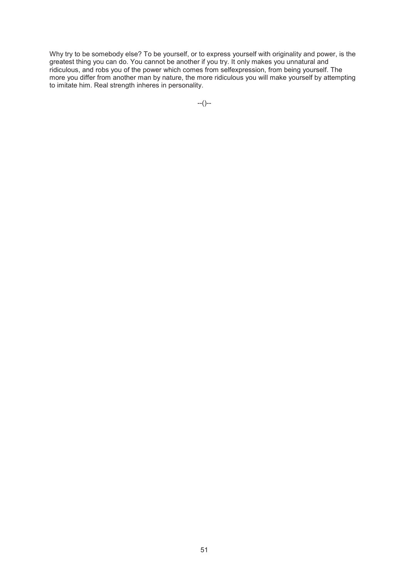Why try to be somebody else? To be yourself, or to express yourself with originality and power, is the greatest thing you can do. You cannot be another if you try. It only makes you unnatural and ridiculous, and robs you of the power which comes from selfexpression, from being yourself. The more you differ from another man by nature, the more ridiculous you will make yourself by attempting to imitate him. Real strength inheres in personality.

--()--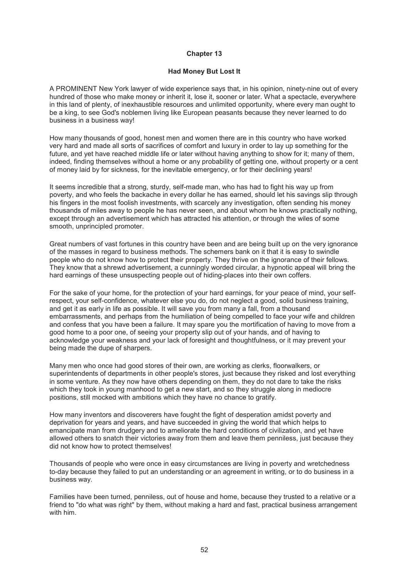## **Had Money But Lost It**

A PROMINENT New York lawyer of wide experience says that, in his opinion, ninety-nine out of every hundred of those who make money or inherit it, lose it, sooner or later. What a spectacle, everywhere in this land of plenty, of inexhaustible resources and unlimited opportunity, where every man ought to be a king, to see God's noblemen living like European peasants because they never learned to do business in a business way!

How many thousands of good, honest men and women there are in this country who have worked very hard and made all sorts of sacrifices of comfort and luxury in order to lay up something for the future, and yet have reached middle life or later without having anything to show for it; many of them, indeed, finding themselves without a home or any probability of getting one, without property or a cent of money laid by for sickness, for the inevitable emergency, or for their declining years!

It seems incredible that a strong, sturdy, self-made man, who has had to fight his way up from poverty, and who feels the backache in every dollar he has earned, should let his savings slip through his fingers in the most foolish investments, with scarcely any investigation, often sending his money thousands of miles away to people he has never seen, and about whom he knows practically nothing, except through an advertisement which has attracted his attention, or through the wiles of some smooth, unprincipled promoter.

Great numbers of vast fortunes in this country have been and are being built up on the very ignorance of the masses in regard to business methods. The schemers bank on it that it is easy to swindle people who do not know how to protect their property. They thrive on the ignorance of their fellows. They know that a shrewd advertisement, a cunningly worded circular, a hypnotic appeal will bring the hard earnings of these unsuspecting people out of hiding-places into their own coffers.

For the sake of your home, for the protection of your hard earnings, for your peace of mind, your selfrespect, your self-confidence, whatever else you do, do not neglect a good, solid business training, and get it as early in life as possible. It will save you from many a fall, from a thousand embarrassments, and perhaps from the humiliation of being compelled to face your wife and children and confess that you have been a failure. It may spare you the mortification of having to move from a good home to a poor one, of seeing your property slip out of your hands, and of having to acknowledge your weakness and your lack of foresight and thoughtfulness, or it may prevent your being made the dupe of sharpers.

Many men who once had good stores of their own, are working as clerks, floorwalkers, or superintendents of departments in other people's stores, just because they risked and lost everything in some venture. As they now have others depending on them, they do not dare to take the risks which they took in young manhood to get a new start, and so they struggle along in mediocre positions, still mocked with ambitions which they have no chance to gratify.

How many inventors and discoverers have fought the fight of desperation amidst poverty and deprivation for years and years, and have succeeded in giving the world that which helps to emancipate man from drudgery and to ameliorate the hard conditions of civilization, and yet have allowed others to snatch their victories away from them and leave them penniless, just because they did not know how to protect themselves!

Thousands of people who were once in easy circumstances are living in poverty and wretchedness to-day because they failed to put an understanding or an agreement in writing, or to do business in a business way.

Families have been turned, penniless, out of house and home, because they trusted to a relative or a friend to "do what was right" by them, without making a hard and fast, practical business arrangement with him.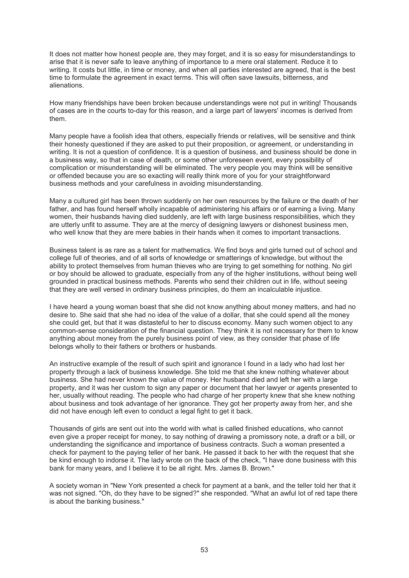It does not matter how honest people are, they may forget, and it is so easy for misunderstandings to arise that it is never safe to leave anything of importance to a mere oral statement. Reduce it to writing. It costs but little, in time or money, and when all parties interested are agreed, that is the best time to formulate the agreement in exact terms. This will often save lawsuits, bitterness, and alienations.

How many friendships have been broken because understandings were not put in writing! Thousands of cases are in the courts to-day for this reason, and a large part of lawyers' incomes is derived from them.

Many people have a foolish idea that others, especially friends or relatives, will be sensitive and think their honesty questioned if they are asked to put their proposition, or agreement, or understanding in writing. It is not a question of confidence. It is a question of business, and business should be done in a business way, so that in case of death, or some other unforeseen event, every possibility of complication or misunderstanding will be eliminated. The very people you may think will be sensitive or offended because you are so exacting will really think more of you for your straightforward business methods and your carefulness in avoiding misunderstanding.

Many a cultured girl has been thrown suddenly on her own resources by the failure or the death of her father, and has found herself wholly incapable of administering his affairs or of earning a living. Many women, their husbands having died suddenly, are left with large business responsibilities, which they are utterly unfit to assume. They are at the mercy of designing lawyers or dishonest business men, who well know that they are mere babies in their hands when it comes to important transactions.

Business talent is as rare as a talent for mathematics. We find boys and girls turned out of school and college full of theories, and of all sorts of knowledge or smatterings of knowledge, but without the ability to protect themselves from human thieves who are trying to get something for nothing. No girl or boy should be allowed to graduate, especially from any of the higher institutions, without being well grounded in practical business methods. Parents who send their children out in life, without seeing that they are well versed in ordinary business principles, do them an incalculable injustice.

I have heard a young woman boast that she did not know anything about money matters, and had no desire to. She said that she had no idea of the value of a dollar, that she could spend all the money she could get, but that it was distasteful to her to discuss economy. Many such women object to any common-sense consideration of the financial question. They think it is not necessary for them to know anything about money from the purely business point of view, as they consider that phase of life belongs wholly to their fathers or brothers or husbands.

An instructive example of the result of such spirit and ignorance I found in a lady who had lost her property through a lack of business knowledge. She told me that she knew nothing whatever about business. She had never known the value of money. Her husband died and left her with a large property, and it was her custom to sign any paper or document that her lawyer or agents presented to her, usually without reading. The people who had charge of her property knew that she knew nothing about business and took advantage of her ignorance. They got her property away from her, and she did not have enough left even to conduct a legal fight to get it back.

Thousands of girls are sent out into the world with what is called finished educations, who cannot even give a proper receipt for money, to say nothing of drawing a promissory note, a draft or a bill, or understanding the significance and importance of business contracts. Such a woman presented a check for payment to the paying teller of her bank. He passed it back to her with the request that she be kind enough to indorse it. The lady wrote on the back of the check, "I have done business with this bank for many years, and I believe it to be all right. Mrs. James B. Brown."

A society woman in "New York presented a check for payment at a bank, and the teller told her that it was not signed. "Oh, do they have to be signed?" she responded. "What an awful lot of red tape there is about the banking business."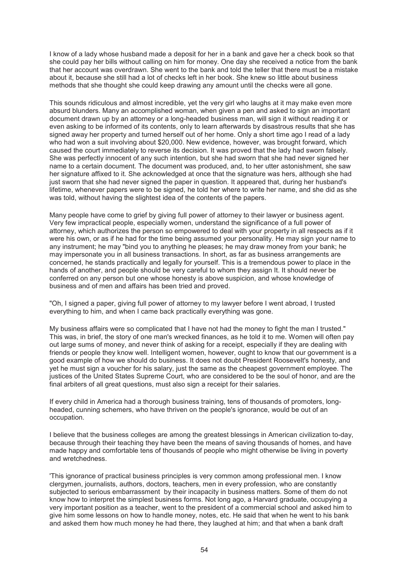I know of a lady whose husband made a deposit for her in a bank and gave her a check book so that she could pay her bills without calling on him for money. One day she received a notice from the bank that her account was overdrawn. She went to the bank and told the teller that there must be a mistake about it, because she still had a lot of checks left in her book. She knew so little about business methods that she thought she could keep drawing any amount until the checks were all gone.

This sounds ridiculous and almost incredible, yet the very girl who laughs at it may make even more absurd blunders. Many an accomplished woman, when given a pen and asked to sign an important document drawn up by an attorney or a long-headed business man, will sign it without reading it or even asking to be informed of its contents, only to learn afterwards by disastrous results that she has signed away her property and turned herself out of her home. Only a short time ago I read of a lady who had won a suit involving about \$20,000. New evidence, however, was brought forward, which caused the court immediately to reverse its decision. It was proved that the lady had sworn falsely. She was perfectly innocent of any such intention, but she had sworn that she had never signed her name to a certain document. The document was produced, and, to her utter astonishment, she saw her signature affixed to it. She acknowledged at once that the signature was hers, although she had just sworn that she had never signed the paper in question. It appeared that, during her husband's lifetime, whenever papers were to be signed, he told her where to write her name, and she did as she was told, without having the slightest idea of the contents of the papers.

Many people have come to grief by giving full power of attorney to their lawyer or business agent. Very few impractical people, especially women, understand the significance of a full power of attorney, which authorizes the person so empowered to deal with your property in all respects as if it were his own, or as if he had for the time being assumed your personality. He may sign your name to any instrument; he may "bind you to anything he pleases; he may draw money from your bank; he may impersonate you in all business transactions. In short, as far as business arrangements are concerned, he stands practically and legally for yourself. This is a tremendous power to place in the hands of another, and people should be very careful to whom they assign It. It should never be conferred on any person but one whose honesty is above suspicion, and whose knowledge of business and of men and affairs has been tried and proved.

"Oh, I signed a paper, giving full power of attorney to my lawyer before I went abroad, I trusted everything to him, and when I came back practically everything was gone.

My business affairs were so complicated that I have not had the money to fight the man I trusted." This was, in brief, the story of one man's wrecked finances, as he told it to me. Women will often pay out large sums of money, and never think of asking for a receipt, especially if they are dealing with friends or people they know well. Intelligent women, however, ought to know that our government is a good example of how we should do business. It does not doubt President Roosevelt's honesty, and yet he must sign a voucher for his salary, just the same as the cheapest government employee. The justices of the United States Supreme Court, who are considered to be the soul of honor, and are the final arbiters of all great questions, must also sign a receipt for their salaries.

If every child in America had a thorough business training, tens of thousands of promoters, longheaded, cunning schemers, who have thriven on the people's ignorance, would be out of an occupation.

I believe that the business colleges are among the greatest blessings in American civilization to-day, because through their teaching they have been the means of saving thousands of homes, and have made happy and comfortable tens of thousands of people who might otherwise be living in poverty and wretchedness.

'This ignorance of practical business principles is very common among professional men. I know clergymen, journalists, authors, doctors, teachers, men in every profession, who are constantly subjected to serious embarrassment by their incapacity in business matters. Some of them do not know how to interpret the simplest business forms. Not long ago, a Harvard graduate, occupying a very important position as a teacher, went to the president of a commercial school and asked him to give him some lessons on how to handle money, notes, etc. He said that when he went to his bank and asked them how much money he had there, they laughed at him; and that when a bank draft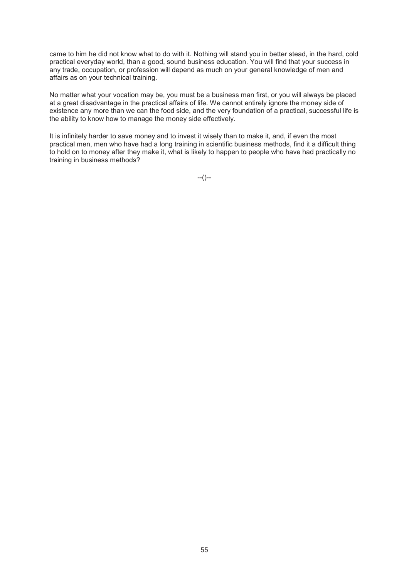came to him he did not know what to do with it. Nothing will stand you in better stead, in the hard, cold practical everyday world, than a good, sound business education. You will find that your success in any trade, occupation, or profession will depend as much on your general knowledge of men and affairs as on your technical training.

No matter what your vocation may be, you must be a business man first, or you will always be placed at a great disadvantage in the practical affairs of life. We cannot entirely ignore the money side of existence any more than we can the food side, and the very foundation of a practical, successful life is the ability to know how to manage the money side effectively.

It is infinitely harder to save money and to invest it wisely than to make it, and, if even the most practical men, men who have had a long training in scientific business methods, find it a difficult thing to hold on to money after they make it, what is likely to happen to people who have had practically no training in business methods?

 $-(-)$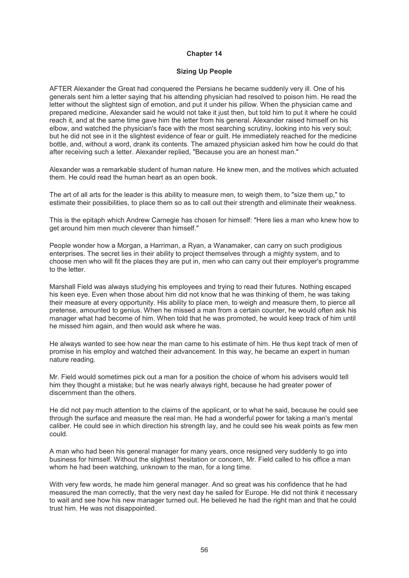# **Sizing Up People**

AFTER Alexander the Great had conquered the Persians he became suddenly very ill. One of his generals sent him a letter saying that his attending physician had resolved to poison him. He read the letter without the slightest sign of emotion, and put it under his pillow. When the physician came and prepared medicine, Alexander said he would not take it just then, but told him to put it where he could reach it, and at the same time gave him the letter from his general. Alexander raised himself on his elbow, and watched the physician's face with the most searching scrutiny, looking into his very soul; but he did not see in it the slightest evidence of fear or guilt. He immediately reached for the medicine bottle, and, without a word, drank its contents. The amazed physician asked him how he could do that after receiving such a letter. Alexander replied, "Because you are an honest man."

Alexander was a remarkable student of human nature. He knew men, and the motives which actuated them. He could read the human heart as an open book.

The art of all arts for the leader is this ability to measure men, to weigh them, to "size them up," to estimate their possibilities, to place them so as to call out their strength and eliminate their weakness.

This is the epitaph which Andrew Carnegie has chosen for himself: "Here lies a man who knew how to get around him men much cleverer than himself."

People wonder how a Morgan, a Harriman, a Ryan, a Wanamaker, can carry on such prodigious enterprises. The secret lies in their ability to project themselves through a mighty system, and to choose men who will fit the places they are put in, men who can carry out their employer's programme to the letter.

Marshall Field was always studying his employees and trying to read their futures. Nothing escaped his keen eye. Even when those about him did not know that he was thinking of them, he was taking their measure at every opportunity. His ability to place men, to weigh and measure them, to pierce all pretense, amounted to genius. When he missed a man from a certain counter, he would often ask his manager what had become of him. When told that he was promoted, he would keep track of him until he missed him again, and then would ask where he was.

He always wanted to see how near the man came to his estimate of him. He thus kept track of men of promise in his employ and watched their advancement. In this way, he became an expert in human nature reading.

Mr. Field would sometimes pick out a man for a position the choice of whom his advisers would tell him they thought a mistake; but he was nearly always right, because he had greater power of discernment than the others.

He did not pay much attention to the claims of the applicant, or to what he said, because he could see through the surface and measure the real man. He had a wonderful power for taking a man's mental caliber. He could see in which direction his strength lay, and he could see his weak points as few men could.

A man who had been his general manager for many years, once resigned very suddenly to go into business for himself. Without the slightest 'hesitation or concern, Mr. Field called to his office a man whom he had been watching, unknown to the man, for a long time.

With very few words, he made him general manager. And so great was his confidence that he had measured the man correctly, that the very next day he sailed for Europe. He did not think it necessary to wait and see how his new manager turned out. He believed he had the right man and that he could trust him. He was not disappointed.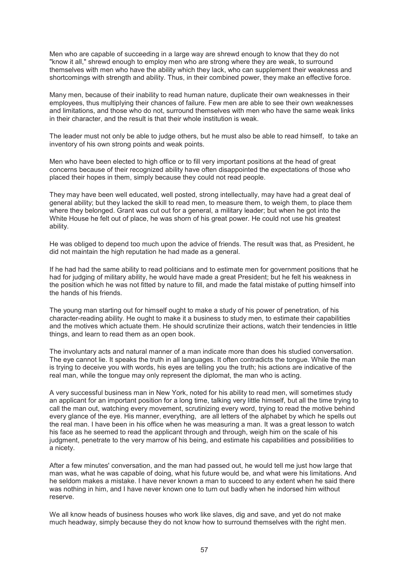Men who are capable of succeeding in a large way are shrewd enough to know that they do not "know it all," shrewd enough to employ men who are strong where they are weak, to surround themselves with men who have the ability which they lack, who can supplement their weakness and shortcomings with strength and ability. Thus, in their combined power, they make an effective force.

Many men, because of their inability to read human nature, duplicate their own weaknesses in their employees, thus multiplying their chances of failure. Few men are able to see their own weaknesses and limitations, and those who do not, surround themselves with men who have the same weak links in their character, and the result is that their whole institution is weak.

The leader must not only be able to judge others, but he must also be able to read himself, to take an inventory of his own strong points and weak points.

Men who have been elected to high office or to fill very important positions at the head of great concerns because of their recognized ability have often disappointed the expectations of those who placed their hopes in them, simply because they could not read people.

They may have been well educated, well posted, strong intellectually, may have had a great deal of general ability; but they lacked the skill to read men, to measure them, to weigh them, to place them where they belonged. Grant was cut out for a general, a military leader; but when he got into the White House he felt out of place, he was shorn of his great power. He could not use his greatest ability.

He was obliged to depend too much upon the advice of friends. The result was that, as President, he did not maintain the high reputation he had made as a general.

If he had had the same ability to read politicians and to estimate men for government positions that he had for judging of military ability, he would have made a great President; but he felt his weakness in the position which he was not fitted by nature to fill, and made the fatal mistake of putting himself into the hands of his friends.

The young man starting out for himself ought to make a study of his power of penetration, of his character-reading ability. He ought to make it a business to study men, to estimate their capabilities and the motives which actuate them. He should scrutinize their actions, watch their tendencies in little things, and learn to read them as an open book.

The involuntary acts and natural manner of a man indicate more than does his studied conversation. The eye cannot lie. It speaks the truth in all languages. It often contradicts the tongue. While the man is trying to deceive you with words, his eyes are telling you the truth; his actions are indicative of the real man, while the tongue may only represent the diplomat, the man who is acting.

A very successful business man in New York, noted for his ability to read men, will sometimes study an applicant for an important position for a long time, talking very little himself, but all the time trying to call the man out, watching every movement, scrutinizing every word, trying to read the motive behind every glance of the eye. His manner, everything, are all letters of the alphabet by which he spells out the real man. I have been in his office when he was measuring a man. It was a great lesson to watch his face as he seemed to read the applicant through and through, weigh him on the scale of his judgment, penetrate to the very marrow of his being, and estimate his capabilities and possibilities to a nicety.

After a few minutes' conversation, and the man had passed out, he would tell me just how large that man was, what he was capable of doing, what his future would be, and what were his limitations. And he seldom makes a mistake. I have never known a man to succeed to any extent when he said there was nothing in him, and I have never known one to turn out badly when he indorsed him without reserve.

We all know heads of business houses who work like slaves, dig and save, and yet do not make much headway, simply because they do not know how to surround themselves with the right men.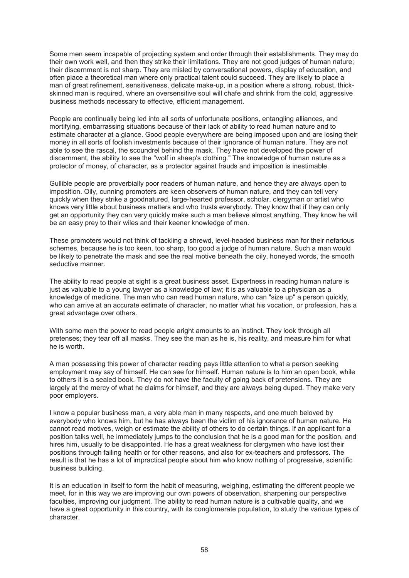Some men seem incapable of projecting system and order through their establishments. They may do their own work well, and then they strike their limitations. They are not good judges of human nature; their discernment is not sharp. They are misled by conversational powers, display of education, and often place a theoretical man where only practical talent could succeed. They are likely to place a man of great refinement, sensitiveness, delicate make-up, in a position where a strong, robust, thickskinned man is required, where an oversensitive soul will chafe and shrink from the cold, aggressive business methods necessary to effective, efficient management.

People are continually being led into all sorts of unfortunate positions, entangling alliances, and mortifying, embarrassing situations because of their lack of ability to read human nature and to estimate character at a glance. Good people everywhere are being imposed upon and are losing their money in all sorts of foolish investments because of their ignorance of human nature. They are not able to see the rascal, the scoundrel behind the mask. They have not developed the power of discernment, the ability to see the "wolf in sheep's clothing." The knowledge of human nature as a protector of money, of character, as a protector against frauds and imposition is inestimable.

Gullible people are proverbially poor readers of human nature, and hence they are always open to imposition. Oily, cunning promoters are keen observers of human nature, and they can tell very quickly when they strike a goodnatured, large-hearted professor, scholar, clergyman or artist who knows very little about business matters and who trusts everybody. They know that if they can only get an opportunity they can very quickly make such a man believe almost anything. They know he will be an easy prey to their wiles and their keener knowledge of men.

These promoters would not think of tackling a shrewd, level-headed business man for their nefarious schemes, because he is too keen, too sharp, too good a judge of human nature. Such a man would be likely to penetrate the mask and see the real motive beneath the oily, honeyed words, the smooth seductive manner.

The ability to read people at sight is a great business asset. Expertness in reading human nature is just as valuable to a young lawyer as a knowledge of law; it is as valuable to a physician as a knowledge of medicine. The man who can read human nature, who can "size up" a person quickly, who can arrive at an accurate estimate of character, no matter what his vocation, or profession, has a great advantage over others.

With some men the power to read people aright amounts to an instinct. They look through all pretenses; they tear off all masks. They see the man as he is, his reality, and measure him for what he is worth.

A man possessing this power of character reading pays little attention to what a person seeking employment may say of himself. He can see for himself. Human nature is to him an open book, while to others it is a sealed book. They do not have the faculty of going back of pretensions. They are largely at the mercy of what he claims for himself, and they are always being duped. They make very poor employers.

I know a popular business man, a very able man in many respects, and one much beloved by everybody who knows him, but he has always been the victim of his ignorance of human nature. He cannot read motives, weigh or estimate the ability of others to do certain things. If an applicant for a position talks well, he immediately jumps to the conclusion that he is a good man for the position, and hires him, usually to be disappointed. He has a great weakness for clergymen who have lost their positions through failing health or for other reasons, and also for ex-teachers and professors. The result is that he has a lot of impractical people about him who know nothing of progressive, scientific business building.

It is an education in itself to form the habit of measuring, weighing, estimating the different people we meet, for in this way we are improving our own powers of observation, sharpening our perspective faculties, improving our judgment. The ability to read human nature is a cultivable quality, and we have a great opportunity in this country, with its conglomerate population, to study the various types of character.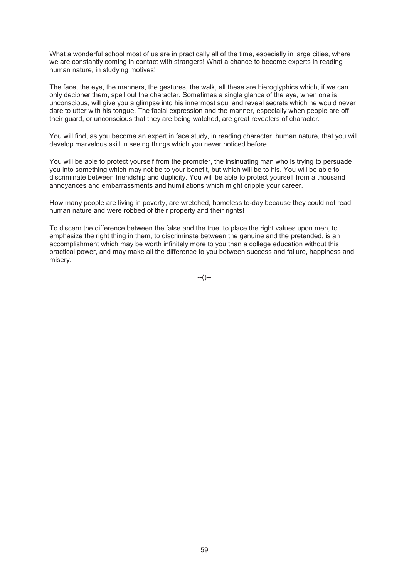What a wonderful school most of us are in practically all of the time, especially in large cities, where we are constantly coming in contact with strangers! What a chance to become experts in reading human nature, in studying motives!

The face, the eye, the manners, the gestures, the walk, all these are hieroglyphics which, if we can only decipher them, spell out the character. Sometimes a single glance of the eye, when one is unconscious, will give you a glimpse into his innermost soul and reveal secrets which he would never dare to utter with his tongue. The facial expression and the manner, especially when people are off their guard, or unconscious that they are being watched, are great revealers of character.

You will find, as you become an expert in face study, in reading character, human nature, that you will develop marvelous skill in seeing things which you never noticed before.

You will be able to protect yourself from the promoter, the insinuating man who is trying to persuade you into something which may not be to your benefit, but which will be to his. You will be able to discriminate between friendship and duplicity. You will be able to protect yourself from a thousand annoyances and embarrassments and humiliations which might cripple your career.

How many people are living in poverty, are wretched, homeless to-day because they could not read human nature and were robbed of their property and their rights!

To discern the difference between the false and the true, to place the right values upon men, to emphasize the right thing in them, to discriminate between the genuine and the pretended, is an accomplishment which may be worth infinitely more to you than a college education without this practical power, and may make all the difference to you between success and failure, happiness and misery.

 $-(-)$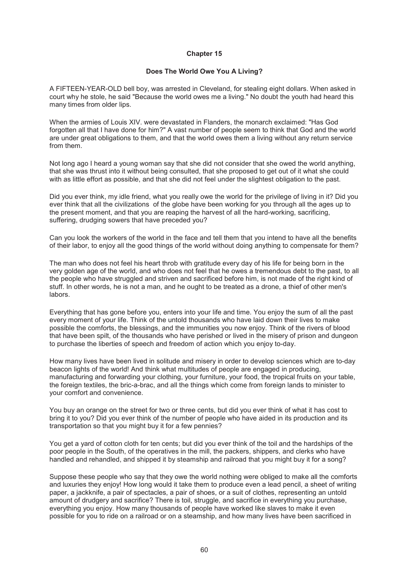# **Does The World Owe You A Living?**

A FIFTEEN-YEAR-OLD bell boy, was arrested in Cleveland, for stealing eight dollars. When asked in court why he stole, he said "Because the world owes me a living." No doubt the youth had heard this many times from older lips.

When the armies of Louis XIV. were devastated in Flanders, the monarch exclaimed: "Has God forgotten all that I have done for him?" A vast number of people seem to think that God and the world are under great obligations to them, and that the world owes them a living without any return service from them.

Not long ago I heard a young woman say that she did not consider that she owed the world anything, that she was thrust into it without being consulted, that she proposed to get out of it what she could with as little effort as possible, and that she did not feel under the slightest obligation to the past.

Did you ever think, my idle friend, what you really owe the world for the privilege of living in it? Did you ever think that all the civilizations of the globe have been working for you through all the ages up to the present moment, and that you are reaping the harvest of all the hard-working, sacrificing, suffering, drudging sowers that have preceded you?

Can you look the workers of the world in the face and tell them that you intend to have all the benefits of their labor, to enjoy all the good things of the world without doing anything to compensate for them?

The man who does not feel his heart throb with gratitude every day of his life for being born in the very golden age of the world, and who does not feel that he owes a tremendous debt to the past, to all the people who have struggled and striven and sacrificed before him, is not made of the right kind of stuff. In other words, he is not a man, and he ought to be treated as a drone, a thief of other men's labors.

Everything that has gone before you, enters into your life and time. You enjoy the sum of all the past every moment of your life. Think of the untold thousands who have laid down their lives to make possible the comforts, the blessings, and the immunities you now enjoy. Think of the rivers of blood that have been spilt, of the thousands who have perished or lived in the misery of prison and dungeon to purchase the liberties of speech and freedom of action which you enjoy to-day.

How many lives have been lived in solitude and misery in order to develop sciences which are to-day beacon lights of the world! And think what multitudes of people are engaged in producing, manufacturing and forwarding your clothing, your furniture, your food, the tropical fruits on your table, the foreign textiles, the bric-a-brac, and all the things which come from foreign lands to minister to your comfort and convenience.

You buy an orange on the street for two or three cents, but did you ever think of what it has cost to bring it to you? Did you ever think of the number of people who have aided in its production and its transportation so that you might buy it for a few pennies?

You get a yard of cotton cloth for ten cents; but did you ever think of the toil and the hardships of the poor people in the South, of the operatives in the mill, the packers, shippers, and clerks who have handled and rehandled, and shipped it by steamship and railroad that you might buy it for a song?

Suppose these people who say that they owe the world nothing were obliged to make all the comforts and luxuries they enjoy! How long would it take them to produce even a lead pencil, a sheet of writing paper, a jackknife, a pair of spectacles, a pair of shoes, or a suit of clothes, representing an untold amount of drudgery and sacrifice? There is toil, struggle, and sacrifice in everything you purchase, everything you enjoy. How many thousands of people have worked like slaves to make it even possible for you to ride on a railroad or on a steamship, and how many lives have been sacrificed in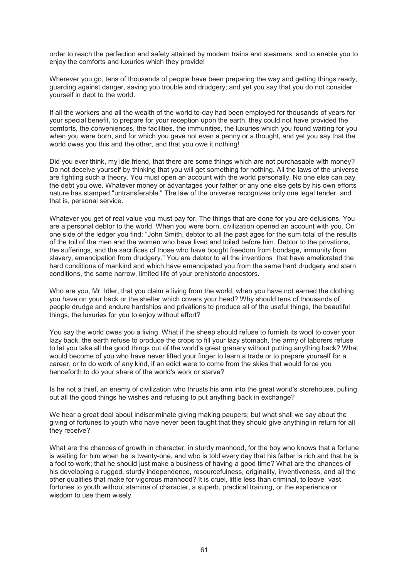order to reach the perfection and safety attained by modern trains and steamers, and to enable you to enjoy the comforts and luxuries which they provide!

Wherever you go, tens of thousands of people have been preparing the way and getting things ready, guarding against danger, saving you trouble and drudgery; and yet you say that you do not consider yourself in debt to the world.

If all the workers and all the wealth of the world to-day had been employed for thousands of years for your special benefit, to prepare for your reception upon the earth, they could not have provided the comforts, the conveniences, the facilities, the immunities, the luxuries which you found waiting for you when you were born, and for which you gave not even a penny or a thought, and yet you say that the world owes you this and the other, and that you owe it nothing!

Did you ever think, my idle friend, that there are some things which are not purchasable with money? Do not deceive yourself by thinking that you will get something for nothing. All the laws of the universe are fighting such a theory. You must open an account with the world personally. No one else can pay the debt you owe. Whatever money or advantages your father or any one else gets by his own efforts nature has stamped "untransferable." The law of the universe recognizes only one legal tender, and that is, personal service.

Whatever you get of real value you must pay for. The things that are done for you are delusions. You are a personal debtor to the world. When you were born, civilization opened an account with you. On one side of the ledger you find: "John Smith, debtor to all the past ages for the sum total of the results of the toil of the men and the women who have lived and toiled before him. Debtor to the privations, the sufferings, and the sacrifices of those who have bought freedom from bondage, immunity from slavery, emancipation from drudgery." You are debtor to all the inventions that have ameliorated the hard conditions of mankind and which have emancipated you from the same hard drudgery and stern conditions, the same narrow, limited life of your prehistoric ancestors.

Who are you, Mr. Idler, that you claim a living from the world, when you have not earned the clothing you have on your back or the shelter which covers your head? Why should tens of thousands of people drudge and endure hardships and privations to produce all of the useful things, the beautiful things, the luxuries for you to enjoy without effort?

You say the world owes you a living. What if the sheep should refuse to furnish its wool to cover your lazy back, the earth refuse to produce the crops to fill your lazy stomach, the army of laborers refuse to let you take all the good things out of the world's great granary without putting anything back? What would become of you who have never lifted your finger to learn a trade or to prepare yourself for a career, or to do work of any kind, if an edict were to come from the skies that would force you henceforth to do your share of the world's work or starve?

Is he not a thief, an enemy of civilization who thrusts his arm into the great world's storehouse, pulling out all the good things he wishes and refusing to put anything back in exchange?

We hear a great deal about indiscriminate giving making paupers; but what shall we say about the giving of fortunes to youth who have never been taught that they should give anything in return for all they receive?

What are the chances of growth in character, in sturdy manhood, for the boy who knows that a fortune is waiting for him when he is twenty-one, and who is told every day that his father is rich and that he is a fool to work; that he should just make a business of having a good time? What are the chances of his developing a rugged, sturdy independence, resourcefulness, originality, inventiveness, and all the other qualities that make for vigorous manhood? It is cruel, little less than criminal, to leave vast fortunes to youth without stamina of character, a superb, practical training, or the experience or wisdom to use them wisely.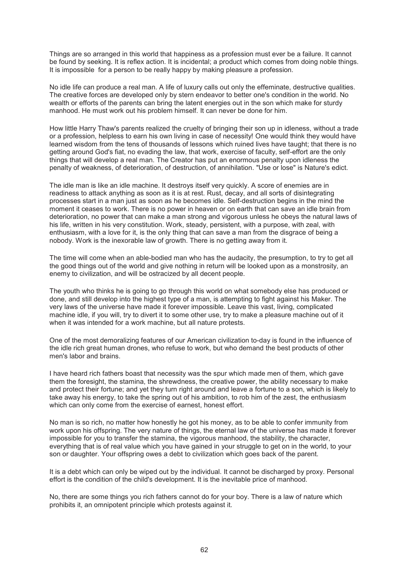Things are so arranged in this world that happiness as a profession must ever be a failure. It cannot be found by seeking. It is reflex action. It is incidental; a product which comes from doing noble things. It is impossible for a person to be really happy by making pleasure a profession.

No idle life can produce a real man. A life of luxury calls out only the effeminate, destructive qualities. The creative forces are developed only by stern endeavor to better one's condition in the world. No wealth or efforts of the parents can bring the latent energies out in the son which make for sturdy manhood. He must work out his problem himself. It can never be done for him.

How little Harry Thaw's parents realized the cruelty of bringing their son up in idleness, without a trade or a profession, helpless to earn his own living in case of necessity! One would think they would have learned wisdom from the tens of thousands of lessons which ruined lives have taught; that there is no getting around God's fiat, no evading the law, that work, exercise of faculty, self-effort are the only things that will develop a real man. The Creator has put an enormous penalty upon idleness the penalty of weakness, of deterioration, of destruction, of annihilation. "Use or lose" is Nature's edict.

The idle man is like an idle machine. It destroys itself very quickly. A score of enemies are in readiness to attack anything as soon as it is at rest. Rust, decay, and all sorts of disintegrating processes start in a man just as soon as he becomes idle. Self-destruction begins in the mind the moment it ceases to work. There is no power in heaven or on earth that can save an idle brain from deterioration, no power that can make a man strong and vigorous unless he obeys the natural laws of his life, written in his very constitution. Work, steady, persistent, with a purpose, with zeal, with enthusiasm, with a love for it, is the only thing that can save a man from the disgrace of being a nobody. Work is the inexorable law of growth. There is no getting away from it.

The time will come when an able-bodied man who has the audacity, the presumption, to try to get all the good things out of the world and give nothing in return will be looked upon as a monstrosity, an enemy to civilization, and will be ostracized by all decent people.

The youth who thinks he is going to go through this world on what somebody else has produced or done, and still develop into the highest type of a man, is attempting to fight against his Maker. The very laws of the universe have made it forever impossible. Leave this vast, living, complicated machine idle, if you will, try to divert it to some other use, try to make a pleasure machine out of it when it was intended for a work machine, but all nature protests.

One of the most demoralizing features of our American civilization to-day is found in the influence of the idle rich great human drones, who refuse to work, but who demand the best products of other men's labor and brains.

I have heard rich fathers boast that necessity was the spur which made men of them, which gave them the foresight, the stamina, the shrewdness, the creative power, the ability necessary to make and protect their fortune; and yet they turn right around and leave a fortune to a son, which is likely to take away his energy, to take the spring out of his ambition, to rob him of the zest, the enthusiasm which can only come from the exercise of earnest, honest effort.

No man is so rich, no matter how honestly he got his money, as to be able to confer immunity from work upon his offspring. The very nature of things, the eternal law of the universe has made it forever impossible for you to transfer the stamina, the vigorous manhood, the stability, the character, everything that is of real value which you have gained in your struggle to get on in the world, to your son or daughter. Your offspring owes a debt to civilization which goes back of the parent.

It is a debt which can only be wiped out by the individual. It cannot be discharged by proxy. Personal effort is the condition of the child's development. It is the inevitable price of manhood.

No, there are some things you rich fathers cannot do for your boy. There is a law of nature which prohibits it, an omnipotent principle which protests against it.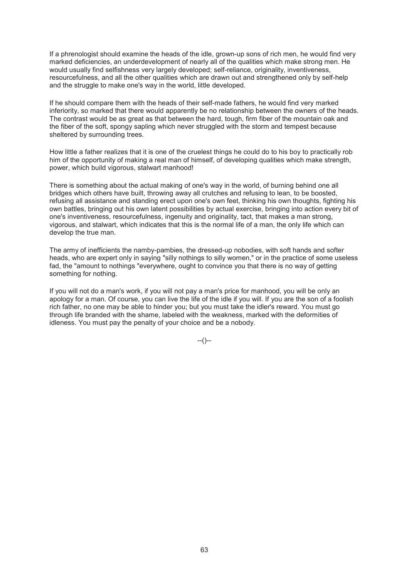If a phrenologist should examine the heads of the idle, grown-up sons of rich men, he would find very marked deficiencies, an underdevelopment of nearly all of the qualities which make strong men. He would usually find selfishness very largely developed; self-reliance, originality, inventiveness, resourcefulness, and all the other qualities which are drawn out and strengthened only by self-help and the struggle to make one's way in the world, little developed.

If he should compare them with the heads of their self-made fathers, he would find very marked inferiority, so marked that there would apparently be no relationship between the owners of the heads. The contrast would be as great as that between the hard, tough, firm fiber of the mountain oak and the fiber of the soft, spongy sapling which never struggled with the storm and tempest because sheltered by surrounding trees.

How little a father realizes that it is one of the cruelest things he could do to his boy to practically rob him of the opportunity of making a real man of himself, of developing qualities which make strength, power, which build vigorous, stalwart manhood!

There is something about the actual making of one's way in the world, of burning behind one all bridges which others have built, throwing away all crutches and refusing to lean, to be boosted, refusing all assistance and standing erect upon one's own feet, thinking his own thoughts, fighting his own battles, bringing out his own latent possibilities by actual exercise, bringing into action every bit of one's inventiveness, resourcefulness, ingenuity and originality, tact, that makes a man strong, vigorous, and stalwart, which indicates that this is the normal life of a man, the only life which can develop the true man.

The army of inefficients the namby-pambies, the dressed-up nobodies, with soft hands and softer heads, who are expert only in saying "silly nothings to silly women," or in the practice of some useless fad, the "amount to nothings "everywhere, ought to convince you that there is no way of getting something for nothing.

If you will not do a man's work, if you will not pay a man's price for manhood, you will be only an apology for a man. Of course, you can live the life of the idle if you will. If you are the son of a foolish rich father, no one may be able to hinder you; but you must take the idler's reward. You must go through life branded with the shame, labeled with the weakness, marked with the deformities of idleness. You must pay the penalty of your choice and be a nobody.

 $-(-)$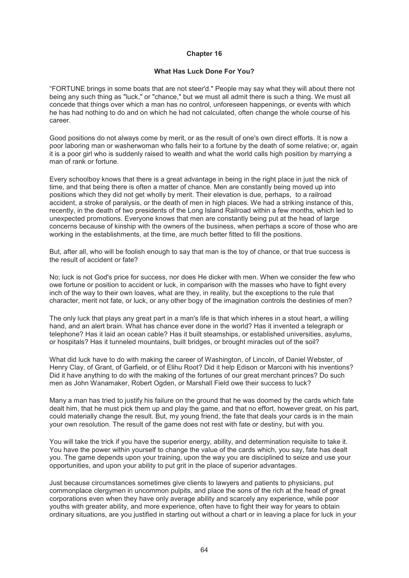## **What Has Luck Done For You?**

"FORTUNE brings in some boats that are not steer'd." People may say what they will about there not being any such thing as "luck," or "chance," but we must all admit there is such a thing. We must all concede that things over which a man has no control, unforeseen happenings, or events with which he has had nothing to do and on which he had not calculated, often change the whole course of his career.

Good positions do not always come by merit, or as the result of one's own direct efforts. It is now a poor laboring man or washerwoman who falls heir to a fortune by the death of some relative; or, again it is a poor girl who is suddenly raised to wealth and what the world calls high position by marrying a man of rank or fortune.

Every schoolboy knows that there is a great advantage in being in the right place in just the nick of time, and that being there is often a matter of chance. Men are constantly being moved up into positions which they did not get wholly by merit. Their elevation is due, perhaps, to a railroad accident, a stroke of paralysis, or the death of men in high places. We had a striking instance of this, recently, in the death of two presidents of the Long Island Railroad within a few months, which led to unexpected promotions. Everyone knows that men are constantly being put at the head of large concerns because of kinship with the owners of the business, when perhaps a score of those who are working in the establishments, at the time, are much better fitted to fill the positions.

But, after all, who will be foolish enough to say that man is the toy of chance, or that true success is the result of accident or fate?

No; luck is not God's price for success, nor does He dicker with men. When we consider the few who owe fortune or position to accident or luck, in comparison with the masses who have to fight every inch of the way to their own loaves, what are they, in reality, but the exceptions to the rule that character, merit not fate, or luck, or any other bogy of the imagination controls the destinies of men?

The only luck that plays any great part in a man's life is that which inheres in a stout heart, a willing hand, and an alert brain. What has chance ever done in the world? Has it invented a telegraph or telephone? Has it laid an ocean cable? Has it built steamships, or established universities, asylums, or hospitals? Has it tunneled mountains, built bridges, or brought miracles out of the soil?

What did luck have to do with making the career of Washington, of Lincoln, of Daniel Webster, of Henry Clay, of Grant, of Garfield, or of Elihu Root? Did it help Edison or Marconi with his inventions? Did it have anything to do with the making of the fortunes of our great merchant princes? Do such men as John Wanamaker, Robert Ogden, or Marshall Field owe their success to luck?

Many a man has tried to justify his failure on the ground that he was doomed by the cards which fate dealt him, that he must pick them up and play the game, and that no effort, however great, on his part, could materially change the result. But, my young friend, the fate that deals your cards is in the main your own resolution. The result of the game does not rest with fate or destiny, but with you.

You will take the trick if you have the superior energy, ability, and determination requisite to take it. You have the power within yourself to change the value of the cards which, you say, fate has dealt you. The game depends upon your training, upon the way you are disciplined to seize and use your opportunities, and upon your ability to put grit in the place of superior advantages.

Just because circumstances sometimes give clients to lawyers and patients to physicians, put commonplace clergymen in uncommon pulpits, and place the sons of the rich at the head of great corporations even when they have only average ability and scarcely any experience, while poor youths with greater ability, and more experience, often have to fight their way for years to obtain ordinary situations, are you justified in starting out without a chart or in leaving a place for luck in your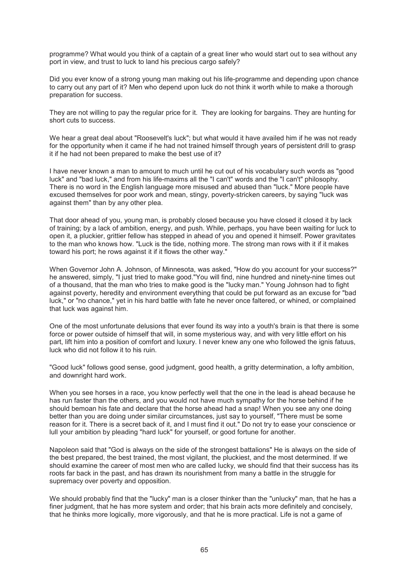programme? What would you think of a captain of a great liner who would start out to sea without any port in view, and trust to luck to land his precious cargo safely?

Did you ever know of a strong young man making out his life-programme and depending upon chance to carry out any part of it? Men who depend upon luck do not think it worth while to make a thorough preparation for success.

They are not willing to pay the regular price for it. They are looking for bargains. They are hunting for short cuts to success.

We hear a great deal about "Roosevelt's luck"; but what would it have availed him if he was not ready for the opportunity when it came if he had not trained himself through years of persistent drill to grasp it if he had not been prepared to make the best use of it?

I have never known a man to amount to much until he cut out of his vocabulary such words as "good luck" and "bad luck," and from his life-maxims all the "I can't" words and the "I can't" philosophy. There is no word in the English language more misused and abused than "luck." More people have excused themselves for poor work and mean, stingy, poverty-stricken careers, by saying "luck was against them" than by any other plea.

That door ahead of you, young man, is probably closed because you have closed it closed it by lack of training; by a lack of ambition, energy, and push. While, perhaps, you have been waiting for luck to open it, a pluckier, grittier fellow has stepped in ahead of you and opened it himself. Power gravitates to the man who knows how. "Luck is the tide, nothing more. The strong man rows with it if it makes toward his port; he rows against it if it flows the other way."

When Governor John A. Johnson, of Minnesota, was asked, "How do you account for your success?" he answered, simply, "I just tried to make good."You will find, nine hundred and ninety-nine times out of a thousand, that the man who tries to make good is the "lucky man." Young Johnson had to fight against poverty, heredity and environment everything that could be put forward as an excuse for "bad luck," or "no chance," yet in his hard battle with fate he never once faltered, or whined, or complained that luck was against him.

One of the most unfortunate delusions that ever found its way into a youth's brain is that there is some force or power outside of himself that will, in some mysterious way, and with very little effort on his part, lift him into a position of comfort and luxury. I never knew any one who followed the ignis fatuus, luck who did not follow it to his ruin.

"Good luck" follows good sense, good judgment, good health, a gritty determination, a lofty ambition, and downright hard work.

When you see horses in a race, you know perfectly well that the one in the lead is ahead because he has run faster than the others, and you would not have much sympathy for the horse behind if he should bemoan his fate and declare that the horse ahead had a snap! When you see any one doing better than you are doing under similar circumstances, just say to yourself, "There must be some reason for it. There is a secret back of it, and I must find it out." Do not try to ease your conscience or lull your ambition by pleading "hard luck" for yourself, or good fortune for another.

Napoleon said that "God is always on the side of the strongest battalions" He is always on the side of the best prepared, the best trained, the most vigilant, the pluckiest, and the most determined. If we should examine the career of most men who are called lucky, we should find that their success has its roots far back in the past, and has drawn its nourishment from many a battle in the struggle for supremacy over poverty and opposition.

We should probably find that the "lucky" man is a closer thinker than the "unlucky" man, that he has a finer judgment, that he has more system and order; that his brain acts more definitely and concisely, that he thinks more logically, more vigorously, and that he is more practical. Life is not a game of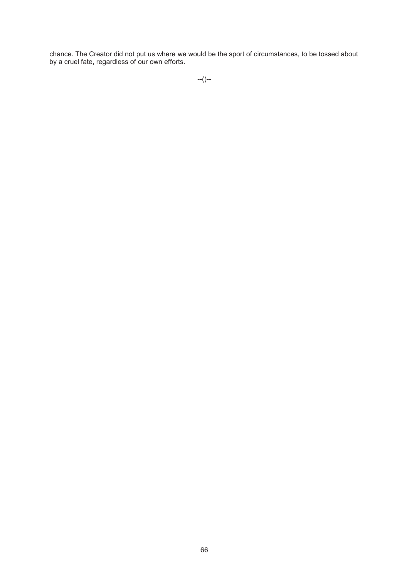chance. The Creator did not put us where we would be the sport of circumstances, to be tossed about by a cruel fate, regardless of our own efforts.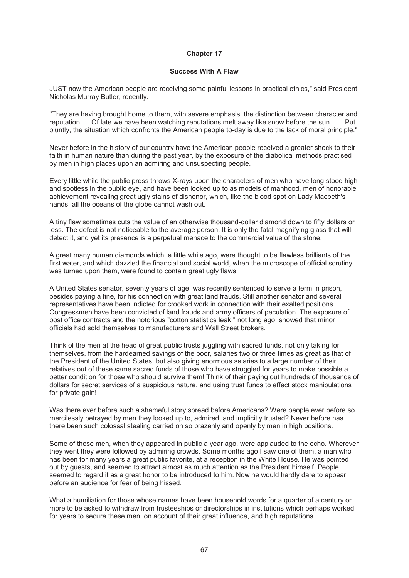### **Success With A Flaw**

JUST now the American people are receiving some painful lessons in practical ethics," said President Nicholas Murray Butler, recently.

"They are having brought home to them, with severe emphasis, the distinction between character and reputation. ... Of late we have been watching reputations melt away like snow before the sun. . . . Put bluntly, the situation which confronts the American people to-day is due to the lack of moral principle."

Never before in the history of our country have the American people received a greater shock to their faith in human nature than during the past year, by the exposure of the diabolical methods practised by men in high places upon an admiring and unsuspecting people.

Every little while the public press throws X-rays upon the characters of men who have long stood high and spotless in the public eye, and have been looked up to as models of manhood, men of honorable achievement revealing great ugly stains of dishonor, which, like the blood spot on Lady Macbeth's hands, all the oceans of the globe cannot wash out.

A tiny flaw sometimes cuts the value of an otherwise thousand-dollar diamond down to fifty dollars or less. The defect is not noticeable to the average person. It is only the fatal magnifying glass that will detect it, and yet its presence is a perpetual menace to the commercial value of the stone.

A great many human diamonds which, a little while ago, were thought to be flawless brilliants of the first water, and which dazzled the financial and social world, when the microscope of official scrutiny was turned upon them, were found to contain great ugly flaws.

A United States senator, seventy years of age, was recently sentenced to serve a term in prison, besides paying a fine, for his connection with great land frauds. Still another senator and several representatives have been indicted for crooked work in connection with their exalted positions. Congressmen have been convicted of land frauds and army officers of peculation. The exposure of post office contracts and the notorious "cotton statistics leak," not long ago, showed that minor officials had sold themselves to manufacturers and Wall Street brokers.

Think of the men at the head of great public trusts juggling with sacred funds, not only taking for themselves, from the hardearned savings of the poor, salaries two or three times as great as that of the President of the United States, but also giving enormous salaries to a large number of their relatives out of these same sacred funds of those who have struggled for years to make possible a better condition for those who should survive them! Think of their paying out hundreds of thousands of dollars for secret services of a suspicious nature, and using trust funds to effect stock manipulations for private gain!

Was there ever before such a shameful story spread before Americans? Were people ever before so mercilessly betrayed by men they looked up to, admired, and implicitly trusted? Never before has there been such colossal stealing carried on so brazenly and openly by men in high positions.

Some of these men, when they appeared in public a year ago, were applauded to the echo. Wherever they went they were followed by admiring crowds. Some months ago I saw one of them, a man who has been for many years a great public favorite, at a reception in the White House. He was pointed out by guests, and seemed to attract almost as much attention as the President himself. People seemed to regard it as a great honor to be introduced to him. Now he would hardly dare to appear before an audience for fear of being hissed.

What a humiliation for those whose names have been household words for a quarter of a century or more to be asked to withdraw from trusteeships or directorships in institutions which perhaps worked for years to secure these men, on account of their great influence, and high reputations.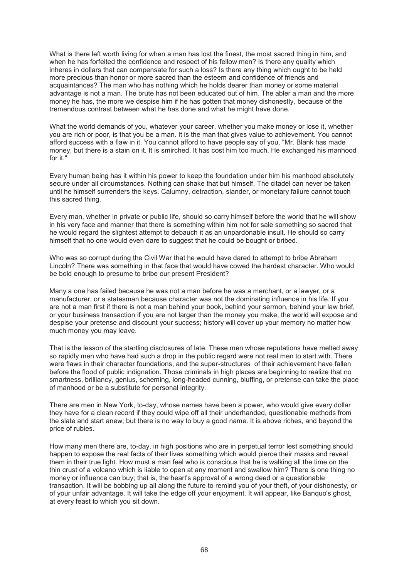What is there left worth living for when a man has lost the finest, the most sacred thing in him, and when he has forfeited the confidence and respect of his fellow men? Is there any quality which inheres in dollars that can compensate for such a loss? Is there any thing which ought to be held more precious than honor or more sacred than the esteem and confidence of friends and acquaintances? The man who has nothing which he holds dearer than money or some material advantage is not a man. The brute has not been educated out of him. The abler a man and the more money he has, the more we despise him if he has gotten that money dishonestly, because of the tremendous contrast between what he has done and what he might have done.

What the world demands of you, whatever your career, whether you make money or lose it, whether you are rich or poor, is that you be a man. It is the man that gives value to achievement. You cannot afford success with a flaw in it. You cannot afford to have people say of you, "Mr. Blank has made money, but there is a stain on it. It is smirched. It has cost him too much. He exchanged his manhood for it."

Every human being has it within his power to keep the foundation under him his manhood absolutely secure under all circumstances. Nothing can shake that but himself. The citadel can never be taken until he himself surrenders the keys. Calumny, detraction, slander, or monetary failure cannot touch this sacred thing.

Every man, whether in private or public life, should so carry himself before the world that he will show in his very face and manner that there is something within him not for sale something so sacred that he would regard the slightest attempt to debauch it as an unpardonable insult. He should so carry himself that no one would even dare to suggest that he could be bought or bribed.

Who was so corrupt during the Civil War that he would have dared to attempt to bribe Abraham Lincoln? There was something in that face that would have cowed the hardest character. Who would be bold enough to presume to bribe our present President?

Many a one has failed because he was not a man before he was a merchant, or a lawyer, or a manufacturer, or a statesman because character was not the dominating influence in his life. If you are not a man first if there is not a man behind your book, behind your sermon, behind your law brief, or your business transaction if you are not larger than the money you make, the world will expose and despise your pretense and discount your success; history will cover up your memory no matter how much money you may leave.

That is the lesson of the startling disclosures of late. These men whose reputations have melted away so rapidly men who have had such a drop in the public regard were not real men to start with. There were flaws in their character foundations, and the super-structures of their achievement have fallen before the flood of public indignation. Those criminals in high places are beginning to realize that no smartness, brilliancy, genius, scheming, long-headed cunning, bluffing, or pretense can take the place of manhood or be a substitute for personal integrity.

There are men in New York, to-day, whose names have been a power, who would give every dollar they have for a clean record if they could wipe off all their underhanded, questionable methods from the slate and start anew; but there is no way to buy a good name. It is above riches, and beyond the price of rubies.

How many men there are, to-day, in high positions who are in perpetual terror lest something should happen to expose the real facts of their lives something which would pierce their masks and reveal them in their true light. How must a man feel who is conscious that he is walking all the time on the thin crust of a volcano which is liable to open at any moment and swallow him? There is one thing no money or influence can buy; that is, the heart's approval of a wrong deed or a questionable transaction. It will be bobbing up all along the future to remind you of your theft, of your dishonesty, or of your unfair advantage. It will take the edge off your enjoyment. It will appear, like Banquo's ghost, at every feast to which you sit down.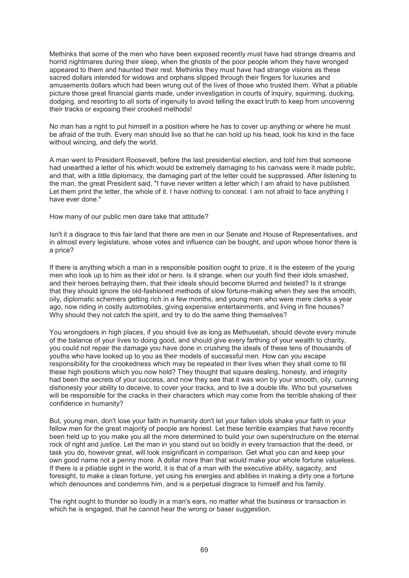Methinks that some of the men who have been exposed recently must have had strange dreams and horrid nightmares during their sleep, when the ghosts of the poor people whom they have wronged appeared to them and haunted their rest. Methinks they must have had strange visions as these sacred dollars intended for widows and orphans slipped through their fingers for luxuries and amusements dollars which had been wrung out of the lives of those who trusted them. What a pitiable picture those great financial giants made, under investigation in courts of inquiry, squirming, ducking, dodging, and resorting to all sorts of ingenuity to avoid telling the exact truth to keep from uncovering their tracks or exposing their crooked methods!

No man has a right to put himself in a position where he has to cover up anything or where he must be afraid of the truth. Every man should live so that he can hold up his head, look his kind in the face without wincing, and defy the world.

A man went to President Roosevelt, before the last presidential election, and told him that someone had unearthed a letter of his which would be extremely damaging to his canvass were it made public, and that, with a little diplomacy, the damaging part of the letter could be suppressed. After listening to the man, the great President said, "I have never written a letter which I am afraid to have published. Let them print the letter, the whole of it. I have nothing to conceal. I am not afraid to face anything I have ever done."

How many of our public men dare take that attitude?

Isn't it a disgrace to this fair land that there are men in our Senate and House of Representatives, and in almost every legislature, whose votes and influence can be bought, and upon whose honor there is a price?

If there is anything which a man in a responsible position ought to prize, it is the esteem of the young men who look up to him as their idol or hero. Is it strange, when our youth find their idols smashed, and their heroes betraying them, that their ideals should become blurred and twisted? Is it strange that they should ignore the old-fashioned methods of slow fortune-making when they see the smooth, oily, diplomatic schemers getting rich in a few months, and young men who were mere clerks a year ago, now riding in costly automobiles, giving expensive entertainments, and living in fine houses? Why should they not catch the spirit, and try to do the same thing themselves?

You wrongdoers in high places, if you should live as long as Methuselah, should devote every minute of the balance of your lives to doing good, and should give every farthing of your wealth to charity, you could not repair the damage you have done in crushing the ideals of these tens of thousands of youths who have looked up to you as their models of successful men. How can you escape responsibility for the crookedness which may be repeated in their lives when they shall come to fill these high positions which you now hold? They thought that square dealing, honesty, and integrity had been the secrets of your success, and now they see that it was won by your smooth, oily, cunning dishonesty your ability to deceive, to cover your tracks, and to live a double life. Who but yourselves will be responsible for the cracks in their characters which may come from the terrible shaking of their confidence in humanity?

But, young men, don't lose your faith in humanity don't let your fallen idols shake your faith in your fellow men for the great majority of people are honest. Let these terrible examples that have recently been held up to you make you all the more determined to build your own superstructure on the eternal rock of right and justice. Let the man in you stand out so boldly in every transaction that the deed, or task you do, however great, will look insignificant in comparison. Get what you can and keep your own good name not a penny more. A dollar more than that would make your whole fortune valueless. If there is a pitiable sight in the world, it is that of a man with the executive ability, sagacity, and foresight, to make a clean fortune, yet using his energies and abilities in making a dirty one a fortune which denounces and condemns him, and is a perpetual disgrace to himself and his family.

The right ought to thunder so loudly in a man's ears, no matter what the business or transaction in which he is engaged, that he cannot hear the wrong or baser suggestion.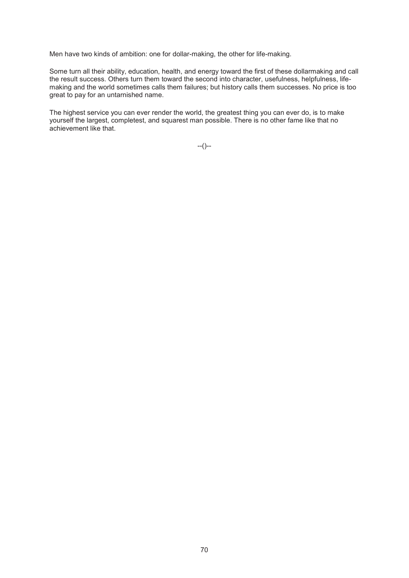Men have two kinds of ambition: one for dollar-making, the other for life-making.

Some turn all their ability, education, health, and energy toward the first of these dollarmaking and call the result success. Others turn them toward the second into character, usefulness, helpfulness, lifemaking and the world sometimes calls them failures; but history calls them successes. No price is too great to pay for an untarnished name.

The highest service you can ever render the world, the greatest thing you can ever do, is to make yourself the largest, completest, and squarest man possible. There is no other fame like that no achievement like that.

--()--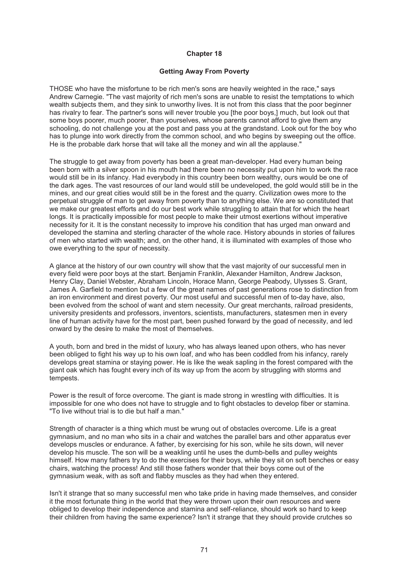# **Getting Away From Poverty**

THOSE who have the misfortune to be rich men's sons are heavily weighted in the race," says Andrew Carnegie. "The vast majority of rich men's sons are unable to resist the temptations to which wealth subjects them, and they sink to unworthy lives. It is not from this class that the poor beginner has rivalry to fear. The partner's sons will never trouble you [the poor boys,] much, but look out that some boys poorer, much poorer, than yourselves, whose parents cannot afford to give them any schooling, do not challenge you at the post and pass you at the grandstand. Look out for the boy who has to plunge into work directly from the common school, and who begins by sweeping out the office. He is the probable dark horse that will take all the money and win all the applause."

The struggle to get away from poverty has been a great man-developer. Had every human being been born with a silver spoon in his mouth had there been no necessity put upon him to work the race would still be in its infancy. Had everybody in this country been born wealthy, ours would be one of the dark ages. The vast resources of our land would still be undeveloped, the gold would still be in the mines, and our great cities would still be in the forest and the quarry. Civilization owes more to the perpetual struggle of man to get away from poverty than to anything else. We are so constituted that we make our greatest efforts and do our best work while struggling to attain that for which the heart longs. It is practically impossible for most people to make their utmost exertions without imperative necessity for it. It is the constant necessity to improve his condition that has urged man onward and developed the stamina and sterling character of the whole race. History abounds in stories of failures of men who started with wealth; and, on the other hand, it is illuminated with examples of those who owe everything to the spur of necessity.

A glance at the history of our own country will show that the vast majority of our successful men in every field were poor boys at the start. Benjamin Franklin, Alexander Hamilton, Andrew Jackson, Henry Clay, Daniel Webster, Abraham Lincoln, Horace Mann, George Peabody, Ulysses S. Grant, James A. Garfield to mention but a few of the great names of past generations rose to distinction from an iron environment and direst poverty. Our most useful and successful men of to-day have, also, been evolved from the school of want and stern necessity. Our great merchants, railroad presidents, university presidents and professors, inventors, scientists, manufacturers, statesmen men in every line of human activity have for the most part, been pushed forward by the goad of necessity, and led onward by the desire to make the most of themselves.

A youth, born and bred in the midst of luxury, who has always leaned upon others, who has never been obliged to fight his way up to his own loaf, and who has been coddled from his infancy, rarely develops great stamina or staying power. He is like the weak sapling in the forest compared with the giant oak which has fought every inch of its way up from the acorn by struggling with storms and tempests.

Power is the result of force overcome. The giant is made strong in wrestling with difficulties. It is impossible for one who does not have to struggle and to fight obstacles to develop fiber or stamina. "To live without trial is to die but half a man."

Strength of character is a thing which must be wrung out of obstacles overcome. Life is a great gymnasium, and no man who sits in a chair and watches the parallel bars and other apparatus ever develops muscles or endurance. A father, by exercising for his son, while he sits down, will never develop his muscle. The son will be a weakling until he uses the dumb-bells and pulley weights himself. How many fathers try to do the exercises for their boys, while they sit on soft benches or easy chairs, watching the process! And still those fathers wonder that their boys come out of the gymnasium weak, with as soft and flabby muscles as they had when they entered.

Isn't it strange that so many successful men who take pride in having made themselves, and consider it the most fortunate thing in the world that they were thrown upon their own resources and were obliged to develop their independence and stamina and self-reliance, should work so hard to keep their children from having the same experience? Isn't it strange that they should provide crutches so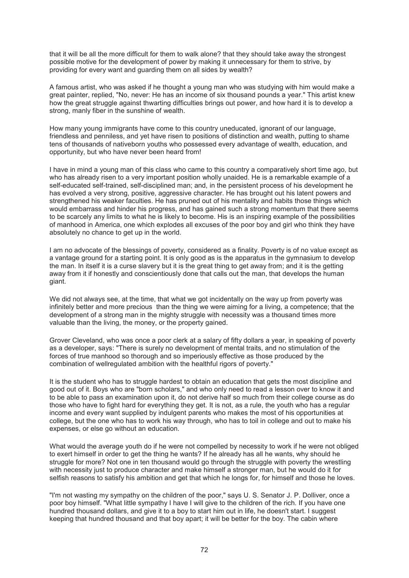that it will be all the more difficult for them to walk alone? that they should take away the strongest possible motive for the development of power by making it unnecessary for them to strive, by providing for every want and guarding them on all sides by wealth?

A famous artist, who was asked if he thought a young man who was studying with him would make a great painter, replied, "No, never: He has an income of six thousand pounds a year." This artist knew how the great struggle against thwarting difficulties brings out power, and how hard it is to develop a strong, manly fiber in the sunshine of wealth.

How many young immigrants have come to this country uneducated, ignorant of our language, friendless and penniless, and yet have risen to positions of distinction and wealth, putting to shame tens of thousands of nativeborn youths who possessed every advantage of wealth, education, and opportunity, but who have never been heard from!

I have in mind a young man of this class who came to this country a comparatively short time ago, but who has already risen to a very important position wholly unaided. He is a remarkable example of a self-educated self-trained, self-disciplined man; and, in the persistent process of his development he has evolved a very strong, positive, aggressive character. He has brought out his latent powers and strengthened his weaker faculties. He has pruned out of his mentality and habits those things which would embarrass and hinder his progress, and has gained such a strong momentum that there seems to be scarcely any limits to what he is likely to become. His is an inspiring example of the possibilities of manhood in America, one which explodes all excuses of the poor boy and girl who think they have absolutely no chance to get up in the world.

I am no advocate of the blessings of poverty, considered as a finality. Poverty is of no value except as a vantage ground for a starting point. It is only good as is the apparatus in the gymnasium to develop the man. In itself it is a curse slavery but it is the great thing to get away from; and it is the getting away from it if honestly and conscientiously done that calls out the man, that develops the human giant.

We did not always see, at the time, that what we got incidentally on the way up from poverty was infinitely better and more precious than the thing we were aiming for a living, a competence; that the development of a strong man in the mighty struggle with necessity was a thousand times more valuable than the living, the money, or the property gained.

Grover Cleveland, who was once a poor clerk at a salary of fifty dollars a year, in speaking of poverty as a developer, says: "There is surely no development of mental traits, and no stimulation of the forces of true manhood so thorough and so imperiously effective as those produced by the combination of wellregulated ambition with the healthful rigors of poverty."

It is the student who has to struggle hardest to obtain an education that gets the most discipline and good out of it. Boys who are "born scholars," and who only need to read a lesson over to know it and to be able to pass an examination upon it, do not derive half so much from their college course as do those who have to fight hard for everything they get. It is not, as a rule, the youth who has a regular income and every want supplied by indulgent parents who makes the most of his opportunities at college, but the one who has to work his way through, who has to toil in college and out to make his expenses, or else go without an education.

What would the average youth do if he were not compelled by necessity to work if he were not obliged to exert himself in order to get the thing he wants? If he already has all he wants, why should he struggle for more? Not one in ten thousand would go through the struggle with poverty the wrestling with necessity just to produce character and make himself a stronger man, but he would do it for selfish reasons to satisfy his ambition and get that which he longs for, for himself and those he loves.

"I'm not wasting my sympathy on the children of the poor," says U. S. Senator J. P. Dolliver, once a poor boy himself. "What little sympathy I have I will give to the children of the rich. If you have one hundred thousand dollars, and give it to a boy to start him out in life, he doesn't start. I suggest keeping that hundred thousand and that boy apart; it will be better for the boy. The cabin where